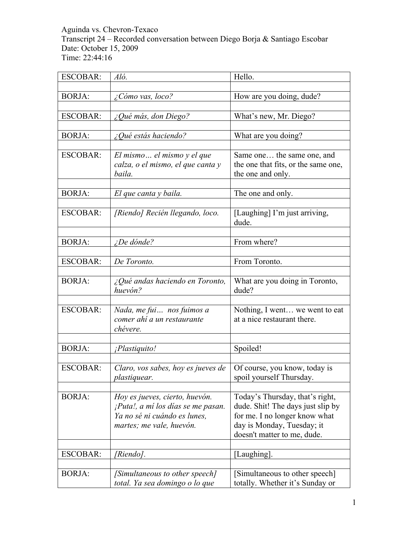Aguinda vs. Chevron-Texaco Transcript 24 – Recorded conversation between Diego Borja & Santiago Escobar Date: October 15, 2009 Time: 22:44:16

| <b>ESCOBAR:</b> | Aló.                                                              | Hello.                                                    |
|-----------------|-------------------------------------------------------------------|-----------------------------------------------------------|
|                 |                                                                   |                                                           |
| <b>BORJA:</b>   | $\zeta$ Cómo vas, loco?                                           | How are you doing, dude?                                  |
|                 |                                                                   |                                                           |
| <b>ESCOBAR:</b> | ¿Qué más, don Diego?                                              | What's new, Mr. Diego?                                    |
| <b>BORJA:</b>   | $\angle$ Qué estás haciendo?                                      | What are you doing?                                       |
|                 |                                                                   |                                                           |
| <b>ESCOBAR:</b> | El mismo el mismo y el que                                        | Same one the same one, and                                |
|                 | calza, o el mismo, el que canta y                                 | the one that fits, or the same one,                       |
|                 | baila.                                                            | the one and only.                                         |
|                 |                                                                   |                                                           |
| <b>BORJA:</b>   | El que canta y baila.                                             | The one and only.                                         |
|                 |                                                                   |                                                           |
| <b>ESCOBAR:</b> | [Riendo] Recién llegando, loco.                                   | [Laughing] I'm just arriving,                             |
|                 |                                                                   | dude.                                                     |
|                 |                                                                   |                                                           |
| <b>BORJA:</b>   | $i$ De dónde?                                                     | From where?                                               |
|                 |                                                                   |                                                           |
| <b>ESCOBAR:</b> | De Toronto.                                                       | From Toronto.                                             |
| <b>BORJA:</b>   |                                                                   |                                                           |
|                 | $\lambda_{\mathcal{L}}$ Qué andas haciendo en Toronto,<br>huevón? | What are you doing in Toronto,<br>dude?                   |
|                 |                                                                   |                                                           |
| <b>ESCOBAR:</b> | Nada, me fui nos fuimos a                                         | Nothing, I went we went to eat                            |
|                 | comer ahí a un restaurante                                        | at a nice restaurant there.                               |
|                 | chévere.                                                          |                                                           |
|                 |                                                                   |                                                           |
| <b>BORJA:</b>   | ¡Plastiquito!                                                     | Spoiled!                                                  |
|                 |                                                                   |                                                           |
| <b>ESCOBAR:</b> | Claro, vos sabes, hoy es jueves de                                | Of course, you know, today is                             |
|                 | <i>plastiquear.</i>                                               | spoil vourself Thursday.                                  |
|                 |                                                                   |                                                           |
| <b>BORJA:</b>   | Hoy es jueves, cierto, huevón.                                    | Today's Thursday, that's right,                           |
|                 | ¡Puta!, a mí los días se me pasan.                                | dude. Shit! The days just slip by                         |
|                 | Ya no sé ni cuándo es lunes,                                      | for me. I no longer know what                             |
|                 | martes; me vale, huevón.                                          | day is Monday, Tuesday; it<br>doesn't matter to me, dude. |
|                 |                                                                   |                                                           |
| <b>ESCOBAR:</b> | [Riendo].                                                         | [Laughing].                                               |
|                 |                                                                   |                                                           |
| <b>BORJA:</b>   | [Simultaneous to other speech]                                    | [Simultaneous to other speech]                            |
|                 | total. Ya sea domingo o lo que                                    | totally. Whether it's Sunday or                           |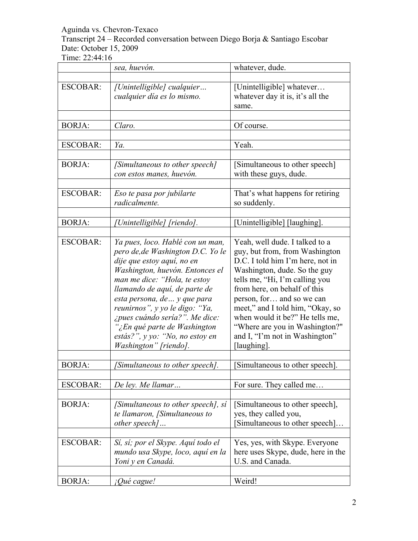Transcript 24 – Recorded conversation between Diego Borja & Santiago Escobar Date: October 15, 2009

|                 | sea, huevón.                                                                                                                                                                                                                                                                                                                                                                                            | whatever, dude.                                                                                                                                                                                                                                                                                                                                                                               |
|-----------------|---------------------------------------------------------------------------------------------------------------------------------------------------------------------------------------------------------------------------------------------------------------------------------------------------------------------------------------------------------------------------------------------------------|-----------------------------------------------------------------------------------------------------------------------------------------------------------------------------------------------------------------------------------------------------------------------------------------------------------------------------------------------------------------------------------------------|
| <b>ESCOBAR:</b> | [Unintelligible] cualquier<br>cualquier día es lo mismo.                                                                                                                                                                                                                                                                                                                                                | [Unintelligible] whatever<br>whatever day it is, it's all the<br>same.                                                                                                                                                                                                                                                                                                                        |
| <b>BORJA:</b>   | Claro.                                                                                                                                                                                                                                                                                                                                                                                                  | Of course.                                                                                                                                                                                                                                                                                                                                                                                    |
| <b>ESCOBAR:</b> | Ya.                                                                                                                                                                                                                                                                                                                                                                                                     | Yeah.                                                                                                                                                                                                                                                                                                                                                                                         |
| <b>BORJA:</b>   | [Simultaneous to other speech]<br>con estos manes, huevón.                                                                                                                                                                                                                                                                                                                                              | [Simultaneous to other speech]<br>with these guys, dude.                                                                                                                                                                                                                                                                                                                                      |
| <b>ESCOBAR:</b> | Eso te pasa por jubilarte<br>radicalmente.                                                                                                                                                                                                                                                                                                                                                              | That's what happens for retiring<br>so suddenly.                                                                                                                                                                                                                                                                                                                                              |
| <b>BORJA:</b>   | Unintelligible] [riendo].                                                                                                                                                                                                                                                                                                                                                                               | [Unintelligible] [laughing].                                                                                                                                                                                                                                                                                                                                                                  |
| <b>ESCOBAR:</b> | Ya pues, loco. Hablé con un man,<br>pero de, de Washington D.C. Yo le<br>dije que estoy aquí, no en<br>Washington, huevón. Entonces el<br>man me dice: "Hola, te estoy<br>llamando de aquí, de parte de<br>esta persona, de  y que para<br>reunirnos", y yo le digo: "Ya,<br>¿pues cuándo sería?". Me dice:<br>"¿En qué parte de Washington<br>estás?", y yo: "No, no estoy en<br>Washington" [riendo]. | Yeah, well dude. I talked to a<br>guy, but from, from Washington<br>D.C. I told him I'm here, not in<br>Washington, dude. So the guy<br>tells me, "Hi, I'm calling you<br>from here, on behalf of this<br>person, for and so we can<br>meet," and I told him, "Okay, so<br>when would it be?" He tells me,<br>"Where are you in Washington?"<br>and I, "I'm not in Washington"<br>[laughing]. |
| <b>BORJA:</b>   | [Simultaneous to other speech].                                                                                                                                                                                                                                                                                                                                                                         | [Simultaneous to other speech].                                                                                                                                                                                                                                                                                                                                                               |
| <b>ESCOBAR:</b> | De ley. Me llamar                                                                                                                                                                                                                                                                                                                                                                                       | For sure. They called me                                                                                                                                                                                                                                                                                                                                                                      |
| <b>BORJA:</b>   | [Simultaneous to other speech], si<br>te llamaron, [Simultaneous to<br>other speech]                                                                                                                                                                                                                                                                                                                    | [Simultaneous to other speech],<br>yes, they called you,<br>Simultaneous to other speech]                                                                                                                                                                                                                                                                                                     |
| <b>ESCOBAR:</b> | Sí, sí; por el Skype. Aquí todo el<br>mundo usa Skype, loco, aquí en la<br>Yoni y en Canadá.                                                                                                                                                                                                                                                                                                            | Yes, yes, with Skype. Everyone<br>here uses Skype, dude, here in the<br>U.S. and Canada.                                                                                                                                                                                                                                                                                                      |
| <b>BORJA:</b>   | <i>iQué cague!</i>                                                                                                                                                                                                                                                                                                                                                                                      | Weird!                                                                                                                                                                                                                                                                                                                                                                                        |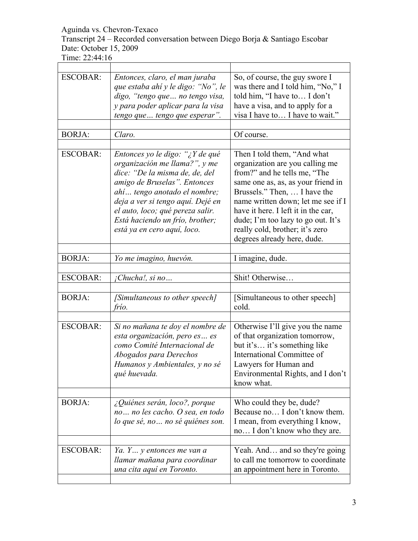Transcript 24 – Recorded conversation between Diego Borja & Santiago Escobar Date: October 15, 2009

| <b>ESCOBAR:</b> | Entonces, claro, el man juraba<br>que estaba ahí y le digo: "No", le<br>digo, "tengo que  no tengo visa,<br>y para poder aplicar para la visa<br>tengo que  tengo que esperar".                                                                                                                               | So, of course, the guy swore I<br>was there and I told him, "No," I<br>told him, "I have to I don't<br>have a visa, and to apply for a<br>visa I have to I have to wait."                                                                                                                                                                                 |
|-----------------|---------------------------------------------------------------------------------------------------------------------------------------------------------------------------------------------------------------------------------------------------------------------------------------------------------------|-----------------------------------------------------------------------------------------------------------------------------------------------------------------------------------------------------------------------------------------------------------------------------------------------------------------------------------------------------------|
|                 |                                                                                                                                                                                                                                                                                                               |                                                                                                                                                                                                                                                                                                                                                           |
| <b>BORJA:</b>   | Claro.                                                                                                                                                                                                                                                                                                        | Of course.                                                                                                                                                                                                                                                                                                                                                |
| <b>ESCOBAR:</b> | Entonces yo le digo: "¿Y de qué<br>organización me llama?", y me<br>dice: "De la misma de, de, del<br>amigo de Bruselas". Entonces<br>ahí tengo anotado el nombre;<br>deja a ver si tengo aquí. Dejé en<br>el auto, loco; qué pereza salir.<br>Está haciendo un frío, brother;<br>está ya en cero aquí, loco. | Then I told them, "And what<br>organization are you calling me<br>from?" and he tells me, "The<br>same one as, as, as your friend in<br>Brussels." Then,  I have the<br>name written down; let me see if I<br>have it here. I left it in the car,<br>dude; I'm too lazy to go out. It's<br>really cold, brother; it's zero<br>degrees already here, dude. |
| <b>BORJA:</b>   | Yo me imagino, huevón.                                                                                                                                                                                                                                                                                        | I imagine, dude.                                                                                                                                                                                                                                                                                                                                          |
|                 |                                                                                                                                                                                                                                                                                                               |                                                                                                                                                                                                                                                                                                                                                           |
| <b>ESCOBAR:</b> | Chucha!, si no                                                                                                                                                                                                                                                                                                | Shit! Otherwise                                                                                                                                                                                                                                                                                                                                           |
| <b>BORJA:</b>   | [Simultaneous to other speech]<br>frío.                                                                                                                                                                                                                                                                       | [Simultaneous to other speech]<br>cold.                                                                                                                                                                                                                                                                                                                   |
|                 |                                                                                                                                                                                                                                                                                                               |                                                                                                                                                                                                                                                                                                                                                           |
| <b>ESCOBAR:</b> | Si no mañana te doy el nombre de<br>esta organización, pero es es<br>como Comité Internacional de<br>Abogados para Derechos<br>Humanos y Ambientales, y no sé<br>qué huevada.                                                                                                                                 | Otherwise I'll give you the name<br>of that organization tomorrow,<br>but it's it's something like<br>International Committee of<br>Lawyers for Human and<br>Environmental Rights, and I don't<br>know what.                                                                                                                                              |
|                 |                                                                                                                                                                                                                                                                                                               |                                                                                                                                                                                                                                                                                                                                                           |
| <b>BORJA:</b>   | ¿Quiénes serán, loco?, porque<br>no no les cacho. O sea, en todo<br>lo que sé, no  no sé quiénes son.                                                                                                                                                                                                         | Who could they be, dude?<br>Because no I don't know them.<br>I mean, from everything I know,<br>no I don't know who they are.                                                                                                                                                                                                                             |
| <b>ESCOBAR:</b> | Ya. Y y entonces me van a<br>llamar mañana para coordinar<br>una cita aquí en Toronto.                                                                                                                                                                                                                        | Yeah. And and so they're going<br>to call me tomorrow to coordinate<br>an appointment here in Toronto.                                                                                                                                                                                                                                                    |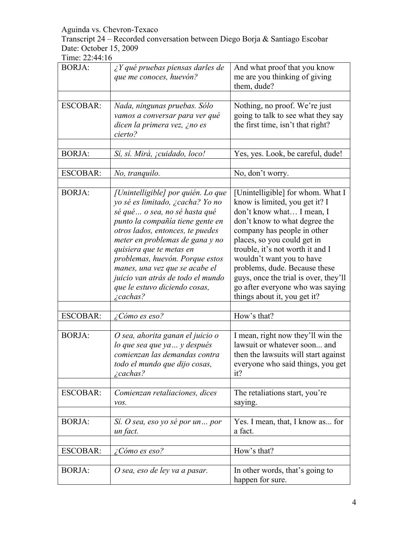Transcript 24 – Recorded conversation between Diego Borja & Santiago Escobar Date: October 15, 2009

| <b>BORJA:</b>   | ¿Y qué pruebas piensas darles de<br>que me conoces, huevón?                                                                                                                                                                                                                                                                                                                                                  | And what proof that you know<br>me are you thinking of giving<br>them, dude?                                                                                                                                                                                                                                                                                                                                   |
|-----------------|--------------------------------------------------------------------------------------------------------------------------------------------------------------------------------------------------------------------------------------------------------------------------------------------------------------------------------------------------------------------------------------------------------------|----------------------------------------------------------------------------------------------------------------------------------------------------------------------------------------------------------------------------------------------------------------------------------------------------------------------------------------------------------------------------------------------------------------|
| <b>ESCOBAR:</b> | Nada, ningunas pruebas. Sólo<br>vamos a conversar para ver qué<br>dicen la primera vez, ¿no es<br>cierto?                                                                                                                                                                                                                                                                                                    | Nothing, no proof. We're just<br>going to talk to see what they say<br>the first time, isn't that right?                                                                                                                                                                                                                                                                                                       |
| <b>BORJA:</b>   | Sí, sí. Mirá, <i>j</i> cuidado, loco!                                                                                                                                                                                                                                                                                                                                                                        | Yes, yes. Look, be careful, dude!                                                                                                                                                                                                                                                                                                                                                                              |
| <b>ESCOBAR:</b> | No, tranquilo.                                                                                                                                                                                                                                                                                                                                                                                               | No, don't worry.                                                                                                                                                                                                                                                                                                                                                                                               |
| <b>BORJA:</b>   | [Unintelligible] por quién. Lo que<br>yo sé es limitado, ¿cacha? Yo no<br>sé qué o sea, no sé hasta qué<br>punto la compañía tiene gente en<br>otros lados, entonces, te puedes<br>meter en problemas de gana y no<br>quisiera que te metas en<br>problemas, huevón. Porque estos<br>manes, una vez que se acabe el<br>juicio van atrás de todo el mundo<br>que le estuvo diciendo cosas,<br>$\zeta$ cachas? | [Unintelligible] for whom. What I<br>know is limited, you get it? I<br>don't know what I mean, I<br>don't know to what degree the<br>company has people in other<br>places, so you could get in<br>trouble, it's not worth it and I<br>wouldn't want you to have<br>problems, dude. Because these<br>guys, once the trial is over, they'll<br>go after everyone who was saying<br>things about it, you get it? |
| <b>ESCOBAR:</b> | ¿Cómo es eso?                                                                                                                                                                                                                                                                                                                                                                                                | How's that?                                                                                                                                                                                                                                                                                                                                                                                                    |
| <b>BORJA:</b>   | O sea, ahorita ganan el juicio o<br>lo que sea que ya  y después<br>comienzan las demandas contra<br>todo el mundo que dijo cosas,<br><i>i</i> cachas?                                                                                                                                                                                                                                                       | I mean, right now they'll win the<br>lawsuit or whatever soon and<br>then the lawsuits will start against<br>everyone who said things, you get<br>it?                                                                                                                                                                                                                                                          |
| <b>ESCOBAR:</b> | Comienzan retaliaciones, dices<br>vos.                                                                                                                                                                                                                                                                                                                                                                       | The retaliations start, you're<br>saying.                                                                                                                                                                                                                                                                                                                                                                      |
| <b>BORJA:</b>   | Sí. O sea, eso yo sé por un por<br>un fact.                                                                                                                                                                                                                                                                                                                                                                  | Yes. I mean, that, I know as for<br>a fact.                                                                                                                                                                                                                                                                                                                                                                    |
| <b>ESCOBAR:</b> | ¿Cómo es eso?                                                                                                                                                                                                                                                                                                                                                                                                | How's that?                                                                                                                                                                                                                                                                                                                                                                                                    |
| <b>BORJA:</b>   | O sea, eso de ley va a pasar.                                                                                                                                                                                                                                                                                                                                                                                | In other words, that's going to<br>happen for sure.                                                                                                                                                                                                                                                                                                                                                            |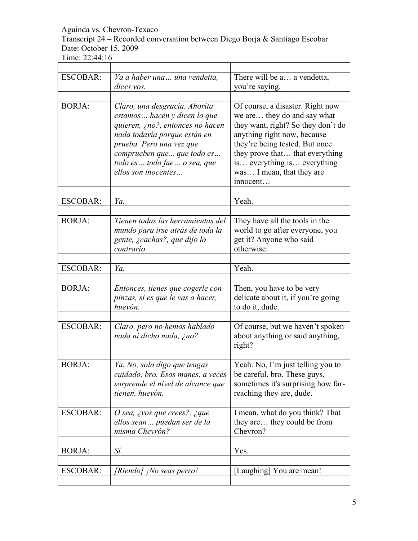Transcript 24 – Recorded conversation between Diego Borja & Santiago Escobar Date: October 15, 2009

| <b>ESCOBAR:</b> | Va a haber una una vendetta,<br>dices vos.                                                                                                                                                                                                          | There will be a a vendetta,<br>you're saying.                                                                                                                                                                                                                                     |
|-----------------|-----------------------------------------------------------------------------------------------------------------------------------------------------------------------------------------------------------------------------------------------------|-----------------------------------------------------------------------------------------------------------------------------------------------------------------------------------------------------------------------------------------------------------------------------------|
| <b>BORJA:</b>   | Claro, una desgracia. Ahorita<br>estamos hacen y dicen lo que<br>quieren, ¿no?, entonces no hacen<br>nada todavía porque están en<br>prueba. Pero una vez que<br>comprueben que que todo es<br>todo es  todo fue  o sea, que<br>ellos son inocentes | Of course, a disaster. Right now<br>we are they do and say what<br>they want, right? So they don't do<br>anything right now, because<br>they're being tested. But once<br>they prove that that everything<br>is everything is everything<br>was I mean, that they are<br>innocent |
| <b>ESCOBAR:</b> | Ya.                                                                                                                                                                                                                                                 | Yeah.                                                                                                                                                                                                                                                                             |
| <b>BORJA:</b>   | Tienen todas las herramientas del<br>mundo para irse atrás de toda la<br>gente, ¿cachas?, que dijo lo<br>contrario.                                                                                                                                 | They have all the tools in the<br>world to go after everyone, you<br>get it? Anyone who said<br>otherwise.                                                                                                                                                                        |
| <b>ESCOBAR:</b> | Ya.                                                                                                                                                                                                                                                 | Yeah.                                                                                                                                                                                                                                                                             |
| <b>BORJA:</b>   | Entonces, tienes que cogerle con<br>pinzas, si es que le vas a hacer,<br>huevón.                                                                                                                                                                    | Then, you have to be very<br>delicate about it, if you're going<br>to do it, dude.                                                                                                                                                                                                |
| <b>ESCOBAR:</b> | Claro, pero no hemos hablado<br>nada ni dicho nada, ¿no?                                                                                                                                                                                            | Of course, but we haven't spoken<br>about anything or said anything,<br>right?                                                                                                                                                                                                    |
| <b>BORJA:</b>   | Ya. No, solo digo que tengas<br>cuidado, bro. Esos manes, a veces<br>sorprende el nivel de alcance que<br>tienen, huevón.                                                                                                                           | Yeah. No, I'm just telling you to<br>be careful, bro. These guys,<br>sometimes it's surprising how far-<br>reaching they are, dude.                                                                                                                                               |
| <b>ESCOBAR:</b> | O sea, ¿vos que crees?, ¿que<br>ellos sean puedan ser de la<br>misma Chevrón?                                                                                                                                                                       | I mean, what do you think? That<br>they are they could be from<br>Chevron?                                                                                                                                                                                                        |
| <b>BORJA:</b>   | Sí.                                                                                                                                                                                                                                                 | Yes.                                                                                                                                                                                                                                                                              |
| ESCOBAR:        | [Riendo] <sub>i</sub> No seas perro!                                                                                                                                                                                                                | [Laughing] You are mean!                                                                                                                                                                                                                                                          |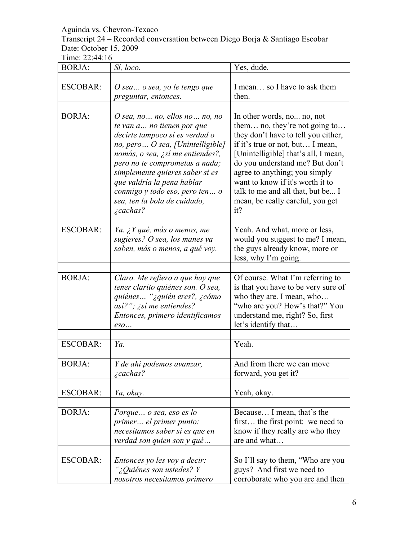#### Transcript 24 – Recorded conversation between Diego Borja & Santiago Escobar Date: October 15, 2009

| <b>BORJA:</b>   | Sí, loco.                                                                                                                                                                                                                                                                                                                                                                        | Yes, dude.                                                                                                                                                                                                                                                                                                                                                             |
|-----------------|----------------------------------------------------------------------------------------------------------------------------------------------------------------------------------------------------------------------------------------------------------------------------------------------------------------------------------------------------------------------------------|------------------------------------------------------------------------------------------------------------------------------------------------------------------------------------------------------------------------------------------------------------------------------------------------------------------------------------------------------------------------|
|                 |                                                                                                                                                                                                                                                                                                                                                                                  |                                                                                                                                                                                                                                                                                                                                                                        |
| <b>ESCOBAR:</b> | O sea o sea, yo le tengo que                                                                                                                                                                                                                                                                                                                                                     | I mean so I have to ask them                                                                                                                                                                                                                                                                                                                                           |
|                 | preguntar, entonces.                                                                                                                                                                                                                                                                                                                                                             | then.                                                                                                                                                                                                                                                                                                                                                                  |
|                 |                                                                                                                                                                                                                                                                                                                                                                                  |                                                                                                                                                                                                                                                                                                                                                                        |
| <b>BORJA:</b>   | O sea, no $\ldots$ no, ellos no $\ldots$ no, no<br>te van a no tienen por que<br>decirte tampoco si es verdad o<br>no, pero O sea, [Unintelligible]<br>nomás, o sea, ¿sí me entiendes?,<br>pero no te comprometas a nada;<br>simplemente quieres saber si es<br>que valdría la pena hablar<br>conmigo y todo eso, pero ten o<br>sea, ten la bola de cuidado,<br><i>i</i> cachas? | In other words, no no, not<br>them no, they're not going to<br>they don't have to tell you either,<br>if it's true or not, but I mean,<br>[Unintelligible] that's all, I mean,<br>do you understand me? But don't<br>agree to anything; you simply<br>want to know if it's worth it to<br>talk to me and all that, but be I<br>mean, be really careful, you get<br>it? |
|                 |                                                                                                                                                                                                                                                                                                                                                                                  |                                                                                                                                                                                                                                                                                                                                                                        |
| <b>ESCOBAR:</b> | Ya. ¿Y qué, más o menos, me<br>sugieres? O sea, los manes ya<br>saben, más o menos, a qué voy.                                                                                                                                                                                                                                                                                   | Yeah. And what, more or less,<br>would you suggest to me? I mean,<br>the guys already know, more or<br>less, why I'm going.                                                                                                                                                                                                                                            |
|                 |                                                                                                                                                                                                                                                                                                                                                                                  |                                                                                                                                                                                                                                                                                                                                                                        |
| <b>BORJA:</b>   | Claro. Me refiero a que hay que<br>tener clarito quiénes son. O sea,<br>quiénes "¿quién eres?, ¿cómo<br>asi?"; $\chi$ si me entiendes?<br>Entonces, primero identificamos<br>$\mathit{eso}$                                                                                                                                                                                      | Of course. What I'm referring to<br>is that you have to be very sure of<br>who they are. I mean, who<br>"who are you? How's that?" You<br>understand me, right? So, first<br>let's identify that                                                                                                                                                                       |
|                 |                                                                                                                                                                                                                                                                                                                                                                                  |                                                                                                                                                                                                                                                                                                                                                                        |
| <b>ESCOBAR:</b> | Ya.                                                                                                                                                                                                                                                                                                                                                                              | Yeah.                                                                                                                                                                                                                                                                                                                                                                  |
| <b>BORJA:</b>   | Y de ahí podemos avanzar,<br><i>i</i> cachas?                                                                                                                                                                                                                                                                                                                                    | And from there we can move<br>forward, you get it?                                                                                                                                                                                                                                                                                                                     |
| <b>ESCOBAR:</b> | Ya, okay.                                                                                                                                                                                                                                                                                                                                                                        | Yeah, okay.                                                                                                                                                                                                                                                                                                                                                            |
|                 |                                                                                                                                                                                                                                                                                                                                                                                  |                                                                                                                                                                                                                                                                                                                                                                        |
| <b>BORJA:</b>   | Porque o sea, eso es lo<br>primer el primer punto:<br>necesitamos saber si es que en<br>verdad son quien son y qué                                                                                                                                                                                                                                                               | Because I mean, that's the<br>first the first point: we need to<br>know if they really are who they<br>are and what                                                                                                                                                                                                                                                    |
| <b>ESCOBAR:</b> | Entonces yo les voy a decir:                                                                                                                                                                                                                                                                                                                                                     | So I'll say to them, "Who are you                                                                                                                                                                                                                                                                                                                                      |
|                 | "¿Quiénes son ustedes? Y<br>nosotros necesitamos primero                                                                                                                                                                                                                                                                                                                         | guys? And first we need to<br>corroborate who you are and then                                                                                                                                                                                                                                                                                                         |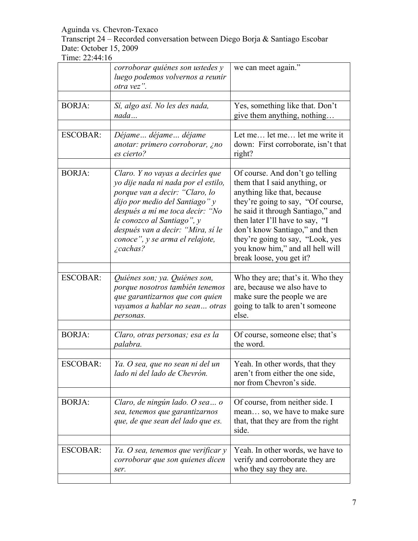Transcript 24 – Recorded conversation between Diego Borja & Santiago Escobar Date: October 15, 2009

|                 | corroborar quiénes son ustedes y<br>luego podemos volvernos a reunir<br>otra vez".                                                                                                                                                                                                                     | we can meet again."                                                                                                                                                                                                                                                                                                                                |
|-----------------|--------------------------------------------------------------------------------------------------------------------------------------------------------------------------------------------------------------------------------------------------------------------------------------------------------|----------------------------------------------------------------------------------------------------------------------------------------------------------------------------------------------------------------------------------------------------------------------------------------------------------------------------------------------------|
| <b>BORJA:</b>   | Sí, algo así. No les des nada,<br>nada                                                                                                                                                                                                                                                                 | Yes, something like that. Don't<br>give them anything, nothing                                                                                                                                                                                                                                                                                     |
| <b>ESCOBAR:</b> | Déjame déjame déjame<br>anotar: primero corroborar, ¿no<br>es cierto?                                                                                                                                                                                                                                  | Let me let me let me write it<br>down: First corroborate, isn't that<br>right?                                                                                                                                                                                                                                                                     |
| <b>BORJA:</b>   | Claro. Y no vayas a decirles que<br>yo dije nada ni nada por el estilo,<br>porque van a decir: "Claro, lo<br>dijo por medio del Santiago" y<br>después a mí me toca decir: "No<br>le conozco al Santiago", y<br>después van a decir: "Mira, sí le<br>conoce", y se arma el relajote,<br><i>cachas?</i> | Of course. And don't go telling<br>them that I said anything, or<br>anything like that, because<br>they're going to say, "Of course,<br>he said it through Santiago," and<br>then later I'll have to say, "I<br>don't know Santiago," and then<br>they're going to say, "Look, yes<br>you know him," and all hell will<br>break loose, you get it? |
| <b>ESCOBAR:</b> | Quiénes son; ya. Quiénes son,<br>porque nosotros también tenemos<br>que garantizarnos que con quien<br>vayamos a hablar no sean otras<br>personas.                                                                                                                                                     | Who they are; that's it. Who they<br>are, because we also have to<br>make sure the people we are<br>going to talk to aren't someone<br>else.                                                                                                                                                                                                       |
| <b>BORJA:</b>   | Claro, otras personas; esa es la<br>palabra.                                                                                                                                                                                                                                                           | Of course, someone else; that's<br>the word.                                                                                                                                                                                                                                                                                                       |
| <b>ESCOBAR:</b> | Ya. O sea, que no sean ni del un<br>lado ni del lado de Chevrón.                                                                                                                                                                                                                                       | Yeah. In other words, that they<br>aren't from either the one side,<br>nor from Chevron's side.                                                                                                                                                                                                                                                    |
| <b>BORJA:</b>   | Claro, de ningún lado. O sea o<br>sea, tenemos que garantizarnos<br>que, de que sean del lado que es.                                                                                                                                                                                                  | Of course, from neither side. I<br>mean so, we have to make sure<br>that, that they are from the right<br>side.                                                                                                                                                                                                                                    |
| <b>ESCOBAR:</b> | Ya. O sea, tenemos que verificar y<br>corroborar que son quienes dicen<br>ser.                                                                                                                                                                                                                         | Yeah. In other words, we have to<br>verify and corroborate they are<br>who they say they are.                                                                                                                                                                                                                                                      |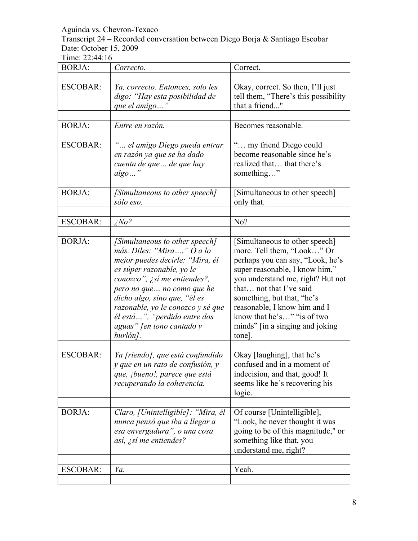Transcript 24 – Recorded conversation between Diego Borja & Santiago Escobar Date: October 15, 2009

| <b>BORJA:</b>   | Correcto.                                                                                                                                                                                                                                                                                                                                | Correct.                                                                                                                                                                                                                                                                                                                                     |
|-----------------|------------------------------------------------------------------------------------------------------------------------------------------------------------------------------------------------------------------------------------------------------------------------------------------------------------------------------------------|----------------------------------------------------------------------------------------------------------------------------------------------------------------------------------------------------------------------------------------------------------------------------------------------------------------------------------------------|
| <b>ESCOBAR:</b> | Ya, correcto. Entonces, solo les<br>digo: "Hay esta posibilidad de<br>que el amigo"                                                                                                                                                                                                                                                      | Okay, correct. So then, I'll just<br>tell them, "There's this possibility<br>that a friend"                                                                                                                                                                                                                                                  |
| <b>BORJA:</b>   | Entre en razón.                                                                                                                                                                                                                                                                                                                          | Becomes reasonable.                                                                                                                                                                                                                                                                                                                          |
| <b>ESCOBAR:</b> | " el amigo Diego pueda entrar<br>en razón ya que se ha dado<br>cuenta de que  de que hay<br>$algo$ "                                                                                                                                                                                                                                     | " my friend Diego could<br>become reasonable since he's<br>realized that that there's<br>something"                                                                                                                                                                                                                                          |
| <b>BORJA:</b>   | [Simultaneous to other speech]<br>sólo eso.                                                                                                                                                                                                                                                                                              | [Simultaneous to other speech]<br>only that.                                                                                                                                                                                                                                                                                                 |
| ESCOBAR:        | $i$ No?                                                                                                                                                                                                                                                                                                                                  | No?                                                                                                                                                                                                                                                                                                                                          |
| <b>BORJA:</b>   | [Simultaneous to other speech]<br>más. Diles: "Mira" O a lo<br>mejor puedes decirle: "Mira, él<br>es súper razonable, yo le<br>conozco", ¿sí me entiendes?,<br>pero no que no como que he<br>dicho algo, sino que, "él es<br>razonable, yo le conozco y sé que<br>él está ", "perdido entre dos<br>aguas" [en tono cantado y<br>burlón]. | [Simultaneous to other speech]<br>more. Tell them, "Look" Or<br>perhaps you can say, "Look, he's<br>super reasonable, I know him,"<br>you understand me, right? But not<br>that  not that I've said<br>something, but that, "he's<br>reasonable, I know him and I<br>know that he's" "is of two<br>minds" [in a singing and joking<br>tone]. |
| <b>ESCOBAR:</b> | Ya [riendo], que está confundido<br>y que en un rato de confusión, y<br>que, <i>j</i> bueno!, parece que está<br>recuperando la coherencia.                                                                                                                                                                                              | Okay [laughing], that he's<br>confused and in a moment of<br>indecision, and that, good! It<br>seems like he's recovering his<br>logic.                                                                                                                                                                                                      |
| <b>BORJA:</b>   | Claro, [Unintelligible]: "Mira, él<br>nunca pensó que iba a llegar a<br>esa envergadura", o una cosa<br>así, ¿sí me entiendes?                                                                                                                                                                                                           | Of course [Unintelligible],<br>"Look, he never thought it was<br>going to be of this magnitude," or<br>something like that, you<br>understand me, right?                                                                                                                                                                                     |
| <b>ESCOBAR:</b> | Ya.                                                                                                                                                                                                                                                                                                                                      | Yeah.                                                                                                                                                                                                                                                                                                                                        |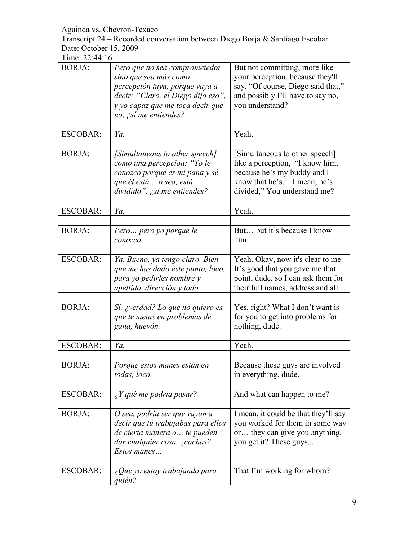Transcript 24 – Recorded conversation between Diego Borja & Santiago Escobar Date: October 15, 2009

| <b>BORJA:</b>   | Pero que no sea comprometedor<br>sino que sea más como<br>percepción tuya, porque vaya a<br>decir: "Claro, el Diego dijo eso",<br>y yo capaz que me toca decir que<br>no, $\zeta$ sí me entiendes? | But not committing, more like<br>your perception, because they'll<br>say, "Of course, Diego said that,"<br>and possibly I'll have to say no,<br>you understand? |
|-----------------|----------------------------------------------------------------------------------------------------------------------------------------------------------------------------------------------------|-----------------------------------------------------------------------------------------------------------------------------------------------------------------|
| <b>ESCOBAR:</b> | Ya.                                                                                                                                                                                                | Yeah.                                                                                                                                                           |
| <b>BORJA:</b>   | [Simultaneous to other speech]<br>como una percepción: "Yo le<br>conozco porque es mi pana y sé<br>que él está o sea, está<br>dividido", ¿sí me entiendes?                                         | [Simultaneous to other speech]<br>like a perception, "I know him,<br>because he's my buddy and I<br>know that he's I mean, he's<br>divided," You understand me? |
| <b>ESCOBAR:</b> | Ya.                                                                                                                                                                                                | Yeah.                                                                                                                                                           |
| <b>BORJA:</b>   | Pero pero yo porque le<br>conozco.                                                                                                                                                                 | But but it's because I know<br>him.                                                                                                                             |
| <b>ESCOBAR:</b> | Ya. Bueno, ya tengo claro. Bien<br>que me has dado este punto, loco,<br>para yo pedirles nombre y<br>apellido, dirección y todo.                                                                   | Yeah. Okay, now it's clear to me.<br>It's good that you gave me that<br>point, dude, so I can ask them for<br>their full names, address and all.                |
| <b>BORJA:</b>   | Sí, ¿verdad? Lo que no quiero es<br>que te metas en problemas de<br>gana, huevón.                                                                                                                  | Yes, right? What I don't want is<br>for you to get into problems for<br>nothing, dude.                                                                          |
| <b>ESCOBAR:</b> | Ya.                                                                                                                                                                                                | Yeah.                                                                                                                                                           |
| <b>BORJA:</b>   | Porque estos manes están en<br>todas, loco.                                                                                                                                                        | Because these guys are involved<br>in everything, dude.                                                                                                         |
| <b>ESCOBAR:</b> | $\chi$ Y qué me podría pasar?                                                                                                                                                                      | And what can happen to me?                                                                                                                                      |
| <b>BORJA:</b>   | O sea, podría ser que vayan a<br>decir que tú trabajabas para ellos<br>de cierta manera o  te pueden<br>dar cualquier cosa, ¿cachas?<br>Estos manes                                                | I mean, it could be that they'll say<br>you worked for them in some way<br>or they can give you anything,<br>you get it? These guys                             |
| <b>ESCOBAR:</b> | ¿Que yo estoy trabajando para<br>quién?                                                                                                                                                            | That I'm working for whom?                                                                                                                                      |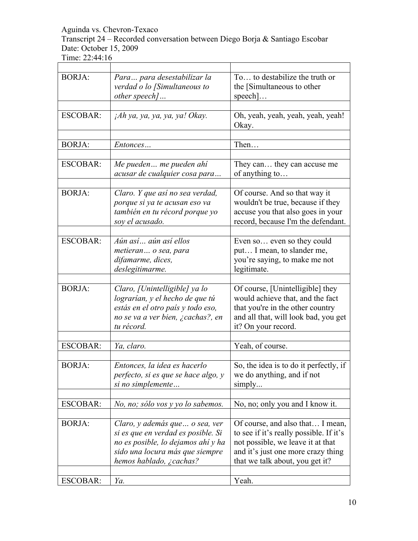Transcript 24 – Recorded conversation between Diego Borja & Santiago Escobar Date: October 15, 2009

Time: 22:44:16

| <b>BORJA:</b>   | Para para desestabilizar la<br>verdad o lo [Simultaneous to<br>other speech]                                                                                              | To to destabilize the truth or<br>the [Simultaneous to other<br>$\text{speedn}$                                                                                                           |
|-----------------|---------------------------------------------------------------------------------------------------------------------------------------------------------------------------|-------------------------------------------------------------------------------------------------------------------------------------------------------------------------------------------|
|                 |                                                                                                                                                                           |                                                                                                                                                                                           |
| <b>ESCOBAR:</b> | jAh ya, ya, ya, ya, ya! Okay.                                                                                                                                             | Oh, yeah, yeah, yeah, yeah, yeah!<br>Okay.                                                                                                                                                |
|                 |                                                                                                                                                                           |                                                                                                                                                                                           |
| <b>BORJA:</b>   | Entonces                                                                                                                                                                  | Then                                                                                                                                                                                      |
|                 |                                                                                                                                                                           |                                                                                                                                                                                           |
| <b>ESCOBAR:</b> | Me pueden me pueden ahí<br>acusar de cualquier cosa para                                                                                                                  | They can they can accuse me<br>of anything to                                                                                                                                             |
|                 |                                                                                                                                                                           |                                                                                                                                                                                           |
| <b>BORJA:</b>   | Claro. Y que así no sea verdad,<br>porque si ya te acusan eso va<br>también en tu récord porque yo<br>soy el acusado.                                                     | Of course. And so that way it<br>wouldn't be true, because if they<br>accuse you that also goes in your<br>record, because I'm the defendant.                                             |
|                 |                                                                                                                                                                           |                                                                                                                                                                                           |
| <b>ESCOBAR:</b> | Aún así aún así ellos<br>metieran o sea, para<br>difamarme, dices,<br>deslegitimarme.                                                                                     | Even so even so they could<br>put I mean, to slander me,<br>you're saying, to make me not<br>legitimate.                                                                                  |
|                 |                                                                                                                                                                           |                                                                                                                                                                                           |
| <b>BORJA:</b>   | Claro, [Unintelligible] ya lo<br>lograrían, y el hecho de que tú<br>estás en el otro país y todo eso,<br>no se va a ver bien, ¿cachas?, en<br>tu récord.                  | Of course, [Unintelligible] they<br>would achieve that, and the fact<br>that you're in the other country<br>and all that, will look bad, you get<br>it? On your record.                   |
|                 |                                                                                                                                                                           |                                                                                                                                                                                           |
| <b>ESCOBAR:</b> | Ya, claro.                                                                                                                                                                | Yeah, of course.                                                                                                                                                                          |
| <b>BORJA:</b>   | Entonces, la idea es hacerlo<br>perfecto, si es que se hace algo, y<br>si no simplemente                                                                                  | So, the idea is to do it perfectly, if<br>we do anything, and if not<br>simply                                                                                                            |
|                 |                                                                                                                                                                           |                                                                                                                                                                                           |
| <b>ESCOBAR:</b> | No, no; sólo vos y yo lo sabemos.                                                                                                                                         | No, no; only you and I know it.                                                                                                                                                           |
| <b>BORJA:</b>   | Claro, y además que  o sea, ver<br>si es que en verdad es posible. Si<br>no es posible, lo dejamos ahí y ha<br>sido una locura más que siempre<br>hemos hablado, ¿cachas? | Of course, and also that I mean,<br>to see if it's really possible. If it's<br>not possible, we leave it at that<br>and it's just one more crazy thing<br>that we talk about, you get it? |
|                 |                                                                                                                                                                           |                                                                                                                                                                                           |
| <b>ESCOBAR:</b> | Ya.                                                                                                                                                                       | Yeah.                                                                                                                                                                                     |

 $\overline{\phantom{0}}$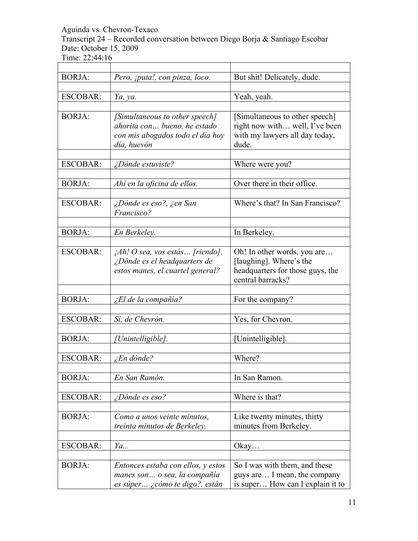Transcript 24 – Recorded conversation between Diego Borja & Santiago Escobar Date: October 15, 2009

| <b>BORJA:</b>   | Pero, <i>jputa!, con pinza, loco.</i>                                                                             | But shit! Delicately, dude.                                                                                     |
|-----------------|-------------------------------------------------------------------------------------------------------------------|-----------------------------------------------------------------------------------------------------------------|
| <b>ESCOBAR:</b> | Ya, ya.                                                                                                           | Yeah, yeah.                                                                                                     |
|                 |                                                                                                                   |                                                                                                                 |
| <b>BORJA:</b>   | [Simultaneous to other speech]<br>ahorita con bueno, he estado<br>con mis abogados todo el día hoy<br>día, huevón | [Simultaneous to other speech]<br>right now with well, I've been<br>with my lawyers all day today,<br>dude.     |
| <b>ESCOBAR:</b> | <i>iDónde estuviste?</i>                                                                                          | Where were you?                                                                                                 |
| <b>BORJA:</b>   | Ahí en la oficina de ellos.                                                                                       | Over there in their office.                                                                                     |
| <b>ESCOBAR:</b> | ¿Dónde es eso?, ¿en San<br>Francisco?                                                                             | Where's that? In San Francisco?                                                                                 |
| <b>BORJA:</b>   | En Berkeley.                                                                                                      | In Berkeley.                                                                                                    |
|                 |                                                                                                                   |                                                                                                                 |
| <b>ESCOBAR:</b> | ¡Ah! O sea, vos estás [riendo].<br>¿Dónde es el headquarters de<br>estos manes, el cuartel general?               | Oh! In other words, you are<br>[laughing]. Where's the<br>headquarters for those guys, the<br>central barracks? |
| <b>BORJA:</b>   | ¿El de la compañía?                                                                                               | For the company?                                                                                                |
| <b>ESCOBAR:</b> | Sí, de Chevrón.                                                                                                   | Yes, for Chevron.                                                                                               |
| <b>BORJA:</b>   | [Unintelligible].                                                                                                 | [Unintelligible].                                                                                               |
| <b>ESCOBAR:</b> | $\sum$ En dónde?                                                                                                  | Where?                                                                                                          |
| <b>BORJA:</b>   | En San Ramón.                                                                                                     | In San Ramon.                                                                                                   |
| <b>ESCOBAR:</b> | <i>iDónde es eso?</i>                                                                                             | Where is that?                                                                                                  |
| <b>BORJA:</b>   | Como a unos veinte minutos,<br>treinta minutos de Berkeley.                                                       | Like twenty minutes, thirty<br>minutes from Berkeley.                                                           |
| <b>ESCOBAR:</b> | Ya                                                                                                                | Okay                                                                                                            |
| <b>BORJA:</b>   | Entonces estaba con ellos, y estos<br>manes son o sea, la compañía<br>es súper ¿cómo te digo?, están              | So I was with them, and these<br>guys are I mean, the company<br>is super How can I explain it to               |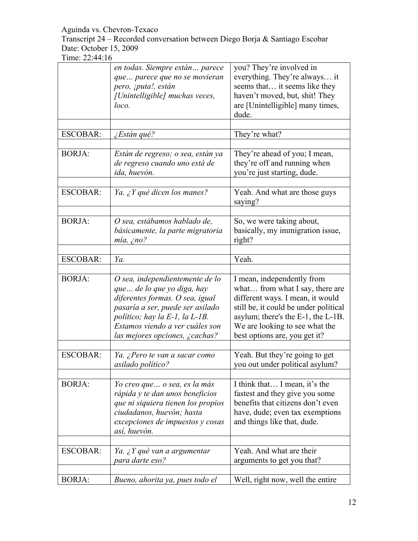Transcript 24 – Recorded conversation between Diego Borja & Santiago Escobar Date: October 15, 2009

|                 | en todas. Siempre están parece<br>que parece que no se movieran<br>pero, ¡puta!, están<br>[Unintelligible] muchas veces,<br>loco.                                                                                                            | you? They're involved in<br>everything. They're always it<br>seems that it seems like they<br>haven't moved, but, shit! They<br>are [Unintelligible] many times,<br>dude.                                                                           |
|-----------------|----------------------------------------------------------------------------------------------------------------------------------------------------------------------------------------------------------------------------------------------|-----------------------------------------------------------------------------------------------------------------------------------------------------------------------------------------------------------------------------------------------------|
| <b>ESCOBAR:</b> | ¿Están qué?                                                                                                                                                                                                                                  | They're what?                                                                                                                                                                                                                                       |
|                 |                                                                                                                                                                                                                                              |                                                                                                                                                                                                                                                     |
| <b>BORJA:</b>   | Están de regreso; o sea, están ya<br>de regreso cuando uno está de<br>ida, huevón.                                                                                                                                                           | They're ahead of you; I mean,<br>they're off and running when<br>you're just starting, dude.                                                                                                                                                        |
| <b>ESCOBAR:</b> | Ya. ¿Y qué dicen los manes?                                                                                                                                                                                                                  | Yeah. And what are those guys<br>saying?                                                                                                                                                                                                            |
| <b>BORJA:</b>   | O sea, estábamos hablado de,<br>básicamente, la parte migratoria<br>$mia$ , ¿no?                                                                                                                                                             | So, we were taking about,<br>basically, my immigration issue,<br>right?                                                                                                                                                                             |
| <b>ESCOBAR:</b> | Ya.                                                                                                                                                                                                                                          | Yeah.                                                                                                                                                                                                                                               |
|                 |                                                                                                                                                                                                                                              |                                                                                                                                                                                                                                                     |
| <b>BORJA:</b>   | O sea, independientemente de lo<br>que  de lo que yo diga, hay<br>diferentes formas. O sea, igual<br>pasaría a ser, puede ser asilado<br>político; hay la E-1, la L-1B.<br>Estamos viendo a ver cuáles son<br>las mejores opciones, ¿cachas? | I mean, independently from<br>what from what I say, there are<br>different ways. I mean, it would<br>still be, it could be under political<br>asylum; there's the E-1, the L-1B.<br>We are looking to see what the<br>best options are, you get it? |
| <b>ESCOBAR:</b> | Ya. ¿Pero te van a sacar como<br>asilado político?                                                                                                                                                                                           | Yeah. But they're going to get<br>you out under political asylum?                                                                                                                                                                                   |
| <b>BORJA:</b>   | Yo creo que  o sea, es la más<br>rápida y te dan unos beneficios<br>que ni siquiera tienen los propios<br>ciudadanos, huevón; hasta<br>excepciones de impuestos y cosas<br>así, huevón.                                                      | I think that I mean, it's the<br>fastest and they give you some<br>benefits that citizens don't even<br>have, dude; even tax exemptions<br>and things like that, dude.                                                                              |
| <b>ESCOBAR:</b> | Ya. ¿Y qué van a argumentar<br>para darte eso?                                                                                                                                                                                               | Yeah. And what are their<br>arguments to get you that?                                                                                                                                                                                              |
| <b>BORJA:</b>   | Bueno, ahorita ya, pues todo el                                                                                                                                                                                                              | Well, right now, well the entire                                                                                                                                                                                                                    |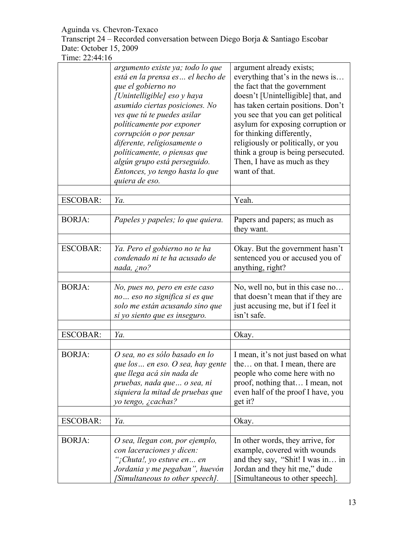Transcript 24 – Recorded conversation between Diego Borja & Santiago Escobar Date: October 15, 2009

|                 | argumento existe ya; todo lo que<br>está en la prensa es  el hecho de<br>que el gobierno no<br>[Unintelligible] eso y haya<br>asumido ciertas posiciones. No<br>ves que tú te puedes asilar<br>politicamente por exponer<br>corrupción o por pensar<br>diferente, religiosamente o<br>políticamente, o piensas que<br>algún grupo está perseguido.<br>Entonces, yo tengo hasta lo que<br>quiera de eso. | argument already exists;<br>everything that's in the news is<br>the fact that the government<br>doesn't [Unintelligible] that, and<br>has taken certain positions. Don't<br>you see that you can get political<br>asylum for exposing corruption or<br>for thinking differently,<br>religiously or politically, or you<br>think a group is being persecuted.<br>Then, I have as much as they<br>want of that. |
|-----------------|---------------------------------------------------------------------------------------------------------------------------------------------------------------------------------------------------------------------------------------------------------------------------------------------------------------------------------------------------------------------------------------------------------|---------------------------------------------------------------------------------------------------------------------------------------------------------------------------------------------------------------------------------------------------------------------------------------------------------------------------------------------------------------------------------------------------------------|
| <b>ESCOBAR:</b> | Ya.                                                                                                                                                                                                                                                                                                                                                                                                     | Yeah.                                                                                                                                                                                                                                                                                                                                                                                                         |
|                 |                                                                                                                                                                                                                                                                                                                                                                                                         |                                                                                                                                                                                                                                                                                                                                                                                                               |
| <b>BORJA:</b>   | Papeles y papeles; lo que quiera.                                                                                                                                                                                                                                                                                                                                                                       | Papers and papers; as much as<br>they want.                                                                                                                                                                                                                                                                                                                                                                   |
| <b>ESCOBAR:</b> | Ya. Pero el gobierno no te ha<br>condenado ni te ha acusado de<br>nada, ¿no?                                                                                                                                                                                                                                                                                                                            | Okay. But the government hasn't<br>sentenced you or accused you of<br>anything, right?                                                                                                                                                                                                                                                                                                                        |
| <b>BORJA:</b>   | No, pues no, pero en este caso<br>no eso no significa si es que<br>solo me están acusando sino que<br>si yo siento que es inseguro.                                                                                                                                                                                                                                                                     | No, well no, but in this case no<br>that doesn't mean that if they are<br>just accusing me, but if I feel it<br>isn't safe.                                                                                                                                                                                                                                                                                   |
|                 |                                                                                                                                                                                                                                                                                                                                                                                                         |                                                                                                                                                                                                                                                                                                                                                                                                               |
| <b>ESCOBAR:</b> | Ya.                                                                                                                                                                                                                                                                                                                                                                                                     | Okay.                                                                                                                                                                                                                                                                                                                                                                                                         |
| <b>BORJA:</b>   | O sea, no es sólo basado en lo<br>que los  en eso. O sea, hay gente<br>que llega acá sin nada de<br>pruebas, nada que  o sea, ni<br>siquiera la mitad de pruebas que<br>yo tengo, ¿cachas?                                                                                                                                                                                                              | I mean, it's not just based on what<br>the on that. I mean, there are<br>people who come here with no<br>proof, nothing that I mean, not<br>even half of the proof I have, you<br>get it?                                                                                                                                                                                                                     |
| <b>ESCOBAR:</b> | Ya.                                                                                                                                                                                                                                                                                                                                                                                                     | Okay.                                                                                                                                                                                                                                                                                                                                                                                                         |
|                 |                                                                                                                                                                                                                                                                                                                                                                                                         |                                                                                                                                                                                                                                                                                                                                                                                                               |
| <b>BORJA:</b>   | O sea, llegan con, por ejemplo,<br>con laceraciones y dicen:<br>";Chuta!, yo estuve en en<br>Jordania y me pegaban", huevón<br>[Simultaneous to other speech].                                                                                                                                                                                                                                          | In other words, they arrive, for<br>example, covered with wounds<br>and they say, "Shit! I was in in<br>Jordan and they hit me," dude<br>Simultaneous to other speech].                                                                                                                                                                                                                                       |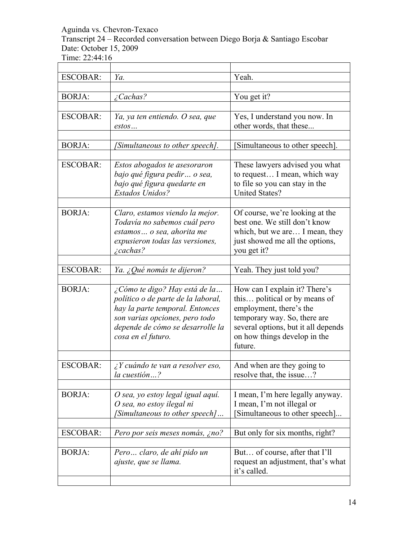Transcript 24 – Recorded conversation between Diego Borja & Santiago Escobar Date: October 15, 2009

Time: 22:44:16

| <b>ESCOBAR:</b> | Ya.                                                          | Yeah.                                                               |
|-----------------|--------------------------------------------------------------|---------------------------------------------------------------------|
|                 |                                                              |                                                                     |
| <b>BORJA:</b>   | $\angle$ <i>Cachas?</i>                                      | You get it?                                                         |
|                 |                                                              |                                                                     |
| <b>ESCOBAR:</b> | Ya, ya ten entiendo. O sea, que                              | Yes, I understand you now. In                                       |
|                 | estos                                                        | other words, that these                                             |
|                 |                                                              |                                                                     |
| <b>BORJA:</b>   | [Simultaneous to other speech].                              | [Simultaneous to other speech].                                     |
|                 |                                                              |                                                                     |
| <b>ESCOBAR:</b> | Estos abogados te asesoraron<br>bajo qué figura pedir o sea, | These lawyers advised you what<br>to request I mean, which way      |
|                 | bajo qué figura quedarte en                                  | to file so you can stay in the                                      |
|                 | Estados Unidos?                                              | <b>United States?</b>                                               |
|                 |                                                              |                                                                     |
| <b>BORJA:</b>   | Claro, estamos viendo la mejor.                              | Of course, we're looking at the                                     |
|                 | Todavía no sabemos cuál pero                                 | best one. We still don't know                                       |
|                 | estamos  o sea, ahorita me                                   | which, but we are I mean, they                                      |
|                 | expusieron todas las versiones,                              | just showed me all the options,                                     |
|                 | $\angle$ <i>cachas?</i>                                      | you get it?                                                         |
|                 |                                                              |                                                                     |
| <b>ESCOBAR:</b> | Ya. ¿Qué nomás te dijeron?                                   | Yeah. They just told you?                                           |
|                 |                                                              |                                                                     |
| <b>BORJA:</b>   | ¿Cómo te digo? Hay está de la                                | How can I explain it? There's                                       |
|                 | político o de parte de la laboral,                           | this political or by means of                                       |
|                 | hay la parte temporal. Entonces                              | employment, there's the                                             |
|                 | son varias opciones, pero todo                               | temporary way. So, there are                                        |
|                 | depende de cómo se desarrolle la<br>cosa en el futuro.       | several options, but it all depends<br>on how things develop in the |
|                 |                                                              | future.                                                             |
|                 |                                                              |                                                                     |
| <b>ESCOBAR:</b> | $\lambda$ Y cuándo te van a resolver eso,                    | And when are they going to                                          |
|                 | la cuestión?                                                 | resolve that, the issue?                                            |
|                 |                                                              |                                                                     |
| <b>BORJA:</b>   | O sea, yo estoy legal igual aquí.                            | I mean, I'm here legally anyway.                                    |
|                 | O sea, no estoy ilegal ni                                    | I mean, I'm not illegal or                                          |
|                 | [Simultaneous to other speech]                               | [Simultaneous to other speech]                                      |
|                 |                                                              |                                                                     |
| <b>ESCOBAR:</b> | Pero por seis meses nomás, ¿no?                              | But only for six months, right?                                     |
|                 |                                                              |                                                                     |
| <b>BORJA:</b>   | Pero claro, de ahí pido un                                   | But of course, after that I'll                                      |
|                 | <i>ajuste, que se llama.</i>                                 | request an adjustment, that's what                                  |
|                 |                                                              | it's called.                                                        |
|                 |                                                              |                                                                     |

 $\overline{\phantom{0}}$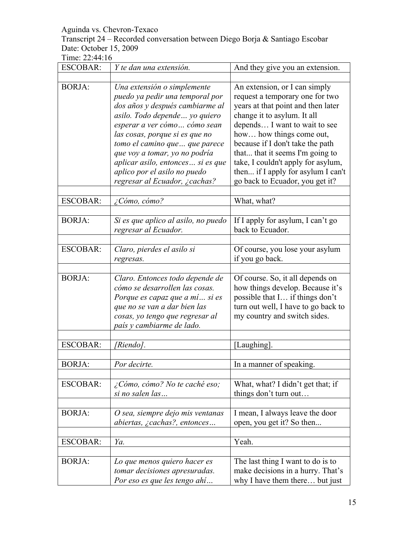#### Transcript 24 – Recorded conversation between Diego Borja & Santiago Escobar Date: October 15, 2009

| <b>ESCOBAR:</b> | Y te dan una extensión.                                                                                                                                                                                                                                                                                                                                                         | And they give you an extension.                                                                                                                                                                                                                                                                                                                                                          |
|-----------------|---------------------------------------------------------------------------------------------------------------------------------------------------------------------------------------------------------------------------------------------------------------------------------------------------------------------------------------------------------------------------------|------------------------------------------------------------------------------------------------------------------------------------------------------------------------------------------------------------------------------------------------------------------------------------------------------------------------------------------------------------------------------------------|
|                 |                                                                                                                                                                                                                                                                                                                                                                                 |                                                                                                                                                                                                                                                                                                                                                                                          |
| <b>BORJA:</b>   | Una extensión o simplemente<br>puedo ya pedir una temporal por<br>dos años y después cambiarme al<br>asilo. Todo depende  yo quiero<br>esperar a ver cómo cómo sean<br>las cosas, porque si es que no<br>tomo el camino que  que parece<br>que voy a tomar, yo no podría<br>aplicar asilo, entonces  si es que<br>aplico por el asilo no puedo<br>regresar al Ecuador, ¿cachas? | An extension, or I can simply<br>request a temporary one for two<br>years at that point and then later<br>change it to asylum. It all<br>depends I want to wait to see<br>how how things come out,<br>because if I don't take the path<br>that that it seems I'm going to<br>take, I couldn't apply for asylum,<br>then if I apply for asylum I can't<br>go back to Ecuador, you get it? |
| <b>ESCOBAR:</b> | ¿Cómo, cómo?                                                                                                                                                                                                                                                                                                                                                                    | What, what?                                                                                                                                                                                                                                                                                                                                                                              |
|                 |                                                                                                                                                                                                                                                                                                                                                                                 |                                                                                                                                                                                                                                                                                                                                                                                          |
| <b>BORJA:</b>   | Si es que aplico al asilo, no puedo<br>regresar al Ecuador.                                                                                                                                                                                                                                                                                                                     | If I apply for asylum, I can't go<br>back to Ecuador.                                                                                                                                                                                                                                                                                                                                    |
| <b>ESCOBAR:</b> | Claro, pierdes el asilo si                                                                                                                                                                                                                                                                                                                                                      | Of course, you lose your asylum                                                                                                                                                                                                                                                                                                                                                          |
|                 | regresas.                                                                                                                                                                                                                                                                                                                                                                       | if you go back.                                                                                                                                                                                                                                                                                                                                                                          |
|                 |                                                                                                                                                                                                                                                                                                                                                                                 |                                                                                                                                                                                                                                                                                                                                                                                          |
| <b>BORJA:</b>   | Claro. Entonces todo depende de<br>cómo se desarrollen las cosas.<br>Porque es capaz que a mí si es<br>que no se van a dar bien las<br>cosas, yo tengo que regresar al<br>país y cambiarme de lado.                                                                                                                                                                             | Of course. So, it all depends on<br>how things develop. Because it's<br>possible that I if things don't<br>turn out well, I have to go back to<br>my country and switch sides.                                                                                                                                                                                                           |
|                 |                                                                                                                                                                                                                                                                                                                                                                                 |                                                                                                                                                                                                                                                                                                                                                                                          |
| <b>ESCOBAR:</b> | <sup>[</sup> Riendo].                                                                                                                                                                                                                                                                                                                                                           | [Laughing].                                                                                                                                                                                                                                                                                                                                                                              |
|                 |                                                                                                                                                                                                                                                                                                                                                                                 |                                                                                                                                                                                                                                                                                                                                                                                          |
| <b>BORJA:</b>   | Por decirte.                                                                                                                                                                                                                                                                                                                                                                    | In a manner of speaking.                                                                                                                                                                                                                                                                                                                                                                 |
| <b>ESCOBAR:</b> | ¿Cómo, cómo? No te caché eso;<br>si no salen las                                                                                                                                                                                                                                                                                                                                | What, what? I didn't get that; if<br>things don't turn out                                                                                                                                                                                                                                                                                                                               |
| <b>BORJA:</b>   | O sea, siempre dejo mis ventanas<br>abiertas, ¿cachas?, entonces                                                                                                                                                                                                                                                                                                                | I mean, I always leave the door<br>open, you get it? So then                                                                                                                                                                                                                                                                                                                             |
| <b>ESCOBAR:</b> | Ya.                                                                                                                                                                                                                                                                                                                                                                             | Yeah.                                                                                                                                                                                                                                                                                                                                                                                    |
|                 |                                                                                                                                                                                                                                                                                                                                                                                 |                                                                                                                                                                                                                                                                                                                                                                                          |
| <b>BORJA:</b>   | Lo que menos quiero hacer es<br>tomar decisiones apresuradas.<br>Por eso es que les tengo ahí                                                                                                                                                                                                                                                                                   | The last thing I want to do is to<br>make decisions in a hurry. That's<br>why I have them there but just                                                                                                                                                                                                                                                                                 |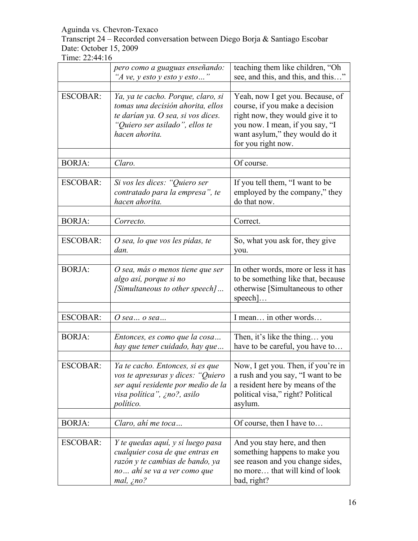Transcript 24 – Recorded conversation between Diego Borja & Santiago Escobar Date: October 15, 2009

|                 | pero como a guaguas enseñando:<br>"A ve, y esto y esto y esto"                                                                                                    | teaching them like children, "Oh<br>see, and this, and this, and this"                                                                                                                            |
|-----------------|-------------------------------------------------------------------------------------------------------------------------------------------------------------------|---------------------------------------------------------------------------------------------------------------------------------------------------------------------------------------------------|
| <b>ESCOBAR:</b> | Ya, ya te cacho. Porque, claro, si<br>tomas una decisión ahorita, ellos<br>te darían ya. O sea, si vos dices.<br>"Quiero ser asilado", ellos te<br>hacen ahorita. | Yeah, now I get you. Because, of<br>course, if you make a decision<br>right now, they would give it to<br>you now. I mean, if you say, "I<br>want asylum," they would do it<br>for you right now. |
| <b>BORJA:</b>   | Claro.                                                                                                                                                            | Of course.                                                                                                                                                                                        |
| <b>ESCOBAR:</b> | Si vos les dices: "Quiero ser<br>contratado para la empresa", te<br>hacen ahorita.                                                                                | If you tell them, "I want to be<br>employed by the company," they<br>do that now.                                                                                                                 |
| <b>BORJA:</b>   | Correcto.                                                                                                                                                         | Correct.                                                                                                                                                                                          |
| <b>ESCOBAR:</b> | O sea, lo que vos les pidas, te<br>dan.                                                                                                                           | So, what you ask for, they give<br>you.                                                                                                                                                           |
| <b>BORJA:</b>   | O sea, más o menos tiene que ser<br>algo así, porque si no<br>[Simultaneous to other speech]                                                                      | In other words, more or less it has<br>to be something like that, because<br>otherwise [Simultaneous to other<br>$\text{speed}$                                                                   |
| <b>ESCOBAR:</b> | $O$ sea $o$ sea                                                                                                                                                   | I mean in other words                                                                                                                                                                             |
| <b>BORJA:</b>   | Entonces, es como que la cosa<br>hay que tener cuidado, hay que                                                                                                   | Then, it's like the thing you<br>have to be careful, you have to                                                                                                                                  |
| ESCOBAR:        | Ya te cacho. Entonces, si es que<br>vos te apresuras y dices: "Quiero<br>ser aquí residente por medio de la<br>visa politica", ¿no?, asilo<br>político.           | Now, I get you. Then, if you're in<br>a rush and you say, "I want to be<br>a resident here by means of the<br>political visa," right? Political<br>asylum.                                        |
| <b>BORJA:</b>   | Claro, ahí me toca                                                                                                                                                | Of course, then I have to                                                                                                                                                                         |
| <b>ESCOBAR:</b> | Y te quedas aquí, y si luego pasa<br>cualquier cosa de que entras en<br>razón y te cambias de bando, ya<br>no ahí se va a ver como que<br>mal, jno?               | And you stay here, and then<br>something happens to make you<br>see reason and you change sides,<br>no more that will kind of look<br>bad, right?                                                 |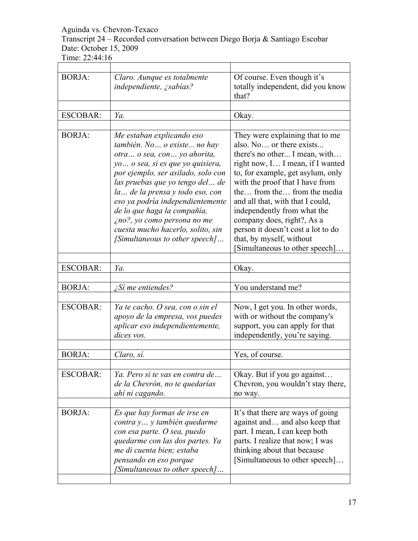Transcript 24 – Recorded conversation between Diego Borja & Santiago Escobar Date: October 15, 2009

| <b>BORJA:</b>   | Claro. Aunque es totalmente<br>independiente, ¿sabías?                                                                                                                                                                                                                                                                                                                                                                 | Of course. Even though it's<br>totally independent, did you know<br>that?                                                                                                                                                                                                                                                                                                                                                                   |
|-----------------|------------------------------------------------------------------------------------------------------------------------------------------------------------------------------------------------------------------------------------------------------------------------------------------------------------------------------------------------------------------------------------------------------------------------|---------------------------------------------------------------------------------------------------------------------------------------------------------------------------------------------------------------------------------------------------------------------------------------------------------------------------------------------------------------------------------------------------------------------------------------------|
|                 |                                                                                                                                                                                                                                                                                                                                                                                                                        |                                                                                                                                                                                                                                                                                                                                                                                                                                             |
| <b>ESCOBAR:</b> | Ya.                                                                                                                                                                                                                                                                                                                                                                                                                    | Okay.                                                                                                                                                                                                                                                                                                                                                                                                                                       |
|                 |                                                                                                                                                                                                                                                                                                                                                                                                                        |                                                                                                                                                                                                                                                                                                                                                                                                                                             |
| <b>BORJA:</b>   | Me estaban explicando eso<br>también. No  o existe  no hay<br>otra  o sea, con  yo ahorita,<br>yo  o sea, si es que yo quisiera,<br>por ejemplo, ser asilado, solo con<br>las pruebas que yo tengo del de<br>la  de la prensa y todo eso, con<br>eso ya podría independientemente<br>de lo que haga la compañía,<br>ino?, yo como persona no me<br>cuesta mucho hacerlo, solito, sin<br>[Simultaneous to other speech] | They were explaining that to me<br>also. No or there exists<br>there's no other I mean, with<br>right now, I I mean, if I wanted<br>to, for example, get asylum, only<br>with the proof that I have from<br>the from the from the media<br>and all that, with that I could,<br>independently from what the<br>company does, right?, As a<br>person it doesn't cost a lot to do<br>that, by myself, without<br>Simultaneous to other speech] |
| <b>ESCOBAR:</b> | Ya.                                                                                                                                                                                                                                                                                                                                                                                                                    | Okay.                                                                                                                                                                                                                                                                                                                                                                                                                                       |
|                 |                                                                                                                                                                                                                                                                                                                                                                                                                        |                                                                                                                                                                                                                                                                                                                                                                                                                                             |
| <b>BORJA:</b>   | $\sum$ Si me entiendes?                                                                                                                                                                                                                                                                                                                                                                                                | You understand me?                                                                                                                                                                                                                                                                                                                                                                                                                          |
| <b>ESCOBAR:</b> | Ya te cacho. O sea, con o sin el<br>apoyo de la empresa, vos puedes<br>aplicar eso independientemente,<br>dices vos.                                                                                                                                                                                                                                                                                                   | Now, I get you. In other words,<br>with or without the company's<br>support, you can apply for that<br>independently, you're saying.                                                                                                                                                                                                                                                                                                        |
| <b>BORJA:</b>   | Claro, sí.                                                                                                                                                                                                                                                                                                                                                                                                             | Yes, of course.                                                                                                                                                                                                                                                                                                                                                                                                                             |
|                 |                                                                                                                                                                                                                                                                                                                                                                                                                        |                                                                                                                                                                                                                                                                                                                                                                                                                                             |
| <b>ESCOBAR:</b> | Ya. Pero si te vas en contra de<br>de la Chevrón, no te quedarías<br>ahí ni cagando.                                                                                                                                                                                                                                                                                                                                   | Okay. But if you go against<br>Chevron, you wouldn't stay there,<br>no way.                                                                                                                                                                                                                                                                                                                                                                 |
| <b>BORJA:</b>   | Es que hay formas de irse en<br>contra y y también quedarme<br>con esa parte. O sea, puedo<br>quedarme con las dos partes. Ya<br>me di cuenta bien; estaba<br>pensando en eso porque<br>[Simultaneous to other speech]                                                                                                                                                                                                 | It's that there are ways of going<br>against and and also keep that<br>part. I mean, I can keep both<br>parts. I realize that now; I was<br>thinking about that because<br>[Simultaneous to other speech]                                                                                                                                                                                                                                   |
|                 |                                                                                                                                                                                                                                                                                                                                                                                                                        |                                                                                                                                                                                                                                                                                                                                                                                                                                             |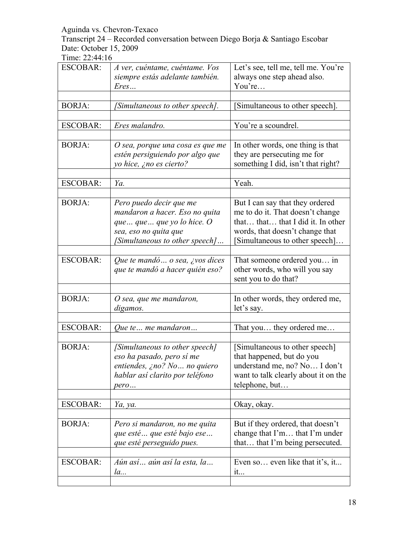Transcript 24 – Recorded conversation between Diego Borja & Santiago Escobar Date: October 15, 2009

| <b>ESCOBAR:</b> | A ver, cuéntame, cuéntame. Vos<br>siempre estás adelante también.<br>Eres                                                                           | Let's see, tell me, tell me. You're<br>always one step ahead also.<br>You're                                                                                                  |
|-----------------|-----------------------------------------------------------------------------------------------------------------------------------------------------|-------------------------------------------------------------------------------------------------------------------------------------------------------------------------------|
| <b>BORJA:</b>   | [Simultaneous to other speech].                                                                                                                     | Simultaneous to other speech].                                                                                                                                                |
| <b>ESCOBAR:</b> | Eres malandro.                                                                                                                                      | You're a scoundrel.                                                                                                                                                           |
| <b>BORJA:</b>   | O sea, porque una cosa es que me<br>estén persiguiendo por algo que<br>yo hice, ¿no es cierto?                                                      | In other words, one thing is that<br>they are persecuting me for<br>something I did, isn't that right?                                                                        |
| <b>ESCOBAR:</b> | Ya.                                                                                                                                                 | Yeah.                                                                                                                                                                         |
| <b>BORJA:</b>   | Pero puedo decir que me<br>mandaron a hacer. Eso no quita<br>que  que  que yo lo hice. O<br>sea, eso no quita que<br>[Simultaneous to other speech] | But I can say that they ordered<br>me to do it. That doesn't change<br>that that that I did it. In other<br>words, that doesn't change that<br>[Simultaneous to other speech] |
| <b>ESCOBAR:</b> | Que te mandó o sea, ¿vos dices<br>que te mandó a hacer quién eso?                                                                                   | That someone ordered you in<br>other words, who will you say<br>sent you to do that?                                                                                          |
| <b>BORJA:</b>   | O sea, que me mandaron,<br>digamos.                                                                                                                 | In other words, they ordered me,<br>let's say.                                                                                                                                |
| <b>ESCOBAR:</b> | Que te me mandaron                                                                                                                                  | That you they ordered me                                                                                                                                                      |
| <b>BORJA:</b>   | [Simultaneous to other speech]<br>eso ha pasado, pero sí me<br>entiendes, ¿no? No  no quiero<br>hablar así clarito por teléfono<br>pero             | [Simultaneous to other speech]<br>that happened, but do you<br>understand me, no? No I don't<br>want to talk clearly about it on the<br>telephone, but                        |
| <b>ESCOBAR:</b> | Ya, ya.                                                                                                                                             | Okay, okay.                                                                                                                                                                   |
| <b>BORJA:</b>   | Pero si mandaron, no me quita<br>que esté  que esté bajo ese<br>que esté perseguido pues.                                                           | But if they ordered, that doesn't<br>change that I'm that I'm under<br>that that I'm being persecuted.                                                                        |
| <b>ESCOBAR:</b> | Aún así aún así la esta, la<br>la                                                                                                                   | Even so even like that it's, it<br>1t                                                                                                                                         |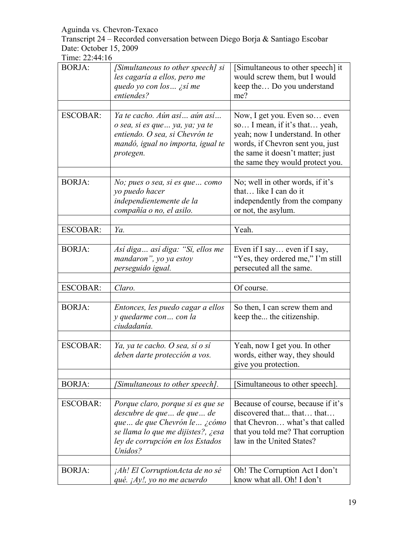Transcript 24 – Recorded conversation between Diego Borja & Santiago Escobar Date: October 15, 2009

| <b>BORJA:</b>   | [Simultaneous to other speech] si<br>les cagaría a ellos, pero me<br>quedo yo con los  ¿sí me<br>entiendes?                                                                            | [Simultaneous to other speech] it<br>would screw them, but I would<br>keep the Do you understand<br>me?                                                                                                       |
|-----------------|----------------------------------------------------------------------------------------------------------------------------------------------------------------------------------------|---------------------------------------------------------------------------------------------------------------------------------------------------------------------------------------------------------------|
| <b>ESCOBAR:</b> | Ya te cacho. Aún así aún así<br>o sea, si es que  ya, ya; ya te<br>entiendo. O sea, si Chevrón te<br>mandó, igual no importa, igual te<br>protegen.                                    | Now, I get you. Even so even<br>so I mean, if it's that yeah,<br>yeah; now I understand. In other<br>words, if Chevron sent you, just<br>the same it doesn't matter; just<br>the same they would protect you. |
| <b>BORJA:</b>   | No; pues o sea, si es que como<br>yo puedo hacer<br>independientemente de la<br>compañía o no, el asilo.                                                                               | No; well in other words, if it's<br>that like I can do it<br>independently from the company<br>or not, the asylum.                                                                                            |
| <b>ESCOBAR:</b> | Ya.                                                                                                                                                                                    | Yeah.                                                                                                                                                                                                         |
|                 |                                                                                                                                                                                        |                                                                                                                                                                                                               |
| <b>BORJA:</b>   | Así diga así diga: "Sí, ellos me<br>mandaron", yo ya estoy<br>perseguido igual.                                                                                                        | Even if I say even if I say,<br>"Yes, they ordered me," I'm still<br>persecuted all the same.                                                                                                                 |
| <b>ESCOBAR:</b> | Claro.                                                                                                                                                                                 | Of course.                                                                                                                                                                                                    |
| <b>BORJA:</b>   | Entonces, les puedo cagar a ellos<br>y quedarme con con la<br>ciudadanía.                                                                                                              | So then, I can screw them and<br>keep the the citizenship.                                                                                                                                                    |
| <b>ESCOBAR:</b> | Ya, ya te cacho. O sea, sí o sí<br>deben darte protección a vos.                                                                                                                       | Yeah, now I get you. In other<br>words, either way, they should<br>give you protection.                                                                                                                       |
| <b>BORJA:</b>   | [Simultaneous to other speech].                                                                                                                                                        | [Simultaneous to other speech].                                                                                                                                                                               |
|                 |                                                                                                                                                                                        |                                                                                                                                                                                                               |
| <b>ESCOBAR:</b> | Porque claro, porque si es que se<br>descubre de que  de que  de<br>que  de que Chevrón le  ¿cómo<br>se llama lo que me dijistes?, ¿esa<br>ley de corrupción en los Estados<br>Unidos? | Because of course, because if it's<br>discovered that that that<br>that Chevron what's that called<br>that you told me? That corruption<br>law in the United States?                                          |
| <b>BORJA:</b>   | <i>Ah! El CorruptionActa de no sé</i><br>qué. $iAy!$ , yo no me acuerdo                                                                                                                | Oh! The Corruption Act I don't<br>know what all. Oh! I don't                                                                                                                                                  |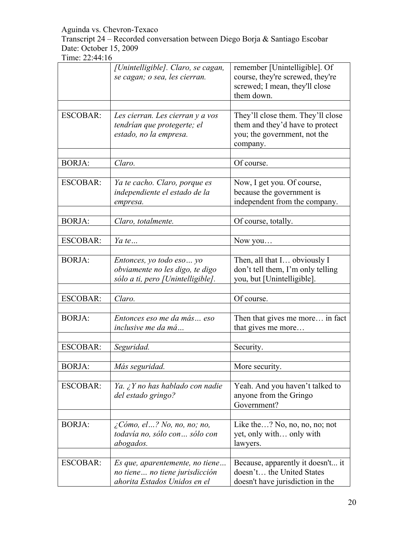Transcript 24 – Recorded conversation between Diego Borja & Santiago Escobar Date: October 15, 2009

|                 | [Unintelligible]. Claro, se cagan,<br>se cagan; o sea, les cierran.                               | remember [Unintelligible]. Of<br>course, they're screwed, they're<br>screwed; I mean, they'll close<br>them down. |
|-----------------|---------------------------------------------------------------------------------------------------|-------------------------------------------------------------------------------------------------------------------|
| <b>ESCOBAR:</b> | Les cierran. Les cierran y a vos<br>tendrían que protegerte; el<br>estado, no la empresa.         | They'll close them. They'll close<br>them and they'd have to protect<br>you; the government, not the<br>company.  |
| <b>BORJA:</b>   | Claro.                                                                                            | Of course.                                                                                                        |
| <b>ESCOBAR:</b> | Ya te cacho. Claro, porque es<br>independiente el estado de la<br>empresa.                        | Now, I get you. Of course,<br>because the government is<br>independent from the company.                          |
| <b>BORJA:</b>   | Claro, totalmente.                                                                                | Of course, totally.                                                                                               |
| <b>ESCOBAR:</b> | Ya te                                                                                             | Now you                                                                                                           |
| <b>BORJA:</b>   | Entonces, yo todo eso yo<br>obviamente no les digo, te digo<br>sólo a ti, pero [Unintelligible].  | Then, all that I obviously I<br>don't tell them, I'm only telling<br>you, but [Unintelligible].                   |
| <b>ESCOBAR:</b> | Claro.                                                                                            | Of course.                                                                                                        |
| <b>BORJA:</b>   | Entonces eso me da más eso<br>inclusive me da má                                                  | Then that gives me more in fact<br>that gives me more                                                             |
| <b>ESCOBAR:</b> | Seguridad.                                                                                        | Security.                                                                                                         |
| <b>BORJA:</b>   | Más seguridad.                                                                                    | More security.                                                                                                    |
| <b>ESCOBAR:</b> | Ya. ¿Y no has hablado con nadie<br>del estado gringo?                                             | Yeah. And you haven't talked to<br>anyone from the Gringo<br>Government?                                          |
| <b>BORJA:</b>   | $\zeta$ Cómo, el? No, no, no; no,<br>todavía no, sólo con sólo con<br>abogados.                   | Like the? No, no, no, no; not<br>yet, only with only with<br>lawyers.                                             |
| <b>ESCOBAR:</b> | Es que, aparentemente, no tiene<br>no tiene no tiene jurisdicción<br>ahorita Estados Unidos en el | Because, apparently it doesn't it<br>doesn't the United States<br>doesn't have jurisdiction in the                |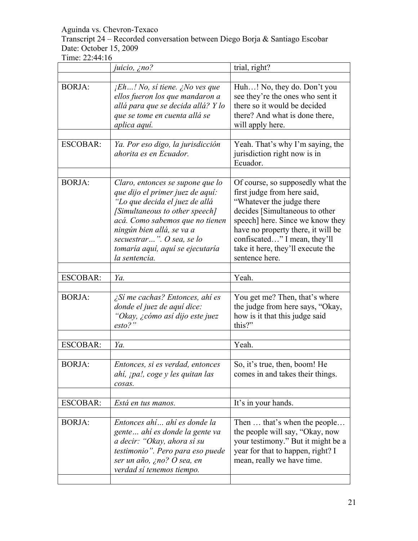Transcript 24 – Recorded conversation between Diego Borja & Santiago Escobar Date: October 15, 2009

|                 | juicio, ¿no?                                                                                                                                                                                                                                                                               | trial, right?                                                                                                                                                                                                                                                                                     |
|-----------------|--------------------------------------------------------------------------------------------------------------------------------------------------------------------------------------------------------------------------------------------------------------------------------------------|---------------------------------------------------------------------------------------------------------------------------------------------------------------------------------------------------------------------------------------------------------------------------------------------------|
|                 |                                                                                                                                                                                                                                                                                            |                                                                                                                                                                                                                                                                                                   |
| <b>BORJA:</b>   | $jEh!$ No, si tiene. $j$ No ves que<br>ellos fueron los que mandaron a<br>allá para que se decida allá? Y lo<br>que se tome en cuenta allá se<br>aplica aquí.                                                                                                                              | Huh! No, they do. Don't you<br>see they're the ones who sent it<br>there so it would be decided<br>there? And what is done there,<br>will apply here.                                                                                                                                             |
| <b>ESCOBAR:</b> | Ya. Por eso digo, la jurisdicción<br>ahorita es en Ecuador.                                                                                                                                                                                                                                | Yeah. That's why I'm saying, the<br>jurisdiction right now is in<br>Ecuador.                                                                                                                                                                                                                      |
| <b>BORJA:</b>   | Claro, entonces se supone que lo<br>que dijo el primer juez de aquí:<br>"Lo que decida el juez de allá<br>[Simultaneous to other speech]<br>acá. Como sabemos que no tienen<br>ningún bien allá, se va a<br>secuestrar". O sea, se lo<br>tomaría aquí, aquí se ejecutaría<br>la sentencia. | Of course, so supposedly what the<br>first judge from here said,<br>"Whatever the judge there"<br>decides [Simultaneous to other<br>speech] here. Since we know they<br>have no property there, it will be<br>confiscated" I mean, they'll<br>take it here, they'll execute the<br>sentence here. |
| <b>ESCOBAR:</b> | Ya.                                                                                                                                                                                                                                                                                        | Yeah.                                                                                                                                                                                                                                                                                             |
| <b>BORJA:</b>   | ¿Sí me cachas? Entonces, ahí es<br>donde el juez de aquí dice:<br>"Okay, ¿cómo así dijo este juez<br>$esto?$ "                                                                                                                                                                             | You get me? Then, that's where<br>the judge from here says, "Okay,<br>how is it that this judge said<br>this?"                                                                                                                                                                                    |
| <b>ESCOBAR:</b> | Ya.                                                                                                                                                                                                                                                                                        | Yeah.                                                                                                                                                                                                                                                                                             |
| <b>BORJA:</b>   | Entonces, si es verdad, entonces<br>ahi, ¡pa!, coge y les quitan las<br>cosas.                                                                                                                                                                                                             | So, it's true, then, boom! He<br>comes in and takes their things.                                                                                                                                                                                                                                 |
| <b>ESCOBAR:</b> | Está en tus manos.                                                                                                                                                                                                                                                                         | It's in your hands.                                                                                                                                                                                                                                                                               |
| <b>BORJA:</b>   | Entonces ahí ahí es donde la<br>gente ahí es donde la gente va<br>a decir: "Okay, ahora sí su<br>testimonio". Pero para eso puede<br>ser un año, ¿no? O sea, en<br>verdad sí tenemos tiempo.                                                                                               | Then  that's when the people<br>the people will say, "Okay, now<br>your testimony." But it might be a<br>year for that to happen, right? I<br>mean, really we have time.                                                                                                                          |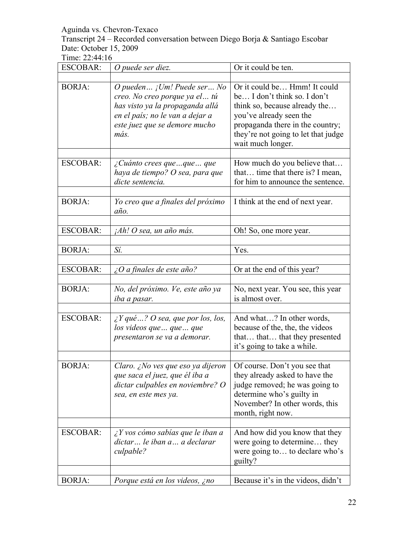Transcript 24 – Recorded conversation between Diego Borja & Santiago Escobar Date: October 15, 2009

| <b>ESCOBAR:</b> | O puede ser diez.                                                                                                                                                             | Or it could be ten.                                                                                                                                                                                                      |
|-----------------|-------------------------------------------------------------------------------------------------------------------------------------------------------------------------------|--------------------------------------------------------------------------------------------------------------------------------------------------------------------------------------------------------------------------|
|                 |                                                                                                                                                                               |                                                                                                                                                                                                                          |
| <b>BORJA:</b>   | O pueden $i$ Um! Puede ser No<br>creo. No creo porque ya el tú<br>has visto ya la propaganda allá<br>en el país; no le van a dejar a<br>este juez que se demore mucho<br>más. | Or it could be Hmm! It could<br>be I don't think so. I don't<br>think so, because already the<br>you've already seen the<br>propaganda there in the country;<br>they're not going to let that judge<br>wait much longer. |
| <b>ESCOBAR:</b> | $\lambda$ Cuánto crees que que  que<br>haya de tiempo? O sea, para que<br>dicte sentencia.                                                                                    | How much do you believe that<br>that time that there is? I mean,<br>for him to announce the sentence.                                                                                                                    |
| <b>BORJA:</b>   | Yo creo que a finales del próximo<br>año.                                                                                                                                     | I think at the end of next year.                                                                                                                                                                                         |
| <b>ESCOBAR:</b> | <i>iAh! O sea, un año más.</i>                                                                                                                                                | Oh! So, one more year.                                                                                                                                                                                                   |
| <b>BORJA:</b>   | Sí.                                                                                                                                                                           | Yes.                                                                                                                                                                                                                     |
| <b>ESCOBAR:</b> | $\zeta$ O a finales de este año?                                                                                                                                              | Or at the end of this year?                                                                                                                                                                                              |
| <b>BORJA:</b>   | No, del próximo. Ve, este año ya<br>iba a pasar.                                                                                                                              | No, next year. You see, this year<br>is almost over.                                                                                                                                                                     |
| <b>ESCOBAR:</b> | $\angle Y$ qué ? O sea, que por los, los,<br>los videos que  que  que<br>presentaron se va a demorar.                                                                         | And what? In other words,<br>because of the, the, the videos<br>that that that they presented<br>it's going to take a while.                                                                                             |
| <b>BORJA:</b>   | Claro. ¿No ves que eso ya dijeron<br>que saca el juez, que él iba a<br>dictar culpables en noviembre? O<br>sea, en este mes ya.                                               | Of course. Don't you see that<br>they already asked to have the<br>judge removed; he was going to<br>determine who's guilty in<br>November? In other words, this<br>month, right now.                                    |
| <b>ESCOBAR:</b> | $\angle Y$ vos cómo sabías que le iban a<br>dictar le iban a a declarar<br>culpable?                                                                                          | And how did you know that they<br>were going to determine they<br>were going to to declare who's<br>guilty?                                                                                                              |
| <b>BORJA:</b>   | <i>Porque está en los videos, ¿no</i>                                                                                                                                         | Because it's in the videos, didn't                                                                                                                                                                                       |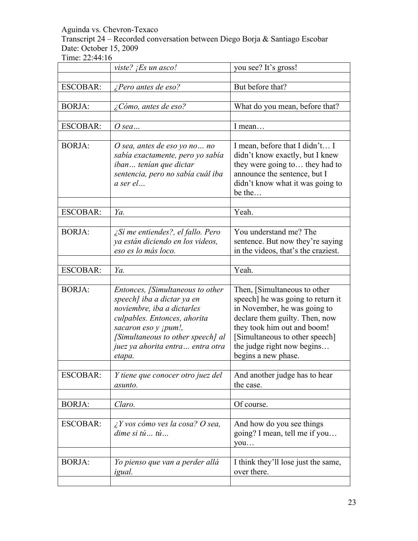Transcript 24 – Recorded conversation between Diego Borja & Santiago Escobar Date: October 15, 2009

|                 | viste? ¡Es un asco!                                                                                                                                                                                                                             | you see? It's gross!                                                                                                                                                                                                                                      |
|-----------------|-------------------------------------------------------------------------------------------------------------------------------------------------------------------------------------------------------------------------------------------------|-----------------------------------------------------------------------------------------------------------------------------------------------------------------------------------------------------------------------------------------------------------|
| <b>ESCOBAR:</b> | $i$ Pero antes de eso?                                                                                                                                                                                                                          | But before that?                                                                                                                                                                                                                                          |
| <b>BORJA:</b>   | ¿Cómo, antes de eso?                                                                                                                                                                                                                            | What do you mean, before that?                                                                                                                                                                                                                            |
| <b>ESCOBAR:</b> | O sea                                                                                                                                                                                                                                           | I mean                                                                                                                                                                                                                                                    |
| <b>BORJA:</b>   | O sea, antes de eso yo no no<br>sabía exactamente, pero yo sabía<br>iban tenían que dictar<br>sentencia, pero no sabía cuál iba<br>a ser el                                                                                                     | I mean, before that I didn't I<br>didn't know exactly, but I knew<br>they were going to they had to<br>announce the sentence, but I<br>didn't know what it was going to<br>be the                                                                         |
| <b>ESCOBAR:</b> | Ya.                                                                                                                                                                                                                                             | Yeah.                                                                                                                                                                                                                                                     |
|                 |                                                                                                                                                                                                                                                 |                                                                                                                                                                                                                                                           |
| <b>BORJA:</b>   | $\angle$ Sí me entiendes?, el fallo. Pero<br>ya están diciendo en los videos,<br>eso es lo más loco.                                                                                                                                            | You understand me? The<br>sentence. But now they're saying<br>in the videos, that's the craziest.                                                                                                                                                         |
| <b>ESCOBAR:</b> | Ya.                                                                                                                                                                                                                                             | Yeah.                                                                                                                                                                                                                                                     |
|                 |                                                                                                                                                                                                                                                 |                                                                                                                                                                                                                                                           |
| <b>BORJA:</b>   | Entonces, [Simultaneous to other<br>speech] iba a dictar ya en<br>noviembre, iba a dictarles<br>culpables. Entonces, ahorita<br>sacaron eso y <i>jpum!</i> ,<br>[Simultaneous to other speech] al<br>juez ya ahorita entra entra otra<br>etapa. | Then, [Simultaneous to other<br>speech] he was going to return it<br>in November, he was going to<br>declare them guilty. Then, now<br>they took him out and boom!<br>[Simultaneous to other speech]<br>the judge right now begins<br>begins a new phase. |
| <b>ESCOBAR:</b> | Y tiene que conocer otro juez del<br>asunto.                                                                                                                                                                                                    | And another judge has to hear<br>the case.                                                                                                                                                                                                                |
| <b>BORJA:</b>   | Claro.                                                                                                                                                                                                                                          | Of course.                                                                                                                                                                                                                                                |
| <b>ESCOBAR:</b> | ¿Y vos cómo ves la cosa? O sea,<br>$dim$ e si tú  tú                                                                                                                                                                                            | And how do you see things<br>going? I mean, tell me if you<br>you                                                                                                                                                                                         |
| <b>BORJA:</b>   | Yo pienso que van a perder allá<br>igual.                                                                                                                                                                                                       | I think they'll lose just the same,<br>over there.                                                                                                                                                                                                        |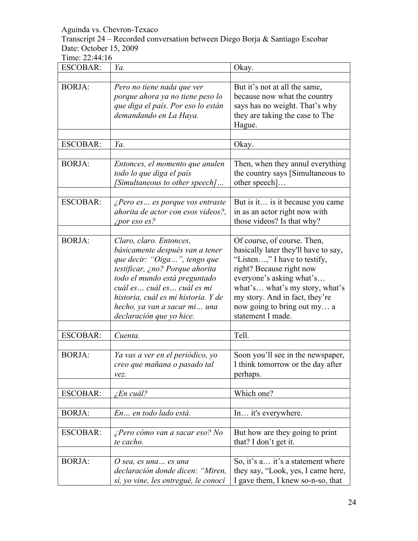Transcript 24 – Recorded conversation between Diego Borja & Santiago Escobar Date: October 15, 2009

| <b>ESCOBAR:</b> | Ya.                                                                                                                                                                                                                                                                                              | Okay.                                                                                                                                                                                                                                                                               |
|-----------------|--------------------------------------------------------------------------------------------------------------------------------------------------------------------------------------------------------------------------------------------------------------------------------------------------|-------------------------------------------------------------------------------------------------------------------------------------------------------------------------------------------------------------------------------------------------------------------------------------|
|                 |                                                                                                                                                                                                                                                                                                  |                                                                                                                                                                                                                                                                                     |
| <b>BORJA:</b>   | Pero no tiene nada que ver<br>porque ahora ya no tiene peso lo<br>que diga el país. Por eso lo están<br>demandando en La Haya.                                                                                                                                                                   | But it's not at all the same,<br>because now what the country<br>says has no weight. That's why<br>they are taking the case to The<br>Hague.                                                                                                                                        |
| <b>ESCOBAR:</b> | Ya.                                                                                                                                                                                                                                                                                              | Okay.                                                                                                                                                                                                                                                                               |
|                 |                                                                                                                                                                                                                                                                                                  |                                                                                                                                                                                                                                                                                     |
| <b>BORJA:</b>   | Entonces, el momento que anulen<br>todo lo que diga el país<br>[Simultaneous to other speech]                                                                                                                                                                                                    | Then, when they annul everything<br>the country says [Simultaneous to<br>other speech]                                                                                                                                                                                              |
| <b>ESCOBAR:</b> | ¿Pero es es porque vos entraste<br>ahorita de actor con esos videos?,<br><i>ipor eso es?</i>                                                                                                                                                                                                     | But is it is it because you came<br>in as an actor right now with<br>those videos? Is that why?                                                                                                                                                                                     |
| <b>BORJA:</b>   | Claro, claro. Entonces,<br>básicamente después van a tener<br>que decir: "Oiga ", tengo que<br>testificar, ¿no? Porque ahorita<br>todo el mundo está preguntado<br>cuál es cuál es cuál es mi<br>historia, cuál es mi historia. Y de<br>hecho, ya van a sacar mi una<br>declaración que yo hice. | Of course, of course. Then,<br>basically later they'll have to say,<br>"Listen," I have to testify,<br>right? Because right now<br>everyone's asking what's<br>what's what's my story, what's<br>my story. And in fact, they're<br>now going to bring out my a<br>statement I made. |
| <b>ESCOBAR:</b> | Cuenta.                                                                                                                                                                                                                                                                                          | Tell.                                                                                                                                                                                                                                                                               |
|                 |                                                                                                                                                                                                                                                                                                  |                                                                                                                                                                                                                                                                                     |
| <b>BORJA:</b>   | Ya vas a ver en el periódico, yo<br>creo que mañana o pasado tal<br>vez.                                                                                                                                                                                                                         | Soon you'll see in the newspaper,<br>I think tomorrow or the day after<br>perhaps.                                                                                                                                                                                                  |
| <b>ESCOBAR:</b> | $\zeta$ En cuál?                                                                                                                                                                                                                                                                                 | Which one?                                                                                                                                                                                                                                                                          |
| <b>BORJA:</b>   | En en todo lado está.                                                                                                                                                                                                                                                                            | In it's everywhere.                                                                                                                                                                                                                                                                 |
|                 |                                                                                                                                                                                                                                                                                                  |                                                                                                                                                                                                                                                                                     |
| <b>ESCOBAR:</b> | ¿Pero cómo van a sacar eso? No<br>te cacho.                                                                                                                                                                                                                                                      | But how are they going to print<br>that? I don't get it.                                                                                                                                                                                                                            |
| <b>BORJA:</b>   |                                                                                                                                                                                                                                                                                                  | So, it's a it's a statement where                                                                                                                                                                                                                                                   |
|                 | O sea, es una es una<br>declaración donde dicen: "Miren,<br>sí, yo vine, les entregué, le conocí                                                                                                                                                                                                 | they say, "Look, yes, I came here,<br>I gave them, I knew so-n-so, that                                                                                                                                                                                                             |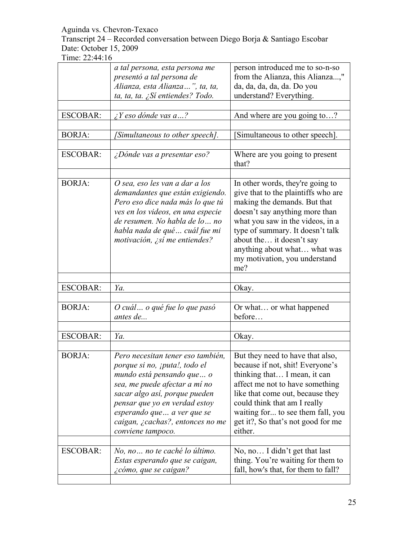Transcript 24 – Recorded conversation between Diego Borja & Santiago Escobar Date: October 15, 2009

|                 | a tal persona, esta persona me    | person introduced me to so-n-so         |
|-----------------|-----------------------------------|-----------------------------------------|
|                 | presentó a tal persona de         | from the Alianza, this Alianza,"        |
|                 | Alianza, esta Alianza", ta, ta,   | da, da, da, da, da. Do you              |
|                 | ta, ta, ta. ¿Sí entiendes? Todo.  | understand? Everything.                 |
|                 |                                   |                                         |
| <b>ESCOBAR:</b> | $\lambda$ Y eso dónde vas a?      | And where are you going to?             |
|                 |                                   |                                         |
| <b>BORJA:</b>   | [Simultaneous to other speech].   | [Simultaneous to other speech].         |
|                 |                                   |                                         |
| <b>ESCOBAR:</b> | ¿Dónde vas a presentar eso?       | Where are you going to present<br>that? |
|                 |                                   |                                         |
| <b>BORJA:</b>   | O sea, eso les van a dar a los    | In other words, they're going to        |
|                 | demandantes que están exigiendo.  | give that to the plaintiffs who are     |
|                 | Pero eso dice nada más lo que tú  | making the demands. But that            |
|                 | ves en los videos, en una especie | doesn't say anything more than          |
|                 | de resumen. No habla de lo  no    | what you saw in the videos, in a        |
|                 | habla nada de qué cuál fue mi     | type of summary. It doesn't talk        |
|                 | motivación, ¿sí me entiendes?     | about the it doesn't say                |
|                 |                                   | anything about what what was            |
|                 |                                   | my motivation, you understand           |
|                 |                                   | me?                                     |
|                 |                                   |                                         |
|                 |                                   |                                         |
| <b>ESCOBAR:</b> | Ya.                               | Okay.                                   |
|                 |                                   |                                         |
| <b>BORJA:</b>   | O cuál o qué fue lo que pasó      | Or what or what happened                |
|                 | antes de                          | before                                  |
|                 |                                   |                                         |
| <b>ESCOBAR:</b> | Ya.                               | Okay.                                   |
|                 |                                   |                                         |
| <b>BORJA:</b>   | Pero necesitan tener eso también, | But they need to have that also,        |
|                 | porque si no, ¡puta!, todo el     | because if not, shit! Everyone's        |
|                 | mundo está pensando que  o        | thinking that I mean, it can            |
|                 | sea, me puede afectar a mí no     | affect me not to have something         |
|                 | sacar algo así, porque pueden     | like that come out, because they        |
|                 | pensar que yo en verdad estoy     | could think that am I really            |
|                 | esperando que  a ver que se       | waiting for to see them fall, you       |
|                 | caigan, ¿cachas?, entonces no me  | get it?, So that's not good for me      |
|                 | conviene tampoco.                 | either.                                 |
|                 |                                   |                                         |
| <b>ESCOBAR:</b> | No, no  no te caché lo último.    | No, no I didn't get that last           |
|                 | Estas esperando que se caigan,    | thing. You're waiting for them to       |
|                 | ¿cómo, que se caigan?             | fall, how's that, for them to fall?     |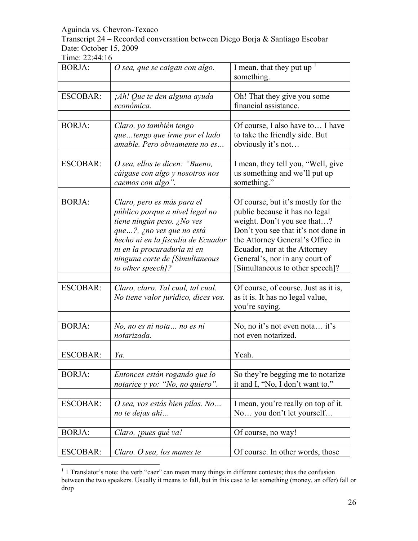Transcript 24 – Recorded conversation between Diego Borja & Santiago Escobar Date: October 15, 2009

| <b>BORJA:</b>   | O sea, que se caigan con algo.                                                                                                                                                                                                                       | I mean, that they put up<br>something.                                                                                                                                                                                                                                             |
|-----------------|------------------------------------------------------------------------------------------------------------------------------------------------------------------------------------------------------------------------------------------------------|------------------------------------------------------------------------------------------------------------------------------------------------------------------------------------------------------------------------------------------------------------------------------------|
| <b>ESCOBAR:</b> | jAh! Que te den alguna ayuda<br>económica.                                                                                                                                                                                                           | Oh! That they give you some<br>financial assistance.                                                                                                                                                                                                                               |
| <b>BORJA:</b>   | Claro, yo también tengo<br>quetengo que irme por el lado<br>amable. Pero obviamente no es                                                                                                                                                            | Of course, I also have to I have<br>to take the friendly side. But<br>obviously it's not                                                                                                                                                                                           |
| <b>ESCOBAR:</b> | O sea, ellos te dicen: "Bueno,<br>cáigase con algo y nosotros nos<br>caemos con algo".                                                                                                                                                               | I mean, they tell you, "Well, give<br>us something and we'll put up<br>something."                                                                                                                                                                                                 |
| <b>BORJA:</b>   | Claro, pero es más para el<br>público porque a nivel legal no<br>tiene ningún peso. ¿No ves<br>que?, ¿no ves que no está<br>hecho ni en la fiscalía de Ecuador<br>ni en la procuraduría ni en<br>ninguna corte de [Simultaneous<br>to other speech]? | Of course, but it's mostly for the<br>public because it has no legal<br>weight. Don't you see that?<br>Don't you see that it's not done in<br>the Attorney General's Office in<br>Ecuador, nor at the Attorney<br>General's, nor in any court of<br>Simultaneous to other speech]? |
| <b>ESCOBAR:</b> | Claro, claro. Tal cual, tal cual.<br>No tiene valor jurídico, dices vos.                                                                                                                                                                             | Of course, of course. Just as it is,<br>as it is. It has no legal value,<br>you're saying.                                                                                                                                                                                         |
| <b>BORJA:</b>   | No, no es ni nota  no es ni<br>notarizada.                                                                                                                                                                                                           | No, no it's not even nota it's<br>not even notarized.                                                                                                                                                                                                                              |
| <b>ESCOBAR:</b> | Ya.                                                                                                                                                                                                                                                  | Yeah.                                                                                                                                                                                                                                                                              |
| <b>BORJA:</b>   | Entonces están rogando que lo<br>notarice y yo: "No, no quiero".                                                                                                                                                                                     | So they're begging me to notarize<br>it and I, "No, I don't want to."                                                                                                                                                                                                              |
| <b>ESCOBAR:</b> | O sea, vos estás bien pilas. No<br>no te dejas ahí                                                                                                                                                                                                   | I mean, you're really on top of it.<br>No you don't let yourself                                                                                                                                                                                                                   |
| <b>BORJA:</b>   | Claro, <i>ipues qué va!</i>                                                                                                                                                                                                                          | Of course, no way!                                                                                                                                                                                                                                                                 |
| <b>ESCOBAR:</b> | Claro. O sea, los manes te                                                                                                                                                                                                                           | Of course. In other words, those                                                                                                                                                                                                                                                   |

 $1$  1 Translator's note: the verb "caer" can mean many things in different contexts; thus the confusion between the two speakers. Usually it means to fall, but in this case to let something (money, an offer) fall or drop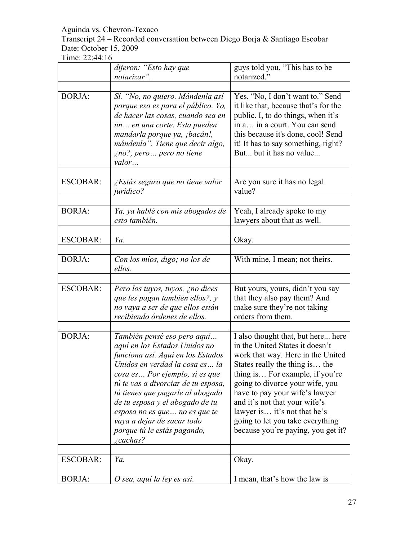#### Transcript 24 – Recorded conversation between Diego Borja & Santiago Escobar Date: October 15, 2009

|                 | dijeron: "Esto hay que<br>notarizar".                                                                                                                                                                                                                                                                                                                                                                  | guys told you, "This has to be<br>notarized."                                                                                                                                                                                                                                                                                                                                                   |
|-----------------|--------------------------------------------------------------------------------------------------------------------------------------------------------------------------------------------------------------------------------------------------------------------------------------------------------------------------------------------------------------------------------------------------------|-------------------------------------------------------------------------------------------------------------------------------------------------------------------------------------------------------------------------------------------------------------------------------------------------------------------------------------------------------------------------------------------------|
|                 |                                                                                                                                                                                                                                                                                                                                                                                                        |                                                                                                                                                                                                                                                                                                                                                                                                 |
| <b>BORJA:</b>   | Sí. "No, no quiero. Mándenla así<br>porque eso es para el público. Yo,<br>de hacer las cosas, cuando sea en<br>un en una corte. Esta pueden<br>mandarla porque ya, ¡bacán!,<br>mándenla". Tiene que decir algo,<br>ino?, pero pero no tiene<br>valor                                                                                                                                                   | Yes. "No, I don't want to." Send<br>it like that, because that's for the<br>public. I, to do things, when it's<br>in a in a court. You can send<br>this because it's done, cool! Send<br>it! It has to say something, right?<br>But but it has no value                                                                                                                                         |
| <b>ESCOBAR:</b> | ¿Estás seguro que no tiene valor<br><i>jurídico?</i>                                                                                                                                                                                                                                                                                                                                                   | Are you sure it has no legal<br>value?                                                                                                                                                                                                                                                                                                                                                          |
| <b>BORJA:</b>   | Ya, ya hablé con mis abogados de<br>esto también.                                                                                                                                                                                                                                                                                                                                                      | Yeah, I already spoke to my<br>lawyers about that as well.                                                                                                                                                                                                                                                                                                                                      |
| <b>ESCOBAR:</b> | Ya.                                                                                                                                                                                                                                                                                                                                                                                                    | Okay.                                                                                                                                                                                                                                                                                                                                                                                           |
| <b>BORJA:</b>   | Con los míos, digo; no los de<br>ellos.                                                                                                                                                                                                                                                                                                                                                                | With mine, I mean; not theirs.                                                                                                                                                                                                                                                                                                                                                                  |
| <b>ESCOBAR:</b> | Pero los tuyos, tuyos, ¿no dices<br>que les pagan también ellos?, y<br>no vaya a ser de que ellos están<br>recibiendo órdenes de ellos.                                                                                                                                                                                                                                                                | But yours, yours, didn't you say<br>that they also pay them? And<br>make sure they're not taking<br>orders from them.                                                                                                                                                                                                                                                                           |
| <b>BORJA:</b>   | También pensé eso pero aquí<br>aquí en los Estados Unidos no<br>funciona así. Aquí en los Estados<br>Unidos en verdad la cosa es la<br>cosa es  Por ejemplo, si es que<br>tú te vas a divorciar de tu esposa,<br>tú tienes que pagarle al abogado<br>de tu esposa y el abogado de tu<br>esposa no es que  no es que te<br>vaya a dejar de sacar todo<br>porque tú le estás pagando,<br>$\zeta$ cachas? | I also thought that, but here here<br>in the United States it doesn't<br>work that way. Here in the United<br>States really the thing is the<br>thing is For example, if you're<br>going to divorce your wife, you<br>have to pay your wife's lawyer<br>and it's not that your wife's<br>lawyer is it's not that he's<br>going to let you take everything<br>because you're paying, you get it? |
| <b>ESCOBAR:</b> | Ya.                                                                                                                                                                                                                                                                                                                                                                                                    | Okay.                                                                                                                                                                                                                                                                                                                                                                                           |
| <b>BORJA:</b>   | O sea, aquí la ley es así.                                                                                                                                                                                                                                                                                                                                                                             | I mean, that's how the law is                                                                                                                                                                                                                                                                                                                                                                   |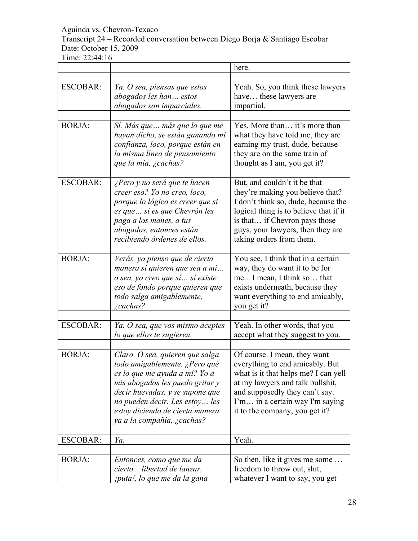#### Transcript 24 – Recorded conversation between Diego Borja & Santiago Escobar Date: October 15, 2009

|                 |                                                                                                                                                                                                                                                                            | here.                                                                                                                                                                                                                                               |
|-----------------|----------------------------------------------------------------------------------------------------------------------------------------------------------------------------------------------------------------------------------------------------------------------------|-----------------------------------------------------------------------------------------------------------------------------------------------------------------------------------------------------------------------------------------------------|
|                 |                                                                                                                                                                                                                                                                            |                                                                                                                                                                                                                                                     |
| <b>ESCOBAR:</b> | Ya. O sea, piensas que estos<br>abogados les han estos<br>abogados son imparciales.                                                                                                                                                                                        | Yeah. So, you think these lawyers<br>have these lawyers are<br>impartial.                                                                                                                                                                           |
|                 |                                                                                                                                                                                                                                                                            |                                                                                                                                                                                                                                                     |
| <b>BORJA:</b>   | Sí. Más que  más que lo que me<br>hayan dicho, se están ganando mi<br>confianza, loco, porque están en<br>la misma línea de pensamiento<br>que la mía, ¿cachas?                                                                                                            | Yes. More than it's more than<br>what they have told me, they are<br>earning my trust, dude, because<br>they are on the same train of<br>thought as I am, you get it?                                                                               |
| <b>ESCOBAR:</b> | ¿Pero y no será que te hacen<br>creer eso? Yo no creo, loco,<br>porque lo lógico es creer que si<br>es que  si es que Chevrón les<br>paga a los manes, a tus<br>abogados, entonces están<br>recibiendo órdenes de ellos.                                                   | But, and couldn't it be that<br>they're making you believe that?<br>I don't think so, dude, because the<br>logical thing is to believe that if it<br>is that if Chevron pays those<br>guys, your lawyers, then they are<br>taking orders from them. |
| <b>BORJA:</b>   | Verás, yo pienso que de cierta<br>manera sí quieren que sea a mi<br>o sea, yo creo que sí  sí existe<br>eso de fondo porque quieren que<br>todo salga amigablemente,<br><i>i</i> cachas?                                                                                   | You see, I think that in a certain<br>way, they do want it to be for<br>me I mean, I think so that<br>exists underneath, because they<br>want everything to end amicably,<br>you get it?                                                            |
|                 |                                                                                                                                                                                                                                                                            |                                                                                                                                                                                                                                                     |
| <b>ESCOBAR:</b> | Ya. O sea, que vos mismo aceptes<br>lo que ellos te sugieren.                                                                                                                                                                                                              | Yeah. In other words, that you<br>accept what they suggest to you.                                                                                                                                                                                  |
| <b>BORJA:</b>   | Claro. O sea, quieren que salga<br>todo amigablemente. ¿Pero qué<br>es lo que me ayuda a mí? Yo a<br>mis abogados les puedo gritar y<br>decir huevadas, y se supone que<br>no pueden decir. Les estoy les<br>estoy diciendo de cierta manera<br>ya a la compañía, ¿cachas? | Of course. I mean, they want<br>everything to end amicably. But<br>what is it that helps me? I can yell<br>at my lawyers and talk bullshit,<br>and supposedly they can't say.<br>I'm in a certain way I'm saying<br>it to the company, you get it?  |
|                 |                                                                                                                                                                                                                                                                            |                                                                                                                                                                                                                                                     |
| <b>ESCOBAR:</b> | Ya.                                                                                                                                                                                                                                                                        | Yeah.                                                                                                                                                                                                                                               |
| <b>BORJA:</b>   | Entonces, como que me da<br>cierto libertad de lanzar,<br>iputa!, lo que me da la gana                                                                                                                                                                                     | So then, like it gives me some<br>freedom to throw out, shit,<br>whatever I want to say, you get                                                                                                                                                    |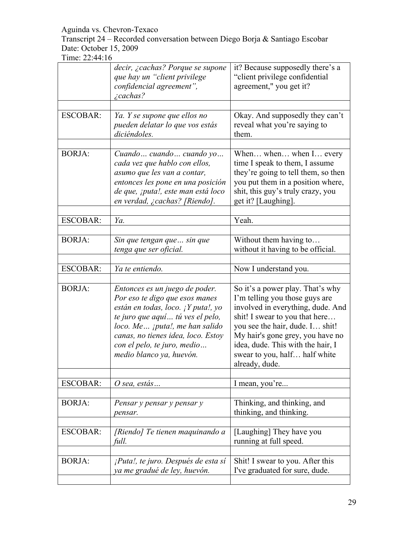Transcript 24 – Recorded conversation between Diego Borja & Santiago Escobar Date: October 15, 2009

|                 | decir, ¿cachas? Porque se supone<br>que hay un "client privilege<br>confidencial agreement",<br><i>i</i> cachas?                                                                                                                                                                        | it? Because supposedly there's a<br>"client privilege confidential<br>agreement," you get it?                                                                                                                                                                                                            |
|-----------------|-----------------------------------------------------------------------------------------------------------------------------------------------------------------------------------------------------------------------------------------------------------------------------------------|----------------------------------------------------------------------------------------------------------------------------------------------------------------------------------------------------------------------------------------------------------------------------------------------------------|
| <b>ESCOBAR:</b> | Ya. Y se supone que ellos no<br>pueden delatar lo que vos estás<br>diciéndoles.                                                                                                                                                                                                         | Okay. And supposedly they can't<br>reveal what you're saying to<br>them.                                                                                                                                                                                                                                 |
| <b>BORJA:</b>   | Cuando  cuando  cuando yo<br>cada vez que hablo con ellos,<br>asumo que les van a contar,<br>entonces les pone en una posición<br>de que, <i>iputa!</i> , este man está loco<br>en verdad, ¿cachas? [Riendo].                                                                           | When when when I every<br>time I speak to them, I assume<br>they're going to tell them, so then<br>you put them in a position where,<br>shit, this guy's truly crazy, you<br>get it? [Laughing].                                                                                                         |
| <b>ESCOBAR:</b> | Ya.                                                                                                                                                                                                                                                                                     | Yeah.                                                                                                                                                                                                                                                                                                    |
| <b>BORJA:</b>   | Sin que tengan que  sin que<br>tenga que ser oficial.                                                                                                                                                                                                                                   | Without them having to<br>without it having to be official.                                                                                                                                                                                                                                              |
| <b>ESCOBAR:</b> | Ya te entiendo.                                                                                                                                                                                                                                                                         | Now I understand you.                                                                                                                                                                                                                                                                                    |
| <b>BORJA:</b>   | Entonces es un juego de poder.<br>Por eso te digo que esos manes<br>están en todas, loco. ¡ Y puta!, yo<br>te juro que aquí  tú ves el pelo,<br>loco. Me <i>jputa!</i> , me han salido<br>canas, no tienes idea, loco. Estoy<br>con el pelo, te juro, medio<br>medio blanco ya, huevón. | So it's a power play. That's why<br>I'm telling you those guys are<br>involved in everything, dude. And<br>shit! I swear to you that here<br>you see the hair, dude. I shit!<br>My hair's gone grey, you have no<br>idea, dude. This with the hair, I<br>swear to you, half half white<br>already, dude. |
| <b>ESCOBAR:</b> | $O$ sea, estás                                                                                                                                                                                                                                                                          | I mean, you're                                                                                                                                                                                                                                                                                           |
| <b>BORJA:</b>   | Pensar y pensar y pensar y<br>pensar.                                                                                                                                                                                                                                                   | Thinking, and thinking, and<br>thinking, and thinking.                                                                                                                                                                                                                                                   |
| <b>ESCOBAR:</b> | [Riendo] Te tienen maquinando a<br>full.                                                                                                                                                                                                                                                | [Laughing] They have you<br>running at full speed.                                                                                                                                                                                                                                                       |
| <b>BORJA:</b>   | ¡Puta!, te juro. Después de esta sí<br>ya me gradué de ley, huevón.                                                                                                                                                                                                                     | Shit! I swear to you. After this<br>I've graduated for sure, dude.                                                                                                                                                                                                                                       |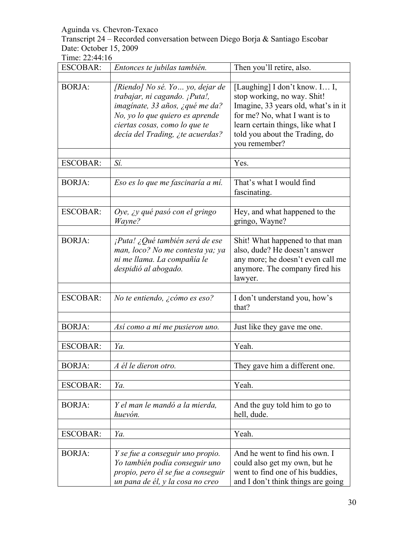Transcript 24 – Recorded conversation between Diego Borja & Santiago Escobar Date: October 15, 2009

| <b>ESCOBAR:</b> | Entonces te jubilas también.                                                                                                                                                                                 | Then you'll retire, also.                                                                                                                                                                                                    |
|-----------------|--------------------------------------------------------------------------------------------------------------------------------------------------------------------------------------------------------------|------------------------------------------------------------------------------------------------------------------------------------------------------------------------------------------------------------------------------|
| <b>BORJA:</b>   | [Riendo] No sé. Yo  yo, dejar de<br>trabajar, ni cagando. ¡Puta!,<br>imaginate, 33 años, ¿qué me da?<br>No, yo lo que quiero es aprende<br>ciertas cosas, como lo que te<br>decía del Trading, ¿te acuerdas? | [Laughing] I don't know. I I,<br>stop working, no way. Shit!<br>Imagine, 33 years old, what's in it<br>for me? No, what I want is to<br>learn certain things, like what I<br>told you about the Trading, do<br>you remember? |
| <b>ESCOBAR:</b> | Sí.                                                                                                                                                                                                          | Yes.                                                                                                                                                                                                                         |
| <b>BORJA:</b>   | Eso es lo que me fascinaría a mí.                                                                                                                                                                            | That's what I would find<br>fascinating.                                                                                                                                                                                     |
| <b>ESCOBAR:</b> | Oye, ¿y qué pasó con el gringo<br>Wayne?                                                                                                                                                                     | Hey, and what happened to the<br>gringo, Wayne?                                                                                                                                                                              |
| <b>BORJA:</b>   | $i$ Puta! ¿Qué también será de ese<br>man, loco? No me contesta ya; ya<br>ni me llama. La compañía le<br>despidió al abogado.                                                                                | Shit! What happened to that man<br>also, dude? He doesn't answer<br>any more; he doesn't even call me<br>anymore. The company fired his<br>lawyer.                                                                           |
| <b>ESCOBAR:</b> | No te entiendo, ¿cómo es eso?                                                                                                                                                                                | I don't understand you, how's<br>that?                                                                                                                                                                                       |
| <b>BORJA:</b>   | Así como a mí me pusieron uno.                                                                                                                                                                               | Just like they gave me one.                                                                                                                                                                                                  |
| <b>ESCOBAR:</b> | Ya.                                                                                                                                                                                                          | Yeah.                                                                                                                                                                                                                        |
| <b>BORJA:</b>   | A él le dieron otro.                                                                                                                                                                                         | They gave him a different one.                                                                                                                                                                                               |
| <b>ESCOBAR:</b> | Ya.                                                                                                                                                                                                          | Yeah.                                                                                                                                                                                                                        |
| <b>BORJA:</b>   | Y el man le mandó a la mierda,<br>huevón.                                                                                                                                                                    | And the guy told him to go to<br>hell, dude.                                                                                                                                                                                 |
| <b>ESCOBAR:</b> | Ya.                                                                                                                                                                                                          | Yeah.                                                                                                                                                                                                                        |
| <b>BORJA:</b>   | Y se fue a conseguir uno propio.<br>Yo también podía conseguir uno<br>propio, pero él se fue a conseguir<br>un pana de él, y la cosa no creo                                                                 | And he went to find his own. I<br>could also get my own, but he<br>went to find one of his buddies,<br>and I don't think things are going                                                                                    |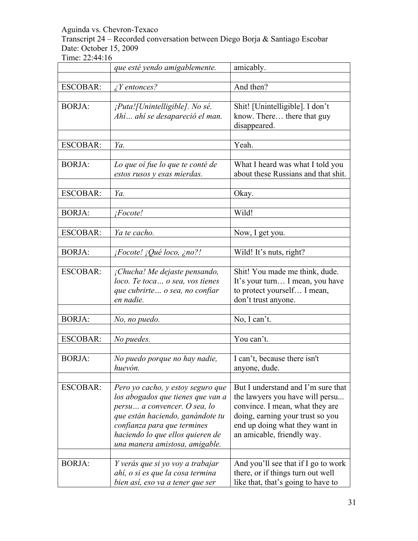Transcript 24 – Recorded conversation between Diego Borja & Santiago Escobar Date: October 15, 2009

|                 | que esté yendo amigablemente.           | amicably.                           |
|-----------------|-----------------------------------------|-------------------------------------|
|                 |                                         |                                     |
| <b>ESCOBAR:</b> | $\angle$ <i>Y</i> entonces?             | And then?                           |
| <b>BORJA:</b>   | ¡Puta![Unintelligible]. No sé.          | Shit! [Unintelligible]. I don't     |
|                 | Ahí ahí se desapareció el man.          | know. There there that guy          |
|                 |                                         | disappeared.                        |
|                 |                                         |                                     |
| <b>ESCOBAR:</b> | Ya.                                     | Yeah.                               |
|                 |                                         |                                     |
| <b>BORJA:</b>   | Lo que oi fue lo que te conté de        | What I heard was what I told you    |
|                 | estos rusos y esas mierdas.             | about these Russians and that shit. |
|                 |                                         |                                     |
| <b>ESCOBAR:</b> | Ya.                                     | Okay.                               |
| <b>BORJA:</b>   | iFocote!                                | Wild!                               |
|                 |                                         |                                     |
| <b>ESCOBAR:</b> | Ya te cacho.                            | Now, I get you.                     |
|                 |                                         |                                     |
| <b>BORJA:</b>   | $iFocote!$ $iQu\acute{e}$ loco, $ino?!$ | Wild! It's nuts, right?             |
|                 |                                         |                                     |
| <b>ESCOBAR:</b> | ¡Chucha! Me dejaste pensando,           | Shit! You made me think, dude.      |
|                 | loco. Te toca  o sea, vos tienes        | It's your turn I mean, you have     |
|                 | que cubrirte o sea, no confiar          | to protect yourself I mean,         |
|                 | en nadie.                               | don't trust anyone.                 |
|                 |                                         |                                     |
| <b>BORJA:</b>   | No, no puedo.                           | No, I can't.                        |
| <b>ESCOBAR:</b> | No puedes.                              | You can't.                          |
|                 |                                         |                                     |
| <b>BORJA:</b>   | No puedo porque no hay nadie,           | I can't, because there isn't        |
|                 | huevón.                                 | anyone, dude.                       |
|                 |                                         |                                     |
| <b>ESCOBAR:</b> | Pero yo cacho, y estoy seguro que       | But I understand and I'm sure that  |
|                 | los abogados que tienes que van a       | the lawyers you have will persu     |
|                 | persu a convencer. O sea, lo            | convince. I mean, what they are     |
|                 | que están haciendo, ganándote tu        | doing, earning your trust so you    |
|                 | confianza para que termines             | end up doing what they want in      |
|                 | haciendo lo que ellos quieren de        | an amicable, friendly way.          |
|                 | una manera amistosa, amigable.          |                                     |
| <b>BORJA:</b>   | Y verás que si yo voy a trabajar        | And you'll see that if I go to work |
|                 | ahí, o si es que la cosa termina        | there, or if things turn out well   |
|                 | bien así, eso va a tener que ser        | like that, that's going to have to  |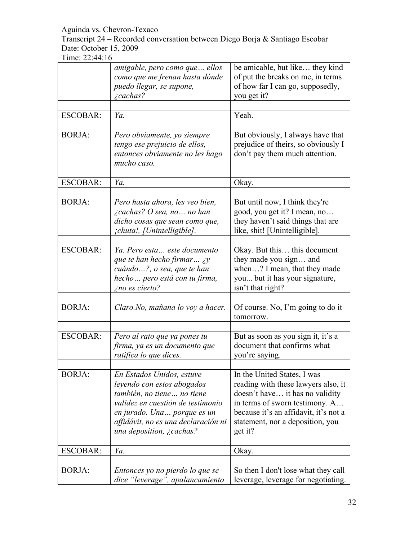Transcript 24 – Recorded conversation between Diego Borja & Santiago Escobar Date: October 15, 2009

|                 | amigable, pero como que  ellos<br>como que me frenan hasta dónde<br>puedo llegar, se supone,<br><i>i</i> cachas?                                                                                                              | be amicable, but like they kind<br>of put the breaks on me, in terms<br>of how far I can go, supposedly,<br>you get it?                                                                                                         |
|-----------------|-------------------------------------------------------------------------------------------------------------------------------------------------------------------------------------------------------------------------------|---------------------------------------------------------------------------------------------------------------------------------------------------------------------------------------------------------------------------------|
|                 |                                                                                                                                                                                                                               |                                                                                                                                                                                                                                 |
| <b>ESCOBAR:</b> | Ya.                                                                                                                                                                                                                           | Yeah.                                                                                                                                                                                                                           |
| <b>BORJA:</b>   | Pero obviamente, yo siempre<br>tengo ese prejuicio de ellos,<br>entonces obviamente no les hago<br>mucho caso.                                                                                                                | But obviously, I always have that<br>prejudice of theirs, so obviously I<br>don't pay them much attention.                                                                                                                      |
| <b>ESCOBAR:</b> | Ya.                                                                                                                                                                                                                           | Okay.                                                                                                                                                                                                                           |
|                 |                                                                                                                                                                                                                               |                                                                                                                                                                                                                                 |
| <b>BORJA:</b>   | Pero hasta ahora, les veo bien,<br>$\lambda$ cachas? O sea, no no han<br>dicho cosas que sean como que,<br>¡chuta!, [Unintelligible].                                                                                         | But until now, I think they're<br>good, you get it? I mean, no<br>they haven't said things that are<br>like, shit! [Unintelligible].                                                                                            |
|                 |                                                                                                                                                                                                                               |                                                                                                                                                                                                                                 |
| <b>ESCOBAR:</b> | Ya. Pero esta este documento<br>que te han hecho firmar $\chi y$<br>cuándo?, o sea, que te han<br>hecho pero está con tu firma,<br>ino es cierto?                                                                             | Okay. But this this document<br>they made you sign and<br>when? I mean, that they made<br>you but it has your signature,<br>isn't that right?                                                                                   |
|                 |                                                                                                                                                                                                                               |                                                                                                                                                                                                                                 |
| <b>BORJA:</b>   | Claro. No, mañana lo voy a hacer.                                                                                                                                                                                             | Of course. No, I'm going to do it<br>tomorrow.                                                                                                                                                                                  |
|                 |                                                                                                                                                                                                                               |                                                                                                                                                                                                                                 |
| <b>ESCOBAR:</b> | Pero al rato que ya pones tu<br>firma, ya es un documento que<br>ratifica lo que dices.                                                                                                                                       | But as soon as you sign it, it's a<br>document that confirms what<br>you're saying.                                                                                                                                             |
|                 |                                                                                                                                                                                                                               |                                                                                                                                                                                                                                 |
| <b>BORJA:</b>   | En Estados Unidos, estuve<br>leyendo con estos abogados<br>también, no tiene no tiene<br>validez en cuestión de testimonio<br>en jurado. Una  porque es un<br>affidávit, no es una declaración ni<br>una deposition, ¿cachas? | In the United States, I was<br>reading with these lawyers also, it<br>doesn't have it has no validity<br>in terms of sworn testimony. A<br>because it's an affidavit, it's not a<br>statement, nor a deposition, you<br>get it? |
| <b>ESCOBAR:</b> | Ya.                                                                                                                                                                                                                           | Okay.                                                                                                                                                                                                                           |
|                 |                                                                                                                                                                                                                               |                                                                                                                                                                                                                                 |
| <b>BORJA:</b>   | Entonces yo no pierdo lo que se<br>dice "leverage", apalancamiento                                                                                                                                                            | So then I don't lose what they call<br>leverage, leverage for negotiating.                                                                                                                                                      |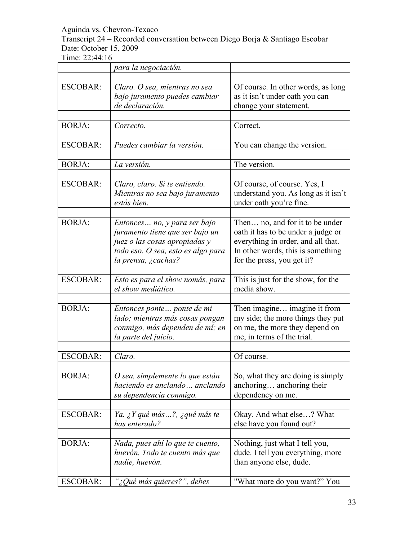Transcript 24 – Recorded conversation between Diego Borja & Santiago Escobar Date: October 15, 2009

|                 | para la negociación.                                    |                                                              |
|-----------------|---------------------------------------------------------|--------------------------------------------------------------|
|                 |                                                         |                                                              |
| <b>ESCOBAR:</b> | Claro. O sea, mientras no sea                           | Of course. In other words, as long                           |
|                 | bajo juramento puedes cambiar                           | as it isn't under oath you can                               |
|                 | de declaración.                                         | change your statement.                                       |
|                 |                                                         |                                                              |
| <b>BORJA:</b>   | Correcto.                                               | Correct.                                                     |
|                 |                                                         |                                                              |
| <b>ESCOBAR:</b> | Puedes cambiar la versión.                              | You can change the version.                                  |
| <b>BORJA:</b>   | La versión.                                             | The version.                                                 |
|                 |                                                         |                                                              |
| <b>ESCOBAR:</b> | Claro, claro. Sí te entiendo.                           | Of course, of course. Yes, I                                 |
|                 | Mientras no sea bajo juramento                          | understand you. As long as it isn't                          |
|                 | estás bien.                                             | under oath you're fine.                                      |
|                 |                                                         |                                                              |
| <b>BORJA:</b>   | Entonces  no, y para ser bajo                           | Then no, and for it to be under                              |
|                 | juramento tiene que ser bajo un                         | oath it has to be under a judge or                           |
|                 | juez o las cosas apropiadas y                           | everything in order, and all that.                           |
|                 | todo eso. O sea, esto es algo para                      | In other words, this is something                            |
|                 | la prensa, ¿cachas?                                     | for the press, you get it?                                   |
|                 |                                                         |                                                              |
| <b>ESCOBAR:</b> | Esto es para el show nomás, para                        | This is just for the show, for the                           |
|                 | el show mediático.                                      | media show.                                                  |
|                 |                                                         |                                                              |
| <b>BORJA:</b>   | Entonces ponte ponte de mi                              | Then imagine imagine it from                                 |
|                 | lado; mientras más cosas pongan                         | my side; the more things they put                            |
|                 | conmigo, más dependen de mí; en<br>la parte del juicio. | on me, the more they depend on<br>me, in terms of the trial. |
|                 |                                                         |                                                              |
| <b>ESCOBAR:</b> | Claro.                                                  | Of course.                                                   |
|                 |                                                         |                                                              |
| <b>BORJA:</b>   | O sea, simplemente lo que están                         | So, what they are doing is simply                            |
|                 | haciendo es anclando  anclando                          | anchoring anchoring their                                    |
|                 | su dependencia conmigo.                                 | dependency on me.                                            |
|                 |                                                         |                                                              |
| <b>ESCOBAR:</b> | Ya. ¿Y qué más?, ¿qué más te                            | Okay. And what else? What                                    |
|                 | has enterado?                                           | else have you found out?                                     |
|                 |                                                         |                                                              |
| <b>BORJA:</b>   | Nada, pues ahí lo que te cuento,                        | Nothing, just what I tell you,                               |
|                 | huevón. Todo te cuento más que                          | dude. I tell you everything, more                            |
|                 | nadie, huevón.                                          | than anyone else, dude.                                      |
|                 |                                                         |                                                              |
| <b>ESCOBAR:</b> | "¿Qué más quieres?", debes                              | "What more do you want?" You                                 |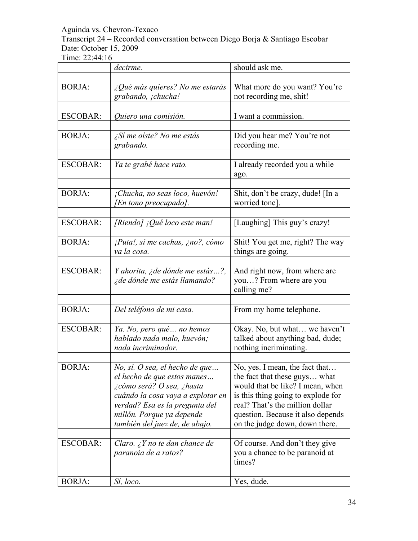Transcript 24 – Recorded conversation between Diego Borja & Santiago Escobar Date: October 15, 2009

|                 | decirme.                                                                                                                                                                                                                         | should ask me.                                                                                                                                                                                                                                       |
|-----------------|----------------------------------------------------------------------------------------------------------------------------------------------------------------------------------------------------------------------------------|------------------------------------------------------------------------------------------------------------------------------------------------------------------------------------------------------------------------------------------------------|
|                 |                                                                                                                                                                                                                                  |                                                                                                                                                                                                                                                      |
| <b>BORJA:</b>   | $\lambda$ Qué más quieres? No me estarás<br>grabando, ¡chucha!                                                                                                                                                                   | What more do you want? You're<br>not recording me, shit!                                                                                                                                                                                             |
|                 |                                                                                                                                                                                                                                  |                                                                                                                                                                                                                                                      |
| <b>ESCOBAR:</b> | Quiero una comisión.                                                                                                                                                                                                             | I want a commission.                                                                                                                                                                                                                                 |
| <b>BORJA:</b>   | ¿Sí me oíste? No me estás<br>grabando.                                                                                                                                                                                           | Did you hear me? You're not<br>recording me.                                                                                                                                                                                                         |
| <b>ESCOBAR:</b> | Ya te grabé hace rato.                                                                                                                                                                                                           | I already recorded you a while<br>ago.                                                                                                                                                                                                               |
| <b>BORJA:</b>   | ¡Chucha, no seas loco, huevón!<br>[En tono preocupado].                                                                                                                                                                          | Shit, don't be crazy, dude! [In a<br>worried tone].                                                                                                                                                                                                  |
| <b>ESCOBAR:</b> | [Riendo] ¡Qué loco este man!                                                                                                                                                                                                     | [Laughing] This guy's crazy!                                                                                                                                                                                                                         |
| <b>BORJA:</b>   | ¡Puta!, sí me cachas, ¿no?, cómo<br>va la cosa.                                                                                                                                                                                  | Shit! You get me, right? The way<br>things are going.                                                                                                                                                                                                |
| <b>ESCOBAR:</b> | Y ahorita, ¿de dónde me estás?,<br>¿de dónde me estás llamando?                                                                                                                                                                  | And right now, from where are<br>you? From where are you<br>calling me?                                                                                                                                                                              |
| <b>BORJA:</b>   | Del teléfono de mi casa.                                                                                                                                                                                                         | From my home telephone.                                                                                                                                                                                                                              |
| <b>ESCOBAR:</b> | Ya. No, pero qué no hemos<br>hablado nada malo, huevón;<br>nada incriminador.                                                                                                                                                    | Okay. No, but what we haven't<br>talked about anything bad, dude;<br>nothing incriminating.                                                                                                                                                          |
| <b>BORJA:</b>   | No, sí. O sea, el hecho de que<br>el hecho de que estos manes<br>¿cómo será? O sea, ¿hasta<br>cuándo la cosa vaya a explotar en<br>verdad? Esa es la pregunta del<br>millón. Porque ya depende<br>también del juez de, de abajo. | No, yes. I mean, the fact that.<br>the fact that these guys what<br>would that be like? I mean, when<br>is this thing going to explode for<br>real? That's the million dollar<br>question. Because it also depends<br>on the judge down, down there. |
| <b>ESCOBAR:</b> | Claro. ¿Y no te dan chance de<br>paranoia de a ratos?                                                                                                                                                                            | Of course. And don't they give<br>you a chance to be paranoid at<br>times?                                                                                                                                                                           |
| <b>BORJA:</b>   | Sí, loco.                                                                                                                                                                                                                        | Yes, dude.                                                                                                                                                                                                                                           |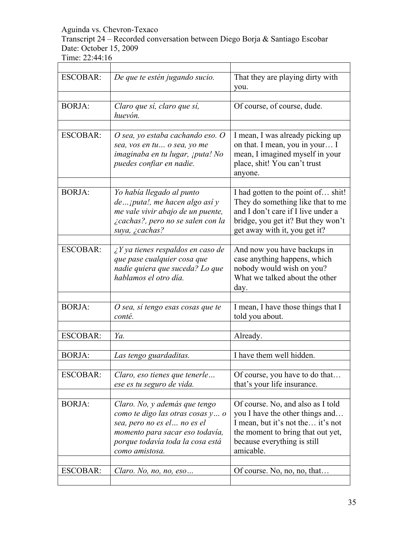### Transcript 24 – Recorded conversation between Diego Borja & Santiago Escobar Date: October 15, 2009

| <b>ESCOBAR:</b> | De que te estén jugando sucio.                                                                                                                                                             | That they are playing dirty with<br>you.                                                                                                                                                   |
|-----------------|--------------------------------------------------------------------------------------------------------------------------------------------------------------------------------------------|--------------------------------------------------------------------------------------------------------------------------------------------------------------------------------------------|
|                 |                                                                                                                                                                                            |                                                                                                                                                                                            |
| <b>BORJA:</b>   | Claro que sí, claro que sí,<br>huevón.                                                                                                                                                     | Of course, of course, dude.                                                                                                                                                                |
|                 |                                                                                                                                                                                            |                                                                                                                                                                                            |
| <b>ESCOBAR:</b> | O sea, yo estaba cachando eso. O<br>sea, vos en tu o sea, yo me<br>imaginaba en tu lugar, ¡puta! No<br>puedes confiar en nadie.                                                            | I mean, I was already picking up<br>on that. I mean, you in your I<br>mean, I imagined myself in your<br>place, shit! You can't trust<br>anyone.                                           |
|                 |                                                                                                                                                                                            |                                                                                                                                                                                            |
| <b>BORJA:</b>   | Yo había llegado al punto<br>$de$ iputa!, me hacen algo así y<br>me vale vivir abajo de un puente,<br>¿cachas?, pero no se salen con la<br>suya, ¿cachas?                                  | I had gotten to the point of shit!<br>They do something like that to me<br>and I don't care if I live under a<br>bridge, you get it? But they won't<br>get away with it, you get it?       |
|                 |                                                                                                                                                                                            |                                                                                                                                                                                            |
| <b>ESCOBAR:</b> | $\angle$ <i>Y</i> ya tienes respaldos en caso de<br>que pase cualquier cosa que<br>nadie quiera que suceda? Lo que<br>hablamos el otro día.                                                | And now you have backups in<br>case anything happens, which<br>nobody would wish on you?<br>What we talked about the other<br>day.                                                         |
|                 |                                                                                                                                                                                            |                                                                                                                                                                                            |
| <b>BORJA:</b>   | O sea, sí tengo esas cosas que te<br>conté.                                                                                                                                                | I mean, I have those things that I<br>told you about.                                                                                                                                      |
|                 |                                                                                                                                                                                            |                                                                                                                                                                                            |
| <b>ESCOBAR:</b> | Ya.                                                                                                                                                                                        | Already.                                                                                                                                                                                   |
|                 |                                                                                                                                                                                            |                                                                                                                                                                                            |
| <b>BORJA:</b>   | Las tengo guardaditas.                                                                                                                                                                     | I have them well hidden.                                                                                                                                                                   |
| <b>ESCOBAR:</b> | Claro, eso tienes que tenerle<br>ese es tu seguro de vida.                                                                                                                                 | Of course, you have to do that<br>that's your life insurance.                                                                                                                              |
|                 |                                                                                                                                                                                            |                                                                                                                                                                                            |
| <b>BORJA:</b>   | Claro. No, y además que tengo<br>como te digo las otras cosas y o<br>sea, pero no es el  no es el<br>momento para sacar eso todavía,<br>porque todavía toda la cosa está<br>como amistosa. | Of course. No, and also as I told<br>you I have the other things and<br>I mean, but it's not the it's not<br>the moment to bring that out yet,<br>because everything is still<br>amicable. |
|                 |                                                                                                                                                                                            |                                                                                                                                                                                            |
| ESCOBAR:        | Claro. No, no, no, eso                                                                                                                                                                     | Of course. No, no, no, that                                                                                                                                                                |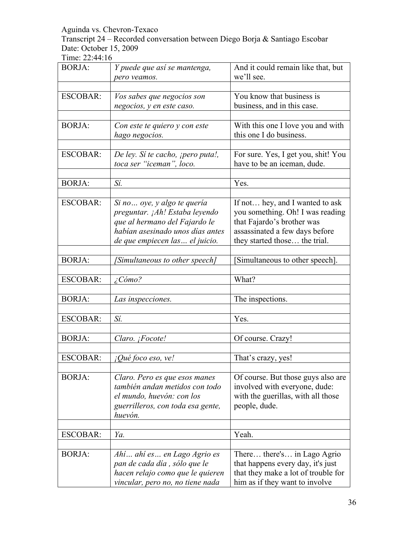Transcript 24 – Recorded conversation between Diego Borja & Santiago Escobar Date: October 15, 2009

| <b>BORJA:</b>   | Y puede que así se mantenga,<br>pero veamos.                                                                                                                           | And it could remain like that, but<br>we'll see.                                                                                                                     |
|-----------------|------------------------------------------------------------------------------------------------------------------------------------------------------------------------|----------------------------------------------------------------------------------------------------------------------------------------------------------------------|
|                 |                                                                                                                                                                        |                                                                                                                                                                      |
| <b>ESCOBAR:</b> | Vos sabes que negocios son<br>negocios, y en este caso.                                                                                                                | You know that business is<br>business, and in this case.                                                                                                             |
| <b>BORJA:</b>   | Con este te quiero y con este<br>hago negocios.                                                                                                                        | With this one I love you and with<br>this one I do business.                                                                                                         |
| <b>ESCOBAR:</b> | De ley. Si te cacho, ¡pero puta!,<br>toca ser "iceman", loco.                                                                                                          | For sure. Yes, I get you, shit! You<br>have to be an iceman, dude.                                                                                                   |
| <b>BORJA:</b>   | Sí.                                                                                                                                                                    | Yes.                                                                                                                                                                 |
| <b>ESCOBAR:</b> | Si no  oye, y algo te quería<br>preguntar. ¡Ah! Estaba leyendo<br>que al hermano del Fajardo le<br>habían asesinado unos días antes<br>de que empiecen las  el juicio. | If not hey, and I wanted to ask<br>you something. Oh! I was reading<br>that Fajardo's brother was<br>assassinated a few days before<br>they started those the trial. |
| <b>BORJA:</b>   | [Simultaneous to other speech]                                                                                                                                         | Simultaneous to other speech].                                                                                                                                       |
| <b>ESCOBAR:</b> | ¿Cómo?                                                                                                                                                                 | What?                                                                                                                                                                |
| <b>BORJA:</b>   | Las inspecciones.                                                                                                                                                      | The inspections.                                                                                                                                                     |
| <b>ESCOBAR:</b> | Sí.                                                                                                                                                                    | Yes.                                                                                                                                                                 |
| <b>BORJA:</b>   | Claro. ¡Focote!                                                                                                                                                        | Of course. Crazy!                                                                                                                                                    |
| <b>ESCOBAR:</b> | $i$ Qué foco eso, ve!                                                                                                                                                  | That's crazy, yes!                                                                                                                                                   |
| <b>BORJA:</b>   | Claro. Pero es que esos manes<br>también andan metidos con todo<br>el mundo, huevón: con los<br>guerrilleros, con toda esa gente,<br>huevón.                           | Of course. But those guys also are<br>involved with everyone, dude:<br>with the guerillas, with all those<br>people, dude.                                           |
| <b>ESCOBAR:</b> | Ya.                                                                                                                                                                    | Yeah.                                                                                                                                                                |
|                 |                                                                                                                                                                        |                                                                                                                                                                      |
| <b>BORJA:</b>   | Ahí ahí es en Lago Agrio es<br>pan de cada día, sólo que le<br>hacen relajo como que le quieren<br>vincular, pero no, no tiene nada                                    | There there's in Lago Agrio<br>that happens every day, it's just<br>that they make a lot of trouble for<br>him as if they want to involve                            |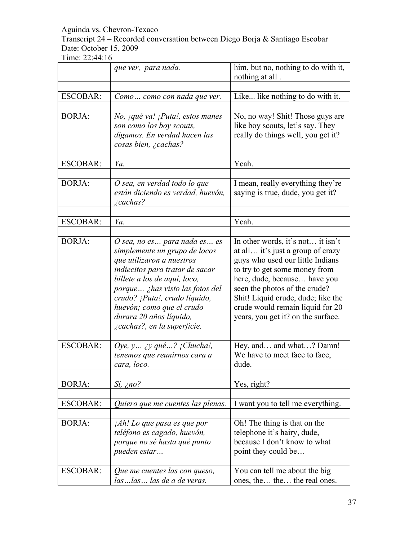Transcript 24 – Recorded conversation between Diego Borja & Santiago Escobar Date: October 15, 2009

|                 | que ver, para nada.                                                                                                                                                                                                                                                                                                      | him, but no, nothing to do with it,<br>nothing at all.                                                                                                                                                                                                                                                                       |
|-----------------|--------------------------------------------------------------------------------------------------------------------------------------------------------------------------------------------------------------------------------------------------------------------------------------------------------------------------|------------------------------------------------------------------------------------------------------------------------------------------------------------------------------------------------------------------------------------------------------------------------------------------------------------------------------|
|                 |                                                                                                                                                                                                                                                                                                                          |                                                                                                                                                                                                                                                                                                                              |
| <b>ESCOBAR:</b> | Como como con nada que ver.                                                                                                                                                                                                                                                                                              | Like like nothing to do with it.                                                                                                                                                                                                                                                                                             |
| <b>BORJA:</b>   | No, <i>qué va! ¡Puta!</i> , estos manes<br>son como los boy scouts,<br>digamos. En verdad hacen las<br>cosas bien, ¿cachas?                                                                                                                                                                                              | No, no way! Shit! Those guys are<br>like boy scouts, let's say. They<br>really do things well, you get it?                                                                                                                                                                                                                   |
| <b>ESCOBAR:</b> | Ya.                                                                                                                                                                                                                                                                                                                      | Yeah.                                                                                                                                                                                                                                                                                                                        |
| <b>BORJA:</b>   | O sea, en verdad todo lo que<br>están diciendo es verdad, huevón,<br><i>i</i> cachas?                                                                                                                                                                                                                                    | I mean, really everything they're<br>saying is true, dude, you get it?                                                                                                                                                                                                                                                       |
| <b>ESCOBAR:</b> | Ya.                                                                                                                                                                                                                                                                                                                      | Yeah.                                                                                                                                                                                                                                                                                                                        |
|                 |                                                                                                                                                                                                                                                                                                                          |                                                                                                                                                                                                                                                                                                                              |
| <b>BORJA:</b>   | O sea, no es para nada es es<br>simplemente un grupo de locos<br>que utilizaron a nuestros<br>indiecitos para tratar de sacar<br>billete a los de aquí, loco,<br>porque ¿has visto las fotos del<br>crudo? ¡Puta!, crudo líquido,<br>huevón; como que el crudo<br>durara 20 años líquido,<br>¿cachas?, en la superficie. | In other words, it's not it isn't<br>at all it's just a group of crazy<br>guys who used our little Indians<br>to try to get some money from<br>here, dude, because have you<br>seen the photos of the crude?<br>Shit! Liquid crude, dude; like the<br>crude would remain liquid for 20<br>years, you get it? on the surface. |
| <b>ESCOBAR:</b> | Oye, $y$ <i>iy</i> qué ? <i>j</i> Chucha!,<br>tenemos que reunirnos cara a<br>cara, loco.                                                                                                                                                                                                                                | Hey, and and what? Damn!<br>We have to meet face to face,<br>dude.                                                                                                                                                                                                                                                           |
| <b>BORJA:</b>   | $Si, \ni no?$                                                                                                                                                                                                                                                                                                            | Yes, right?                                                                                                                                                                                                                                                                                                                  |
| <b>ESCOBAR:</b> | Quiero que me cuentes las plenas.                                                                                                                                                                                                                                                                                        | I want you to tell me everything.                                                                                                                                                                                                                                                                                            |
| <b>BORJA:</b>   | <i>Ah! Lo que pasa es que por</i><br>teléfono es cagado, huevón,<br>porque no sé hasta qué punto<br>pueden estar                                                                                                                                                                                                         | Oh! The thing is that on the<br>telephone it's hairy, dude,<br>because I don't know to what<br>point they could be                                                                                                                                                                                                           |
| <b>ESCOBAR:</b> | Que me cuentes las con queso,<br>las  las  las de a de veras.                                                                                                                                                                                                                                                            | You can tell me about the big<br>ones, the the the real ones.                                                                                                                                                                                                                                                                |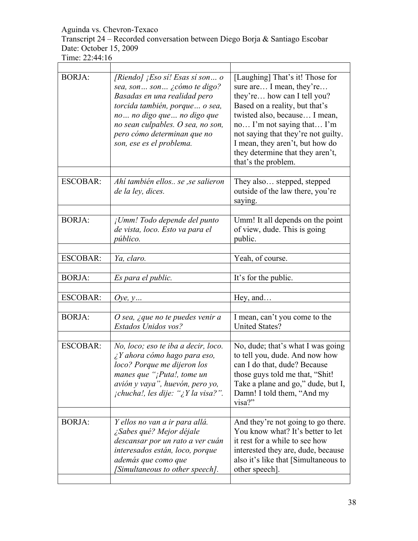Transcript 24 – Recorded conversation between Diego Borja & Santiago Escobar Date: October 15, 2009

| <b>BORJA:</b>   | [Riendo] ¡Eso sí! Esas sí son o<br>sea, son son ¿cómo te digo?<br>Basadas en una realidad pero<br>torcida también, porque  o sea,<br>no no digo que no digo que<br>no sean culpables. O sea, no son,<br>pero cómo determinan que no<br>son, ese es el problema. | [Laughing] That's it! Those for<br>sure are I mean, they're<br>they're how can I tell you?<br>Based on a reality, but that's<br>twisted also, because I mean,<br>no I'm not saying that I'm<br>not saying that they're not guilty.<br>I mean, they aren't, but how do<br>they determine that they aren't,<br>that's the problem. |
|-----------------|-----------------------------------------------------------------------------------------------------------------------------------------------------------------------------------------------------------------------------------------------------------------|----------------------------------------------------------------------------------------------------------------------------------------------------------------------------------------------------------------------------------------------------------------------------------------------------------------------------------|
| <b>ESCOBAR:</b> | Ahí también ellos se , se salieron<br>de la ley, dices.                                                                                                                                                                                                         | They also stepped, stepped<br>outside of the law there, you're<br>saying.                                                                                                                                                                                                                                                        |
| <b>BORJA:</b>   | ¡Umm! Todo depende del punto<br>de vista, loco. Esto va para el<br><i>público.</i>                                                                                                                                                                              | Umm! It all depends on the point<br>of view, dude. This is going<br>public.                                                                                                                                                                                                                                                      |
| <b>ESCOBAR:</b> | Ya, claro.                                                                                                                                                                                                                                                      | Yeah, of course.                                                                                                                                                                                                                                                                                                                 |
| <b>BORJA:</b>   | Es para el public.                                                                                                                                                                                                                                              | It's for the public.                                                                                                                                                                                                                                                                                                             |
|                 |                                                                                                                                                                                                                                                                 |                                                                                                                                                                                                                                                                                                                                  |
| <b>ESCOBAR:</b> | Oye, $y$                                                                                                                                                                                                                                                        | Hey, and                                                                                                                                                                                                                                                                                                                         |
| <b>BORJA:</b>   | O sea, ¿que no te puedes venir a<br>Estados Unidos vos?                                                                                                                                                                                                         | I mean, can't you come to the<br><b>United States?</b>                                                                                                                                                                                                                                                                           |
| <b>ESCOBAR:</b> | No, loco; eso te iba a decir, loco.<br>$\lambda$ Y ahora cómo hago para eso,<br>loco? Porque me dijeron los<br>manes que "¡Puta!, tome un<br>avión y vaya", huevón, pero yo,<br><i>ichucha!, les dije: "¿Y la visa?".</i>                                       | No, dude; that's what I was going<br>to tell you, dude. And now how<br>can I do that, dude? Because<br>those guys told me that, "Shit!<br>Take a plane and go," dude, but I,<br>Damn! I told them, "And my<br>visa?"                                                                                                             |
| <b>BORJA:</b>   | Y ellos no van a ir para allá.<br>¿Sabes qué? Mejor déjale<br>descansar por un rato a ver cuán<br>interesados están, loco, porque<br>además que como que<br>[Simultaneous to other speech].                                                                     | And they're not going to go there.<br>You know what? It's better to let<br>it rest for a while to see how<br>interested they are, dude, because<br>also it's like that [Simultaneous to<br>other speech].                                                                                                                        |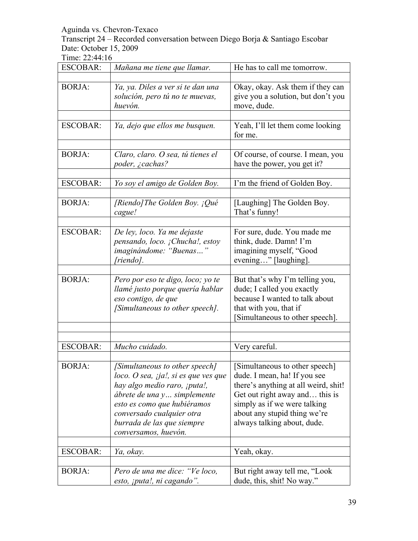Transcript 24 – Recorded conversation between Diego Borja & Santiago Escobar Date: October 15, 2009

| <b>ESCOBAR:</b> | Mañana me tiene que llamar.                                                                                                                                                                                                                                | He has to call me tomorrow.                                                                                                                                                                                                             |
|-----------------|------------------------------------------------------------------------------------------------------------------------------------------------------------------------------------------------------------------------------------------------------------|-----------------------------------------------------------------------------------------------------------------------------------------------------------------------------------------------------------------------------------------|
|                 |                                                                                                                                                                                                                                                            |                                                                                                                                                                                                                                         |
| <b>BORJA:</b>   | Ya, ya. Diles a ver si te dan una<br>solución, pero tú no te muevas,<br>huevón.                                                                                                                                                                            | Okay, okay. Ask them if they can<br>give you a solution, but don't you<br>move, dude.                                                                                                                                                   |
|                 |                                                                                                                                                                                                                                                            |                                                                                                                                                                                                                                         |
| <b>ESCOBAR:</b> | Ya, dejo que ellos me busquen.                                                                                                                                                                                                                             | Yeah, I'll let them come looking<br>for me.                                                                                                                                                                                             |
|                 |                                                                                                                                                                                                                                                            |                                                                                                                                                                                                                                         |
| <b>BORJA:</b>   | Claro, claro. O sea, tú tienes el<br>poder, ¿cachas?                                                                                                                                                                                                       | Of course, of course. I mean, you<br>have the power, you get it?                                                                                                                                                                        |
|                 |                                                                                                                                                                                                                                                            |                                                                                                                                                                                                                                         |
| <b>ESCOBAR:</b> | Yo soy el amigo de Golden Boy.                                                                                                                                                                                                                             | I'm the friend of Golden Boy.                                                                                                                                                                                                           |
| <b>BORJA:</b>   | [Riendo] The Golden Boy. ¡Qué<br>cague!                                                                                                                                                                                                                    | [Laughing] The Golden Boy.<br>That's funny!                                                                                                                                                                                             |
|                 |                                                                                                                                                                                                                                                            |                                                                                                                                                                                                                                         |
| <b>ESCOBAR:</b> | De ley, loco. Ya me dejaste<br>pensando, loco. ¡Chucha!, estoy<br>imaginándome: "Buenas"<br>[riendo].                                                                                                                                                      | For sure, dude. You made me<br>think, dude. Damn! I'm<br>imagining myself, "Good<br>evening" [laughing].                                                                                                                                |
|                 |                                                                                                                                                                                                                                                            |                                                                                                                                                                                                                                         |
| <b>BORJA:</b>   | Pero por eso te digo, loco; yo te<br>llamé justo porque quería hablar<br>eso contigo, de que<br>[Simultaneous to other speech].                                                                                                                            | But that's why I'm telling you,<br>dude; I called you exactly<br>because I wanted to talk about<br>that with you, that if<br>Simultaneous to other speech].                                                                             |
|                 |                                                                                                                                                                                                                                                            |                                                                                                                                                                                                                                         |
|                 |                                                                                                                                                                                                                                                            |                                                                                                                                                                                                                                         |
| <b>ESCOBAR:</b> | Mucho cuidado.                                                                                                                                                                                                                                             | Very careful.                                                                                                                                                                                                                           |
|                 |                                                                                                                                                                                                                                                            |                                                                                                                                                                                                                                         |
| <b>BORJA:</b>   | [Simultaneous to other speech]<br>loco. O sea, $j$ ja!, si es que ves que<br>hay algo medio raro, ¡puta!,<br>ábrete de una y simplemente<br>esto es como que hubiéramos<br>conversado cualquier otra<br>burrada de las que siempre<br>conversamos, huevón. | [Simultaneous to other speech]<br>dude. I mean, ha! If you see<br>there's anything at all weird, shit!<br>Get out right away and this is<br>simply as if we were talking<br>about any stupid thing we're<br>always talking about, dude. |
| <b>ESCOBAR:</b> |                                                                                                                                                                                                                                                            |                                                                                                                                                                                                                                         |
|                 | Ya, okay.                                                                                                                                                                                                                                                  | Yeah, okay.                                                                                                                                                                                                                             |
| <b>BORJA:</b>   | Pero de una me dice: "Ve loco,<br>esto, ¡puta!, ni cagando".                                                                                                                                                                                               | But right away tell me, "Look"<br>dude, this, shit! No way."                                                                                                                                                                            |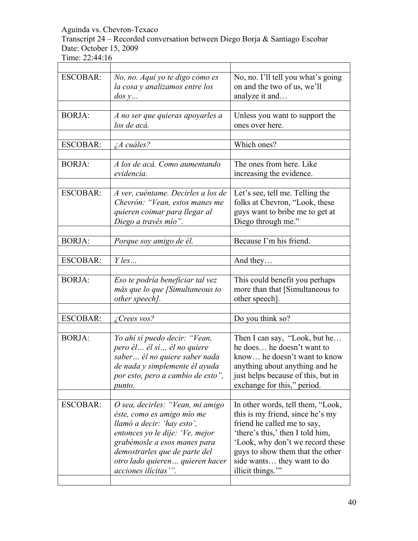Transcript 24 – Recorded conversation between Diego Borja & Santiago Escobar Date: October 15, 2009

| <b>ESCOBAR:</b> | No, no. Aquí yo te digo cómo es<br>la cosa y analizamos entre los<br>$\cos y$                                                                                                                                                                              | No, no. I'll tell you what's going<br>on and the two of us, we'll<br>analyze it and                                                                                                                                                                                |
|-----------------|------------------------------------------------------------------------------------------------------------------------------------------------------------------------------------------------------------------------------------------------------------|--------------------------------------------------------------------------------------------------------------------------------------------------------------------------------------------------------------------------------------------------------------------|
| <b>BORJA:</b>   | A no ser que quieras apoyarles a<br>los de acá.                                                                                                                                                                                                            | Unless you want to support the<br>ones over here.                                                                                                                                                                                                                  |
| <b>ESCOBAR:</b> | $\lambda A$ cuáles?                                                                                                                                                                                                                                        | Which ones?                                                                                                                                                                                                                                                        |
| <b>BORJA:</b>   | A los de acá. Como aumentando<br>evidencia.                                                                                                                                                                                                                | The ones from here. Like<br>increasing the evidence.                                                                                                                                                                                                               |
| <b>ESCOBAR:</b> | A ver, cuéntame. Decirles a los de<br>Chevrón: "Vean, estos manes me<br>quieren coimar para llegar al<br>Diego a través mío".                                                                                                                              | Let's see, tell me. Telling the<br>folks at Chevron, "Look, these<br>guys want to bribe me to get at<br>Diego through me."                                                                                                                                         |
| <b>BORJA:</b>   | Porque soy amigo de él.                                                                                                                                                                                                                                    | Because I'm his friend.                                                                                                                                                                                                                                            |
| <b>ESCOBAR:</b> | $Y$ les                                                                                                                                                                                                                                                    | And they                                                                                                                                                                                                                                                           |
| <b>BORJA:</b>   | Eso te podría beneficiar tal vez<br>más que lo que [Simultaneous to<br>other speech].                                                                                                                                                                      | This could benefit you perhaps<br>more than that [Simultaneous to<br>other speech].                                                                                                                                                                                |
| <b>ESCOBAR:</b> | Crees vos?                                                                                                                                                                                                                                                 | Do you think so?                                                                                                                                                                                                                                                   |
| <b>BORJA:</b>   | Yo ahí sí puedo decir: "Vean,<br>pero él él sí él no quiere<br>saber él no quiere saber nada<br>de nada y simplemente él ayuda<br>por esto, pero a cambio de esto",<br>punto.                                                                              | Then I can say, "Look, but he<br>he does he doesn't want to<br>know he doesn't want to know<br>anything about anything and he<br>just helps because of this, but in<br>exchange for this," period.                                                                 |
| <b>ESCOBAR:</b> | O sea, decirles: "Vean, mi amigo<br>éste, como es amigo mío me<br>llamó a decir: 'hay esto',<br>entonces yo le dije: 'Ve, mejor<br>grabémosle a esos manes para<br>demostrarles que de parte del<br>otro lado quieren quieren hacer<br>acciones ilícitas". | In other words, tell them, "Look,<br>this is my friend, since he's my<br>friend he called me to say,<br>'there's this,' then I told him,<br>'Look, why don't we record these<br>guys to show them that the other<br>side wants they want to do<br>illicit things." |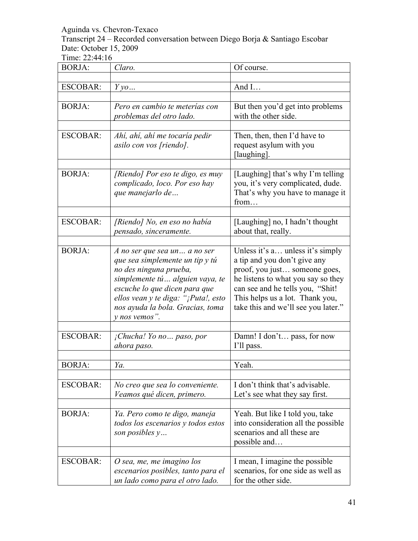Transcript 24 – Recorded conversation between Diego Borja & Santiago Escobar Date: October 15, 2009

| <b>BORJA:</b>   | Claro.                                                                                                                                                                                                                                                      | Of course.                                                                                                                                                                                                                                            |
|-----------------|-------------------------------------------------------------------------------------------------------------------------------------------------------------------------------------------------------------------------------------------------------------|-------------------------------------------------------------------------------------------------------------------------------------------------------------------------------------------------------------------------------------------------------|
| <b>ESCOBAR:</b> |                                                                                                                                                                                                                                                             | And I                                                                                                                                                                                                                                                 |
|                 | $Y\gamma o$                                                                                                                                                                                                                                                 |                                                                                                                                                                                                                                                       |
| <b>BORJA:</b>   | Pero en cambio te meterías con<br>problemas del otro lado.                                                                                                                                                                                                  | But then you'd get into problems<br>with the other side.                                                                                                                                                                                              |
| <b>ESCOBAR:</b> | Ahí, ahí, ahí me tocaría pedir<br>asilo con vos [riendo].                                                                                                                                                                                                   | Then, then, then I'd have to<br>request asylum with you<br>[laughing].                                                                                                                                                                                |
| <b>BORJA:</b>   | [Riendo] Por eso te digo, es muy<br>complicado, loco. Por eso hay<br>que manejarlo de                                                                                                                                                                       | [Laughing] that's why I'm telling<br>you, it's very complicated, dude.<br>That's why you have to manage it<br>from                                                                                                                                    |
| <b>ESCOBAR:</b> | [Riendo] No, en eso no había<br>pensado, sinceramente.                                                                                                                                                                                                      | [Laughing] no, I hadn't thought<br>about that, really.                                                                                                                                                                                                |
| <b>BORJA:</b>   | A no ser que sea un a no ser<br>que sea simplemente un tip y tú<br>no des ninguna prueba,<br>simplemente tú alguien vaya, te<br>escuche lo que dicen para que<br>ellos vean y te diga: "¡Puta!, esto<br>nos ayuda la bola. Gracias, toma<br>$y$ nos vemos". | Unless it's a unless it's simply<br>a tip and you don't give any<br>proof, you just someone goes,<br>he listens to what you say so they<br>can see and he tells you, "Shit!<br>This helps us a lot. Thank you,<br>take this and we'll see you later." |
| <b>ESCOBAR:</b> | ¡Chucha! Yo no paso, por<br>ahora paso.                                                                                                                                                                                                                     | Damn! I don't pass, for now<br>I'll pass.                                                                                                                                                                                                             |
| <b>BORJA:</b>   | Ya.                                                                                                                                                                                                                                                         | Yeah.                                                                                                                                                                                                                                                 |
|                 |                                                                                                                                                                                                                                                             |                                                                                                                                                                                                                                                       |
| <b>ESCOBAR:</b> | No creo que sea lo conveniente.<br>Veamos qué dicen, primero.                                                                                                                                                                                               | I don't think that's advisable.<br>Let's see what they say first.                                                                                                                                                                                     |
| <b>BORJA:</b>   | Ya. Pero como te digo, maneja<br>todos los escenarios y todos estos<br>son posibles $y$                                                                                                                                                                     | Yeah. But like I told you, take<br>into consideration all the possible<br>scenarios and all these are<br>possible and                                                                                                                                 |
| <b>ESCOBAR:</b> | O sea, me, me imagino los<br>escenarios posibles, tanto para el<br>un lado como para el otro lado.                                                                                                                                                          | I mean, I imagine the possible<br>scenarios, for one side as well as<br>for the other side.                                                                                                                                                           |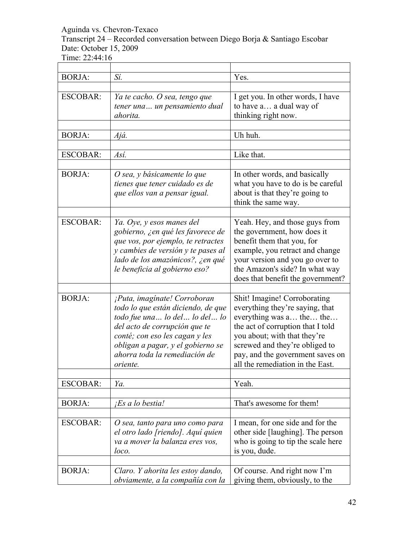Transcript 24 – Recorded conversation between Diego Borja & Santiago Escobar Date: October 15, 2009

| <b>BORJA:</b>   | Sí.                                                                                                                                                                                                                                                             | Yes.                                                                                                                                                                                                                                                                       |
|-----------------|-----------------------------------------------------------------------------------------------------------------------------------------------------------------------------------------------------------------------------------------------------------------|----------------------------------------------------------------------------------------------------------------------------------------------------------------------------------------------------------------------------------------------------------------------------|
| <b>ESCOBAR:</b> | Ya te cacho. O sea, tengo que<br>tener una un pensamiento dual<br>ahorita.                                                                                                                                                                                      | I get you. In other words, I have<br>to have a a dual way of<br>thinking right now.                                                                                                                                                                                        |
| <b>BORJA:</b>   | Ajá.                                                                                                                                                                                                                                                            | Uh huh.                                                                                                                                                                                                                                                                    |
|                 |                                                                                                                                                                                                                                                                 |                                                                                                                                                                                                                                                                            |
| <b>ESCOBAR:</b> | Así.                                                                                                                                                                                                                                                            | Like that.                                                                                                                                                                                                                                                                 |
| <b>BORJA:</b>   | O sea, y básicamente lo que<br>tienes que tener cuidado es de<br>que ellos van a pensar igual.                                                                                                                                                                  | In other words, and basically<br>what you have to do is be careful<br>about is that they're going to<br>think the same way.                                                                                                                                                |
| <b>ESCOBAR:</b> | Ya. Oye, y esos manes del<br>gobierno, ¿en qué les favorece de<br>que vos, por ejemplo, te retractes<br>y cambies de versión y te pases al<br>lado de los amazónicos?, ¿en qué<br>le beneficia al gobierno eso?                                                 | Yeah. Hey, and those guys from<br>the government, how does it<br>benefit them that you, for<br>example, you retract and change<br>your version and you go over to<br>the Amazon's side? In what way<br>does that benefit the government?                                   |
| <b>BORJA:</b>   | ¡Puta, imagínate! Corroboran<br>todo lo que están diciendo, de que<br>todo fue una lo del lo del lo<br>del acto de corrupción que te<br>conté; con eso les cagan y les<br>obligan a pagar, y el gobierno se<br>ahorra toda la remediación de<br><i>oriente.</i> | Shit! Imagine! Corroborating<br>everything they're saying, that<br>everything was a the the<br>the act of corruption that I told<br>you about; with that they're<br>screwed and they're obliged to<br>pay, and the government saves on<br>all the remediation in the East. |
| <b>ESCOBAR:</b> | Ya.                                                                                                                                                                                                                                                             | Yeah.                                                                                                                                                                                                                                                                      |
|                 |                                                                                                                                                                                                                                                                 |                                                                                                                                                                                                                                                                            |
| <b>BORJA:</b>   | <i>Es a lo bestia!</i>                                                                                                                                                                                                                                          | That's awesome for them!                                                                                                                                                                                                                                                   |
| <b>ESCOBAR:</b> | O sea, tanto para uno como para<br>el otro lado [riendo]. Aquí quien<br>va a mover la balanza eres vos,<br>loco.                                                                                                                                                | I mean, for one side and for the<br>other side [laughing]. The person<br>who is going to tip the scale here<br>is you, dude.                                                                                                                                               |
| <b>BORJA:</b>   | Claro. Y ahorita les estoy dando,<br>obviamente, a la compañía con la                                                                                                                                                                                           | Of course. And right now I'm<br>giving them, obviously, to the                                                                                                                                                                                                             |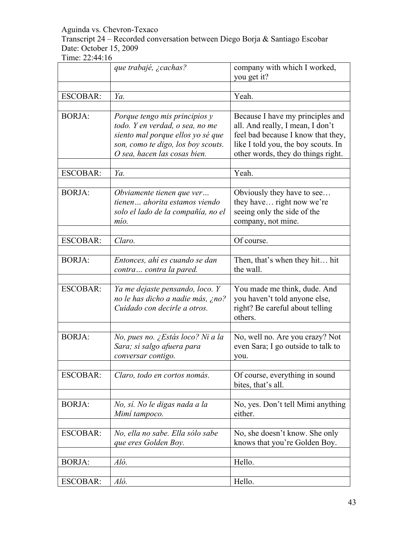Transcript 24 – Recorded conversation between Diego Borja & Santiago Escobar Date: October 15, 2009

|                 | que trabajé, ¿cachas?                                                                                                                                                       | company with which I worked,<br>you get it?                                                                                                                                             |
|-----------------|-----------------------------------------------------------------------------------------------------------------------------------------------------------------------------|-----------------------------------------------------------------------------------------------------------------------------------------------------------------------------------------|
|                 |                                                                                                                                                                             |                                                                                                                                                                                         |
| <b>ESCOBAR:</b> | Ya.                                                                                                                                                                         | Yeah.                                                                                                                                                                                   |
|                 |                                                                                                                                                                             |                                                                                                                                                                                         |
| <b>BORJA:</b>   | Porque tengo mis principios y<br>todo. Y en verdad, o sea, no me<br>siento mal porque ellos yo sé que<br>son, como te digo, los boy scouts.<br>O sea, hacen las cosas bien. | Because I have my principles and<br>all. And really, I mean, I don't<br>feel bad because I know that they,<br>like I told you, the boy scouts. In<br>other words, they do things right. |
| ESCOBAR:        | Ya.                                                                                                                                                                         | Yeah.                                                                                                                                                                                   |
|                 |                                                                                                                                                                             |                                                                                                                                                                                         |
| <b>BORJA:</b>   | Obviamente tienen que ver<br>tienen ahorita estamos viendo<br>solo el lado de la compañía, no el<br>mío.                                                                    | Obviously they have to see<br>they have right now we're<br>seeing only the side of the<br>company, not mine.                                                                            |
|                 | Claro.                                                                                                                                                                      | Of course.                                                                                                                                                                              |
| <b>ESCOBAR:</b> |                                                                                                                                                                             |                                                                                                                                                                                         |
| <b>BORJA:</b>   | Entonces, ahí es cuando se dan<br>contra contra la pared.                                                                                                                   | Then, that's when they hit hit<br>the wall.                                                                                                                                             |
| <b>ESCOBAR:</b> | Ya me dejaste pensando, loco. Y<br>no le has dicho a nadie más, ¿no?<br>Cuidado con decirle a otros.                                                                        | You made me think, dude. And<br>you haven't told anyone else,<br>right? Be careful about telling<br>others.                                                                             |
|                 |                                                                                                                                                                             |                                                                                                                                                                                         |
| <b>BORJA:</b>   | No, pues no. ¿Estás loco? Ni a la<br>Sara; si salgo afuera para<br>conversar contigo.                                                                                       | No, well no. Are you crazy? Not<br>even Sara; I go outside to talk to<br>you.                                                                                                           |
| <b>ESCOBAR:</b> | Claro, todo en cortos nomás.                                                                                                                                                | Of course, everything in sound<br>bites, that's all.                                                                                                                                    |
| <b>BORJA:</b>   | No, sí. No le digas nada a la<br>Mimí tampoco.                                                                                                                              | No, yes. Don't tell Mimi anything<br>either.                                                                                                                                            |
| <b>ESCOBAR:</b> | No, ella no sabe. Ella sólo sabe<br>que eres Golden Boy.                                                                                                                    | No, she doesn't know. She only<br>knows that you're Golden Boy.                                                                                                                         |
|                 |                                                                                                                                                                             |                                                                                                                                                                                         |
| <b>BORJA:</b>   | Aló.                                                                                                                                                                        | Hello.                                                                                                                                                                                  |
| <b>ESCOBAR:</b> | Aló.                                                                                                                                                                        | Hello.                                                                                                                                                                                  |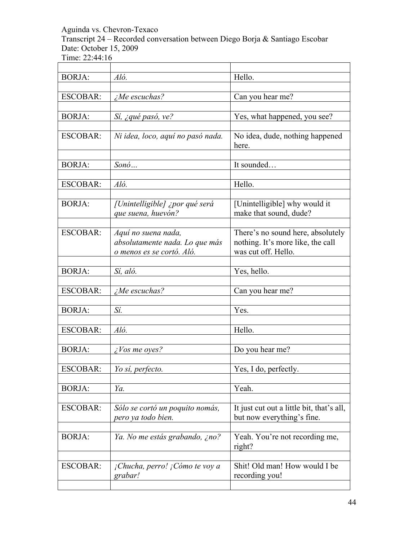Transcript 24 – Recorded conversation between Diego Borja & Santiago Escobar Date: October 15, 2009 Time: 22:44:16

| <b>BORJA:</b>   | Aló.                                 | Hello.                                    |
|-----------------|--------------------------------------|-------------------------------------------|
|                 |                                      |                                           |
| <b>ESCOBAR:</b> | $i$ Me escuchas?                     | Can you hear me?                          |
|                 |                                      |                                           |
| <b>BORJA:</b>   | Sí, ¿qué pasó, ve?                   | Yes, what happened, you see?              |
|                 |                                      |                                           |
| <b>ESCOBAR:</b> | Ni idea, loco, aquí no pasó nada.    | No idea, dude, nothing happened<br>here.  |
|                 |                                      |                                           |
| <b>BORJA:</b>   | $S$ <i>on</i> $\acute{o}$            | It sounded                                |
|                 |                                      |                                           |
| <b>ESCOBAR:</b> | Aló.                                 | Hello.                                    |
|                 |                                      |                                           |
| <b>BORJA:</b>   | [Unintelligible] ¿por qué será       | [Unintelligible] why would it             |
|                 | que suena, huevón?                   | make that sound, dude?                    |
|                 |                                      |                                           |
| <b>ESCOBAR:</b> | Aquí no suena nada,                  | There's no sound here, absolutely         |
|                 | absolutamente nada. Lo que más       | nothing. It's more like, the call         |
|                 | o menos es se cortó. Aló.            | was cut off. Hello.                       |
|                 |                                      |                                           |
| <b>BORJA:</b>   | Sí, aló.                             | Yes, hello.                               |
|                 |                                      |                                           |
|                 |                                      |                                           |
| <b>ESCOBAR:</b> | $\Delta M$ e escuchas?               | Can you hear me?                          |
|                 |                                      |                                           |
| <b>BORJA:</b>   | Sí.                                  | Yes.                                      |
|                 |                                      |                                           |
| <b>ESCOBAR:</b> | Aló.                                 | Hello.                                    |
|                 |                                      |                                           |
| <b>BORJA:</b>   | $\zeta$ Vos me oyes?                 | Do you hear me?                           |
|                 |                                      |                                           |
| <b>ESCOBAR:</b> | Yo sí, perfecto.                     | Yes, I do, perfectly.                     |
|                 |                                      |                                           |
| <b>BORJA:</b>   | Ya.                                  | Yeah.                                     |
|                 |                                      |                                           |
|                 |                                      |                                           |
| <b>ESCOBAR:</b> | Sólo se cortó un poquito nomás,      | It just cut out a little bit, that's all, |
|                 | pero ya todo bien.                   | but now everything's fine.                |
|                 |                                      |                                           |
| <b>BORJA:</b>   | Ya. No me estás grabando, ¿no?       | Yeah. You're not recording me,            |
|                 |                                      | right?                                    |
|                 |                                      |                                           |
| <b>ESCOBAR:</b> | $i$ Chucha, perro! $i$ Cómo te voy a | Shit! Old man! How would I be             |
|                 |                                      |                                           |
|                 | grabar!                              | recording you!                            |

 $\overline{\phantom{0}}$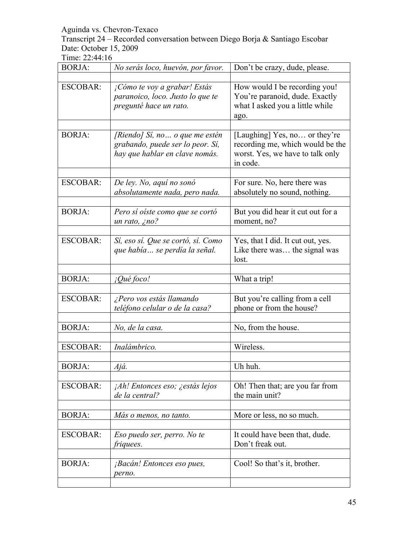Transcript 24 – Recorded conversation between Diego Borja & Santiago Escobar Date: October 15, 2009

| <b>BORJA:</b>   | No serás loco, huevón, por favor.                                                                    | Don't be crazy, dude, please.                                                                                     |
|-----------------|------------------------------------------------------------------------------------------------------|-------------------------------------------------------------------------------------------------------------------|
|                 |                                                                                                      |                                                                                                                   |
| <b>ESCOBAR:</b> | ¡Cómo te voy a grabar! Estás<br>paranoico, loco. Justo lo que te<br>pregunté hace un rato.           | How would I be recording you!<br>You're paranoid, dude. Exactly<br>what I asked you a little while<br>ago.        |
| <b>BORJA:</b>   | [Riendo] Sí, no o que me estén<br>grabando, puede ser lo peor. Sí,<br>hay que hablar en clave nomás. | [Laughing] Yes, no or they're<br>recording me, which would be the<br>worst. Yes, we have to talk only<br>in code. |
| <b>ESCOBAR:</b> | De ley. No, aquí no sonó<br>absolutamente nada, pero nada.                                           | For sure. No, here there was<br>absolutely no sound, nothing.                                                     |
| <b>BORJA:</b>   | Pero sí oíste como que se cortó<br>un rato, ¿no?                                                     | But you did hear it cut out for a<br>moment, no?                                                                  |
| <b>ESCOBAR:</b> | Sí, eso sí. Que se cortó, sí. Como<br>que había se perdía la señal.                                  | Yes, that I did. It cut out, yes.<br>Like there was the signal was<br>lost.                                       |
| <b>BORJA:</b>   | <i>iQué foco!</i>                                                                                    | What a trip!                                                                                                      |
| <b>ESCOBAR:</b> | ¿Pero vos estás llamando<br>teléfono celular o de la casa?                                           | But you're calling from a cell<br>phone or from the house?                                                        |
| <b>BORJA:</b>   | No, de la casa.                                                                                      | No, from the house.                                                                                               |
| <b>ESCOBAR:</b> | Inalámbrico.                                                                                         | Wireless.                                                                                                         |
| <b>BORJA:</b>   | Ajá.                                                                                                 | Uh huh.                                                                                                           |
| <b>ESCOBAR:</b> | <i>Ah! Entonces eso; ¿estás lejos</i><br>de la central?                                              | Oh! Then that; are you far from<br>the main unit?                                                                 |
| <b>BORJA:</b>   | Más o menos, no tanto.                                                                               | More or less, no so much.                                                                                         |
| <b>ESCOBAR:</b> | Eso puedo ser, perro. No te<br>friquees.                                                             | It could have been that, dude.<br>Don't freak out.                                                                |
| <b>BORJA:</b>   | ¡Bacán! Entonces eso pues,<br>perno.                                                                 | Cool! So that's it, brother.                                                                                      |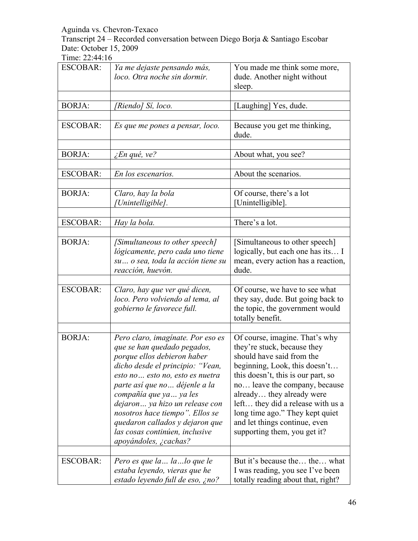Transcript 24 – Recorded conversation between Diego Borja & Santiago Escobar Date: October 15, 2009

| <b>ESCOBAR:</b> | Ya me dejaste pensando más,<br>loco. Otra noche sin dormir.                                                                                                                                                                                                                                                                                                                                            | You made me think some more,<br>dude. Another night without<br>sleep.                                                                                                                                                                                                                                                                                                     |
|-----------------|--------------------------------------------------------------------------------------------------------------------------------------------------------------------------------------------------------------------------------------------------------------------------------------------------------------------------------------------------------------------------------------------------------|---------------------------------------------------------------------------------------------------------------------------------------------------------------------------------------------------------------------------------------------------------------------------------------------------------------------------------------------------------------------------|
| <b>BORJA:</b>   |                                                                                                                                                                                                                                                                                                                                                                                                        |                                                                                                                                                                                                                                                                                                                                                                           |
|                 | [Riendo] Sí, loco.                                                                                                                                                                                                                                                                                                                                                                                     | [Laughing] Yes, dude.                                                                                                                                                                                                                                                                                                                                                     |
| <b>ESCOBAR:</b> | Es que me pones a pensar, loco.                                                                                                                                                                                                                                                                                                                                                                        | Because you get me thinking,<br>dude.                                                                                                                                                                                                                                                                                                                                     |
| <b>BORJA:</b>   |                                                                                                                                                                                                                                                                                                                                                                                                        | About what, you see?                                                                                                                                                                                                                                                                                                                                                      |
|                 | ¿En qué, ve?                                                                                                                                                                                                                                                                                                                                                                                           |                                                                                                                                                                                                                                                                                                                                                                           |
| <b>ESCOBAR:</b> | En los escenarios.                                                                                                                                                                                                                                                                                                                                                                                     | About the scenarios.                                                                                                                                                                                                                                                                                                                                                      |
|                 |                                                                                                                                                                                                                                                                                                                                                                                                        |                                                                                                                                                                                                                                                                                                                                                                           |
| <b>BORJA:</b>   | Claro, hay la bola<br>Unintelligible].                                                                                                                                                                                                                                                                                                                                                                 | Of course, there's a lot<br>[Unintelligible].                                                                                                                                                                                                                                                                                                                             |
| <b>ESCOBAR:</b> | Hay la bola.                                                                                                                                                                                                                                                                                                                                                                                           | There's a lot.                                                                                                                                                                                                                                                                                                                                                            |
|                 |                                                                                                                                                                                                                                                                                                                                                                                                        |                                                                                                                                                                                                                                                                                                                                                                           |
| <b>BORJA:</b>   | [Simultaneous to other speech]<br>lógicamente, pero cada uno tiene<br>su o sea, toda la acción tiene su<br>reacción, huevón.                                                                                                                                                                                                                                                                           | [Simultaneous to other speech]<br>logically, but each one has its I<br>mean, every action has a reaction,<br>dude.                                                                                                                                                                                                                                                        |
|                 |                                                                                                                                                                                                                                                                                                                                                                                                        |                                                                                                                                                                                                                                                                                                                                                                           |
| <b>ESCOBAR:</b> | Claro, hay que ver qué dicen,<br>loco. Pero volviendo al tema, al<br>gobierno le favorece full.                                                                                                                                                                                                                                                                                                        | Of course, we have to see what<br>they say, dude. But going back to<br>the topic, the government would<br>totally benefit.                                                                                                                                                                                                                                                |
|                 |                                                                                                                                                                                                                                                                                                                                                                                                        |                                                                                                                                                                                                                                                                                                                                                                           |
| <b>BORJA:</b>   | Pero claro, imagínate. Por eso es<br>que se han quedado pegados,<br>porque ellos debieron haber<br>dicho desde el principio: "Vean,<br>esto no esto no, esto es nuetra<br>parte así que no  déjenle a la<br>compañía que ya  ya les<br>dejaron ya hizo un release con<br>nosotros hace tiempo". Ellos se<br>quedaron callados y dejaron que<br>las cosas continúen, inclusive<br>apoyándoles, ¿cachas? | Of course, imagine. That's why<br>they're stuck, because they<br>should have said from the<br>beginning, Look, this doesn't.<br>this doesn't, this is our part, so<br>no leave the company, because<br>already they already were<br>left they did a release with us a<br>long time ago." They kept quiet<br>and let things continue, even<br>supporting them, you get it? |
| <b>ESCOBAR:</b> | Pero es que la  la  lo que le                                                                                                                                                                                                                                                                                                                                                                          | But it's because the the what                                                                                                                                                                                                                                                                                                                                             |
|                 | estaba leyendo, vieras que he<br>estado leyendo full de eso, ¿no?                                                                                                                                                                                                                                                                                                                                      | I was reading, you see I've been<br>totally reading about that, right?                                                                                                                                                                                                                                                                                                    |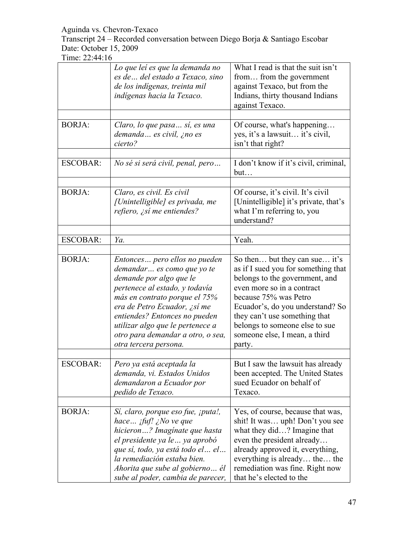Transcript 24 – Recorded conversation between Diego Borja & Santiago Escobar Date: October 15, 2009

|                 | Lo que leí es que la demanda no<br>es de  del estado a Texaco, sino<br>de los indígenas, treinta mil<br>indígenas hacia la Texaco.                                                                                                                                                                                                     | What I read is that the suit isn't<br>from from the government<br>against Texaco, but from the<br>Indians, thirty thousand Indians<br>against Texaco.                                                                                                                                                           |
|-----------------|----------------------------------------------------------------------------------------------------------------------------------------------------------------------------------------------------------------------------------------------------------------------------------------------------------------------------------------|-----------------------------------------------------------------------------------------------------------------------------------------------------------------------------------------------------------------------------------------------------------------------------------------------------------------|
| <b>BORJA:</b>   | Claro, lo que pasa sí, es una<br>demanda es civil, ¿no es<br>cierto?                                                                                                                                                                                                                                                                   | Of course, what's happening<br>yes, it's a lawsuit it's civil,<br>isn't that right?                                                                                                                                                                                                                             |
| <b>ESCOBAR:</b> | No sé si será civil, penal, pero                                                                                                                                                                                                                                                                                                       | I don't know if it's civil, criminal,<br>but                                                                                                                                                                                                                                                                    |
| <b>BORJA:</b>   | Claro, es civil. Es civil<br>[Unintelligible] es privada, me<br>refiero, ¿sí me entiendes?                                                                                                                                                                                                                                             | Of course, it's civil. It's civil<br>[Unintelligible] it's private, that's<br>what I'm referring to, you<br>understand?                                                                                                                                                                                         |
| <b>ESCOBAR:</b> | Ya.                                                                                                                                                                                                                                                                                                                                    | Yeah.                                                                                                                                                                                                                                                                                                           |
|                 |                                                                                                                                                                                                                                                                                                                                        |                                                                                                                                                                                                                                                                                                                 |
| <b>BORJA:</b>   | Entonces pero ellos no pueden<br>demandar es como que yo te<br>demande por algo que le<br>pertenece al estado, y todavía<br>más en contrato porque el 75%<br>era de Petro Ecuador, ¿sí me<br>entiendes? Entonces no pueden<br>utilizar algo que le pertenece a<br>otro para demandar a otro, o sea,<br>otra tercera persona.           | So then but they can sue it's<br>as if I sued you for something that<br>belongs to the government, and<br>even more so in a contract<br>because 75% was Petro<br>Ecuador's, do you understand? So<br>they can't use something that<br>belongs to someone else to sue<br>someone else, I mean, a third<br>party. |
| <b>ESCOBAR:</b> | Pero ya está aceptada la<br>demanda, vi. Estados Unidos<br>demandaron a Ecuador por<br>pedido de Texaco.                                                                                                                                                                                                                               | But I saw the lawsuit has already<br>been accepted. The United States<br>sued Ecuador on behalf of<br>Texaco.                                                                                                                                                                                                   |
| <b>BORJA:</b>   | Sí, claro, porque eso fue, <i>iputa!</i> ,<br>hace $\int f \cdot f(x) \cdot f(x) dx$ is not in the property vertex that<br>hicieron? Imagínate que hasta<br>el presidente ya le  ya aprobó<br>que sí, todo, ya está todo el  el<br>la remediación estaba bien.<br>Ahorita que sube al gobierno él<br>sube al poder, cambia de parecer, | Yes, of course, because that was,<br>shit! It was uph! Don't you see<br>what they did? Imagine that<br>even the president already<br>already approved it, everything,<br>everything is already the the<br>remediation was fine. Right now<br>that he's elected to the                                           |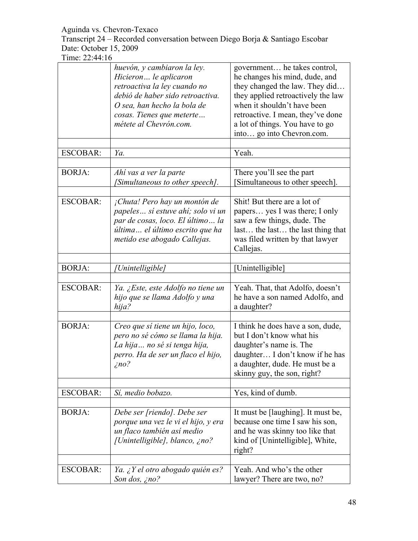Transcript 24 – Recorded conversation between Diego Borja & Santiago Escobar Date: October 15, 2009

|                 | huevón, y cambiaron la ley.<br>Hicieron le aplicaron<br>retroactiva la ley cuando no<br>debió de haber sido retroactiva.<br>O sea, han hecho la bola de<br>cosas. Tienes que meterte<br>métete al Chevrón.com. | government he takes control,<br>he changes his mind, dude, and<br>they changed the law. They did<br>they applied retroactively the law<br>when it shouldn't have been<br>retroactive. I mean, they've done<br>a lot of things. You have to go<br>into go into Chevron.com. |
|-----------------|----------------------------------------------------------------------------------------------------------------------------------------------------------------------------------------------------------------|----------------------------------------------------------------------------------------------------------------------------------------------------------------------------------------------------------------------------------------------------------------------------|
| <b>ESCOBAR:</b> | Ya.                                                                                                                                                                                                            | Yeah.                                                                                                                                                                                                                                                                      |
| <b>BORJA:</b>   | Ahí vas a ver la parte<br>[Simultaneous to other speech].                                                                                                                                                      | There you'll see the part<br>Simultaneous to other speech].                                                                                                                                                                                                                |
| <b>ESCOBAR:</b> | ¡Chuta! Pero hay un montón de<br>papeles sí estuve ahí; solo vi un<br>par de cosas, loco. El último la<br>última el último escrito que ha<br>metido ese abogado Callejas.                                      | Shit! But there are a lot of<br>papers yes I was there; I only<br>saw a few things, dude. The<br>last the last the last thing that<br>was filed written by that lawyer<br>Callejas.                                                                                        |
| <b>BORJA:</b>   | Unintelligible]                                                                                                                                                                                                | [Unintelligible]                                                                                                                                                                                                                                                           |
| <b>ESCOBAR:</b> | Ya. ¿Este, este Adolfo no tiene un<br>hijo que se llama Adolfo y una<br>hija?                                                                                                                                  | Yeah. That, that Adolfo, doesn't<br>he have a son named Adolfo, and<br>a daughter?                                                                                                                                                                                         |
| <b>BORJA:</b>   | Creo que sí tiene un hijo, loco,<br>pero no sé cómo se llama la hija.<br>La hija no sé si tenga hija,<br>perro. Ha de ser un flaco el hijo,<br>$\zeta$ no?                                                     | I think he does have a son, dude,<br>but I don't know what his<br>daughter's name is. The<br>daughter I don't know if he has<br>a daughter, dude. He must be a<br>skinny guy, the son, right?                                                                              |
| <b>ESCOBAR:</b> | Sí, medio bobazo.                                                                                                                                                                                              | Yes, kind of dumb.                                                                                                                                                                                                                                                         |
| <b>BORJA:</b>   | Debe ser [riendo]. Debe ser<br>porque una vez le vi el hijo, y era<br>un flaco también así medio<br>[Unintelligible], blanco, ¿no?                                                                             | It must be [laughing]. It must be,<br>because one time I saw his son,<br>and he was skinny too like that<br>kind of [Unintelligible], White,<br>right?                                                                                                                     |
| <b>ESCOBAR:</b> | Ya. ¿Y el otro abogado quién es?<br>Son dos, $\zeta$ no?                                                                                                                                                       | Yeah. And who's the other<br>lawyer? There are two, no?                                                                                                                                                                                                                    |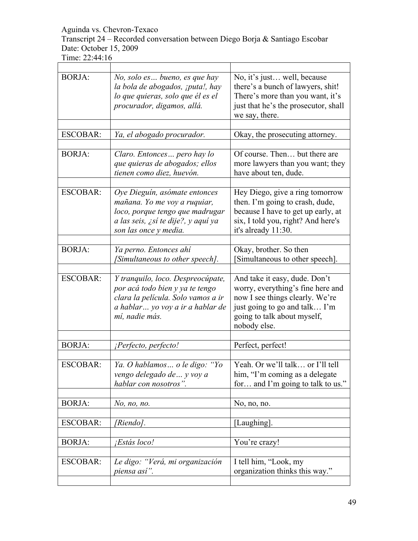Transcript 24 – Recorded conversation between Diego Borja & Santiago Escobar Date: October 15, 2009

| <b>BORJA:</b>   | No, solo es bueno, es que hay<br>la bola de abogados, ¡puta!, hay<br>lo que quieras, solo que él es el<br>procurador, digamos, allá.                             | No, it's just well, because<br>there's a bunch of lawyers, shit!<br>There's more than you want, it's<br>just that he's the prosecutor, shall<br>we say, there.                        |
|-----------------|------------------------------------------------------------------------------------------------------------------------------------------------------------------|---------------------------------------------------------------------------------------------------------------------------------------------------------------------------------------|
|                 |                                                                                                                                                                  |                                                                                                                                                                                       |
| <b>ESCOBAR:</b> | Ya, el abogado procurador.                                                                                                                                       | Okay, the prosecuting attorney.                                                                                                                                                       |
|                 |                                                                                                                                                                  |                                                                                                                                                                                       |
| <b>BORJA:</b>   | Claro. Entonces pero hay lo<br>que quieras de abogados; ellos<br>tienen como diez, huevón.                                                                       | Of course. Then but there are<br>more lawyers than you want; they<br>have about ten, dude.                                                                                            |
|                 |                                                                                                                                                                  |                                                                                                                                                                                       |
| <b>ESCOBAR:</b> | Oye Dieguín, asómate entonces<br>mañana. Yo me voy a ruquiar,<br>loco, porque tengo que madrugar<br>a las seis, ¿sí te dije?, y aquí ya<br>son las once y media. | Hey Diego, give a ring tomorrow<br>then. I'm going to crash, dude,<br>because I have to get up early, at<br>six, I told you, right? And here's<br>it's already 11:30.                 |
|                 |                                                                                                                                                                  |                                                                                                                                                                                       |
| <b>BORJA:</b>   | Ya perno. Entonces ahí<br>[Simultaneous to other speech].                                                                                                        | Okay, brother. So then<br>Simultaneous to other speech].                                                                                                                              |
| <b>ESCOBAR:</b> | Y tranquilo, loco. Despreocúpate,<br>por acá todo bien y ya te tengo<br>clara la película. Solo vamos a ir<br>a hablar yo voy a ir a hablar de<br>mí, nadie más. | And take it easy, dude. Don't<br>worry, everything's fine here and<br>now I see things clearly. We're<br>just going to go and talk I'm<br>going to talk about myself,<br>nobody else. |
|                 |                                                                                                                                                                  |                                                                                                                                                                                       |
| <b>BORJA:</b>   | ¡Perfecto, perfecto!                                                                                                                                             | Perfect, perfect!                                                                                                                                                                     |
| <b>ESCOBAR:</b> | Ya. O hablamos  o le digo: "Yo<br>vengo delegado de  y voy a<br>hablar con nosotros".                                                                            | Yeah. Or we'll talk or I'll tell<br>him, "I'm coming as a delegate<br>for and I'm going to talk to us."                                                                               |
| <b>BORJA:</b>   | No, no, no.                                                                                                                                                      | No, no, no.                                                                                                                                                                           |
|                 |                                                                                                                                                                  |                                                                                                                                                                                       |
| <b>ESCOBAR:</b> | [Riendo].                                                                                                                                                        | [Laughing].                                                                                                                                                                           |
| <b>BORJA:</b>   | Estás loco!                                                                                                                                                      | You're crazy!                                                                                                                                                                         |
| <b>ESCOBAR:</b> | Le digo: "Verá, mi organización<br>piensa así".                                                                                                                  | I tell him, "Look, my<br>organization thinks this way."                                                                                                                               |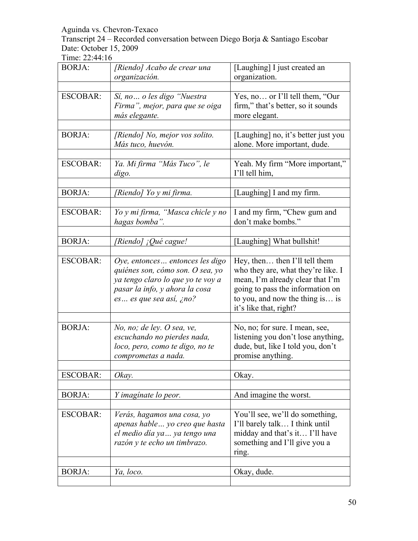Transcript 24 – Recorded conversation between Diego Borja & Santiago Escobar Date: October 15, 2009

| <b>BORJA:</b>   | [Riendo] Acabo de crear una<br>organización.                                                                                                                            | [Laughing] I just created an<br>organization.                                                                                                                                                            |
|-----------------|-------------------------------------------------------------------------------------------------------------------------------------------------------------------------|----------------------------------------------------------------------------------------------------------------------------------------------------------------------------------------------------------|
|                 |                                                                                                                                                                         |                                                                                                                                                                                                          |
| <b>ESCOBAR:</b> | Sí, no o les digo "Nuestra<br>Firma", mejor, para que se oiga<br>más elegante.                                                                                          | Yes, no or I'll tell them, "Our<br>firm," that's better, so it sounds<br>more elegant.                                                                                                                   |
| <b>BORJA:</b>   | [Riendo] No, mejor vos solito.<br>Más tuco, huevón.                                                                                                                     | [Laughing] no, it's better just you<br>alone. More important, dude.                                                                                                                                      |
| <b>ESCOBAR:</b> | Ya. Mi firma "Más Tuco", le<br>digo.                                                                                                                                    | Yeah. My firm "More important,"<br>I'll tell him,                                                                                                                                                        |
| <b>BORJA:</b>   | [Riendo] Yo y mi firma.                                                                                                                                                 | [Laughing] I and my firm.                                                                                                                                                                                |
| <b>ESCOBAR:</b> | Yo y mi firma, "Masca chicle y no<br>hagas bomba".                                                                                                                      | I and my firm, "Chew gum and<br>don't make bombs."                                                                                                                                                       |
| <b>BORJA:</b>   | [Riendo] ¡Qué cague!                                                                                                                                                    | [Laughing] What bullshit!                                                                                                                                                                                |
| <b>ESCOBAR:</b> | Oye, entonces entonces les digo<br>quiénes son, cómo son. O sea, yo<br>ya tengo claro lo que yo te voy a<br>pasar la info, y ahora la cosa<br>$es$ es que sea así, ¿no? | Hey, then then I'll tell them<br>who they are, what they're like. I<br>mean, I'm already clear that I'm<br>going to pass the information on<br>to you, and now the thing is is<br>it's like that, right? |
|                 |                                                                                                                                                                         |                                                                                                                                                                                                          |
| <b>BORJA:</b>   | No, no; de ley. O sea, ve,<br>escuchando no pierdes nada,<br>loco, pero, como te digo, no te<br>comprometas a nada.                                                     | No, no; for sure. I mean, see,<br>listening you don't lose anything,<br>dude, but, like I told you, don't<br>promise anything.                                                                           |
| <b>ESCOBAR:</b> | Okay.                                                                                                                                                                   | Okay.                                                                                                                                                                                                    |
| <b>BORJA:</b>   | Y imaginate lo peor.                                                                                                                                                    | And imagine the worst.                                                                                                                                                                                   |
| <b>ESCOBAR:</b> | Verás, hagamos una cosa, yo<br>apenas hable  yo creo que hasta<br>el medio día ya  ya tengo una<br>razón y te echo un timbrazo.                                         | You'll see, we'll do something,<br>I'll barely talk I think until<br>midday and that's it I'll have<br>something and I'll give you a<br>ring.                                                            |
| <b>BORJA:</b>   | Ya, loco.                                                                                                                                                               | Okay, dude.                                                                                                                                                                                              |
|                 |                                                                                                                                                                         |                                                                                                                                                                                                          |